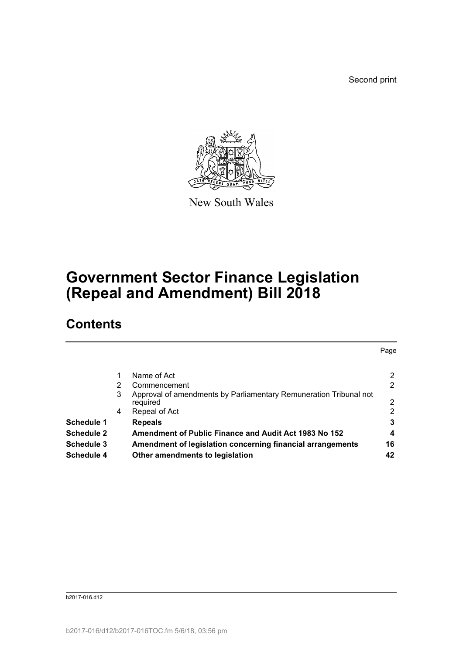Second print

Page



New South Wales

# **Government Sector Finance Legislation (Repeal and Amendment) Bill 2018**

## **Contents**

|   | Name of Act                                                                   | 2              |
|---|-------------------------------------------------------------------------------|----------------|
| 2 | Commencement                                                                  | $\overline{2}$ |
| 3 | Approval of amendments by Parliamentary Remuneration Tribunal not<br>required | 2              |
| 4 | Repeal of Act                                                                 | $\overline{2}$ |
|   | <b>Repeals</b>                                                                | 3              |
|   | Amendment of Public Finance and Audit Act 1983 No 152                         | 4              |
|   | Amendment of legislation concerning financial arrangements                    | 16             |
|   | Other amendments to legislation                                               | 42             |
|   |                                                                               |                |

b2017-016.d12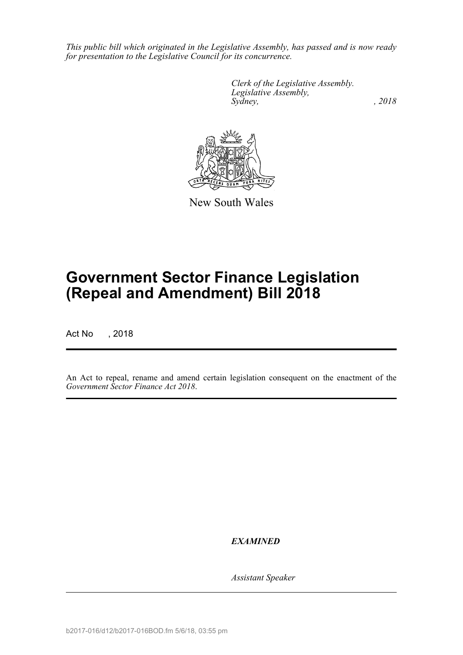*This public bill which originated in the Legislative Assembly, has passed and is now ready for presentation to the Legislative Council for its concurrence.*

> *Clerk of the Legislative Assembly. Legislative Assembly, Sydney, , 2018*



New South Wales

# **Government Sector Finance Legislation (Repeal and Amendment) Bill 2018**

Act No , 2018

An Act to repeal, rename and amend certain legislation consequent on the enactment of the *Government Sector Finance Act 2018*.

*EXAMINED*

*Assistant Speaker*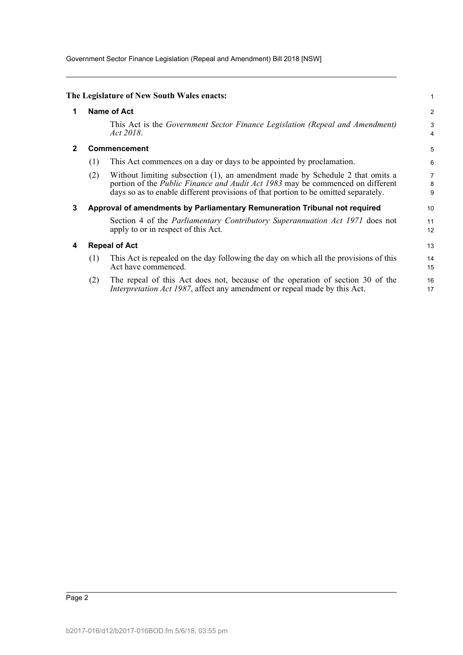Government Sector Finance Legislation (Repeal and Amendment) Bill 2018 [NSW]

<span id="page-2-3"></span><span id="page-2-2"></span><span id="page-2-1"></span><span id="page-2-0"></span>

|              |     | The Legislature of New South Wales enacts:                                                                                                                                                                                                                    | 1           |  |  |  |  |
|--------------|-----|---------------------------------------------------------------------------------------------------------------------------------------------------------------------------------------------------------------------------------------------------------------|-------------|--|--|--|--|
| 1            |     | Name of Act                                                                                                                                                                                                                                                   |             |  |  |  |  |
|              |     | This Act is the Government Sector Finance Legislation (Repeal and Amendment)<br>Act 2018.                                                                                                                                                                     | 3<br>4      |  |  |  |  |
| $\mathbf{2}$ |     | <b>Commencement</b>                                                                                                                                                                                                                                           | 5           |  |  |  |  |
|              | (1) | This Act commences on a day or days to be appointed by proclamation.                                                                                                                                                                                          | 6           |  |  |  |  |
|              | (2) | Without limiting subsection (1), an amendment made by Schedule 2 that omits a<br>portion of the <i>Public Finance and Audit Act 1983</i> may be commenced on different<br>days so as to enable different provisions of that portion to be omitted separately. | 7<br>8<br>9 |  |  |  |  |
| 3            |     | Approval of amendments by Parliamentary Remuneration Tribunal not required                                                                                                                                                                                    | 10          |  |  |  |  |
|              |     | Section 4 of the <i>Parliamentary Contributory Superannuation Act 1971</i> does not<br>apply to or in respect of this Act.                                                                                                                                    | 11<br>12    |  |  |  |  |
| 4            |     | <b>Repeal of Act</b>                                                                                                                                                                                                                                          | 13          |  |  |  |  |
|              | (1) | This Act is repealed on the day following the day on which all the provisions of this<br>Act have commenced.                                                                                                                                                  | 14<br>15    |  |  |  |  |
|              | (2) | The repeal of this Act does not, because of the operation of section 30 of the<br>Interpretation Act 1987, affect any amendment or repeal made by this Act.                                                                                                   | 16<br>17    |  |  |  |  |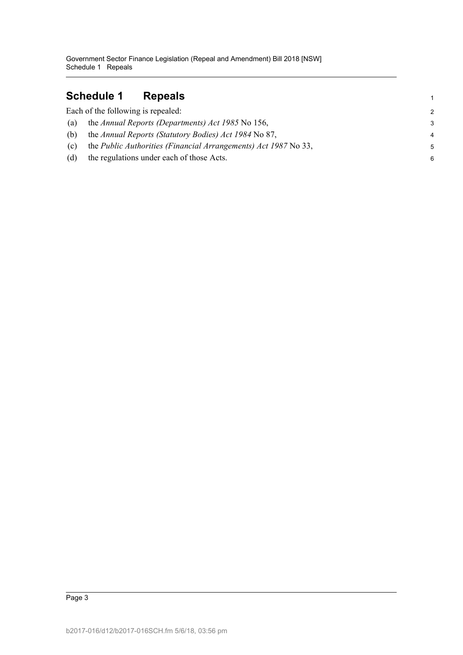### <span id="page-3-0"></span>**Schedule 1 Repeals**

|     | Each of the following is repealed:                              | $\mathcal{P}$  |
|-----|-----------------------------------------------------------------|----------------|
| (a) | the Annual Reports (Departments) Act 1985 No 156,               | 3              |
| (b) | the Annual Reports (Statutory Bodies) Act 1984 No 87,           | $\overline{4}$ |
| (c) | the Public Authorities (Financial Arrangements) Act 1987 No 33, | 5              |
| (d) | the regulations under each of those Acts.                       | 6              |

1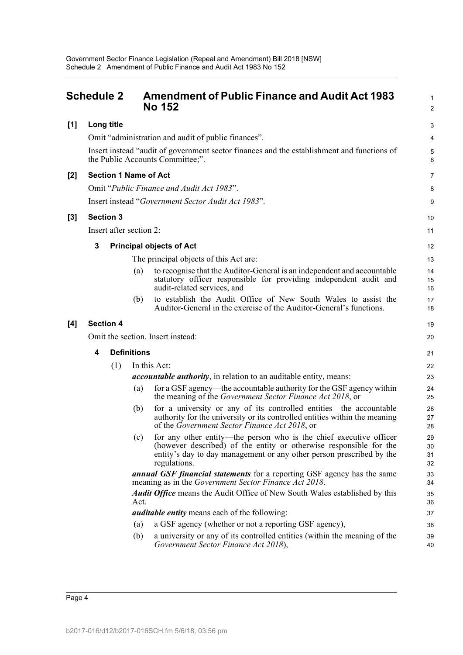# <span id="page-4-0"></span>**Schedule 2 Amendment of Public Finance and Audit Act 1983 No 152 [1] Long title**

1 2

3

|       |                                   |                         |                    | Omit "administration and audit of public finances".                                                                                                                                                                              | 4                    |  |
|-------|-----------------------------------|-------------------------|--------------------|----------------------------------------------------------------------------------------------------------------------------------------------------------------------------------------------------------------------------------|----------------------|--|
|       |                                   |                         |                    | Insert instead "audit of government sector finances and the establishment and functions of<br>the Public Accounts Committee;".                                                                                                   | 5<br>6               |  |
| $[2]$ |                                   |                         |                    | <b>Section 1 Name of Act</b>                                                                                                                                                                                                     | 7                    |  |
|       |                                   |                         |                    | Omit "Public Finance and Audit Act 1983".                                                                                                                                                                                        | 8                    |  |
|       |                                   |                         |                    | Insert instead "Government Sector Audit Act 1983".                                                                                                                                                                               | 9                    |  |
| $[3]$ |                                   | <b>Section 3</b>        |                    |                                                                                                                                                                                                                                  | 10                   |  |
|       |                                   | Insert after section 2: |                    |                                                                                                                                                                                                                                  | 11                   |  |
|       | 3                                 |                         |                    | <b>Principal objects of Act</b>                                                                                                                                                                                                  | 12                   |  |
|       |                                   |                         |                    | The principal objects of this Act are:                                                                                                                                                                                           | 13                   |  |
|       |                                   |                         | (a)                | to recognise that the Auditor-General is an independent and accountable<br>statutory officer responsible for providing independent audit and<br>audit-related services, and                                                      | 14<br>15<br>16       |  |
|       |                                   |                         | (b)                | to establish the Audit Office of New South Wales to assist the<br>Auditor-General in the exercise of the Auditor-General's functions.                                                                                            | 17<br>18             |  |
| [4]   | <b>Section 4</b>                  |                         |                    |                                                                                                                                                                                                                                  |                      |  |
|       | Omit the section. Insert instead: |                         |                    |                                                                                                                                                                                                                                  |                      |  |
|       | 4                                 |                         | <b>Definitions</b> |                                                                                                                                                                                                                                  | 21                   |  |
|       |                                   | (1)                     |                    | In this Act:                                                                                                                                                                                                                     | 22                   |  |
|       |                                   |                         |                    | <i>accountable authority</i> , in relation to an auditable entity, means:                                                                                                                                                        | 23                   |  |
|       |                                   |                         | (a)                | for a GSF agency—the accountable authority for the GSF agency within<br>the meaning of the <i>Government Sector Finance Act 2018</i> , or                                                                                        | 24<br>25             |  |
|       |                                   |                         | (b)                | for a university or any of its controlled entities—the accountable<br>authority for the university or its controlled entities within the meaning<br>of the Government Sector Finance Act 2018, or                                | 26<br>27<br>28       |  |
|       |                                   |                         | (c)                | for any other entity-the person who is the chief executive officer<br>(however described) of the entity or otherwise responsible for the<br>entity's day to day management or any other person prescribed by the<br>regulations. | 29<br>30<br>31<br>32 |  |
|       |                                   |                         |                    | <b>annual GSF financial statements</b> for a reporting GSF agency has the same<br>meaning as in the Government Sector Finance Act 2018.                                                                                          | 33<br>34             |  |
|       |                                   |                         | Act.               | <b>Audit Office</b> means the Audit Office of New South Wales established by this                                                                                                                                                | 35<br>36             |  |
|       |                                   |                         |                    | <i>auditable entity</i> means each of the following:                                                                                                                                                                             | 37                   |  |
|       |                                   |                         | (a)                | a GSF agency (whether or not a reporting GSF agency),                                                                                                                                                                            | 38                   |  |
|       |                                   |                         | (b)                | a university or any of its controlled entities (within the meaning of the<br>Government Sector Finance Act 2018),                                                                                                                | 39<br>40             |  |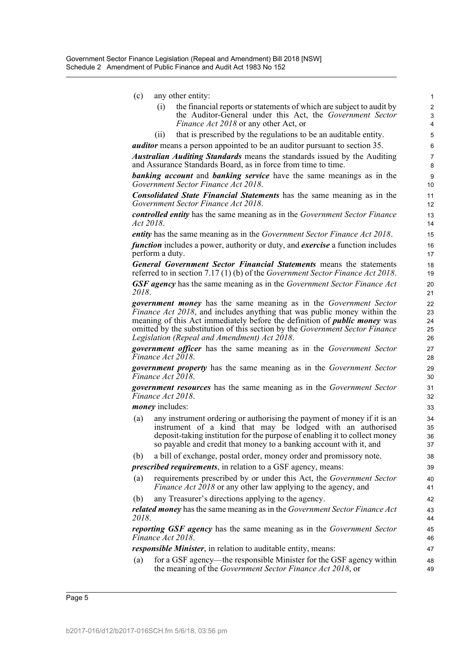| (c) |  |  | any other entity: |
|-----|--|--|-------------------|
|-----|--|--|-------------------|

(i) the financial reports or statements of which are subject to audit by the Auditor-General under this Act, the *Government Sector Finance Act 2018* or any other Act, or

(ii) that is prescribed by the regulations to be an auditable entity.

*auditor* means a person appointed to be an auditor pursuant to section 35.

*Australian Auditing Standards* means the standards issued by the Auditing and Assurance Standards Board, as in force from time to time.

*banking account* and *banking service* have the same meanings as in the *Government Sector Finance Act 2018*.

*Consolidated State Financial Statements* has the same meaning as in the *Government Sector Finance Act 2018*.

*controlled entity* has the same meaning as in the *Government Sector Finance Act 2018*.

*entity* has the same meaning as in the *Government Sector Finance Act 2018*.

*function* includes a power, authority or duty, and *exercise* a function includes perform a duty.

*General Government Sector Financial Statements* means the statements referred to in section 7.17 (1) (b) of the *Government Sector Finance Act 2018*.

*GSF agency* has the same meaning as in the *Government Sector Finance Act 2018*.

*government money* has the same meaning as in the *Government Sector Finance Act 2018*, and includes anything that was public money within the meaning of this Act immediately before the definition of *public money* was omitted by the substitution of this section by the *Government Sector Finance Legislation (Repeal and Amendment) Act 2018*.

*government officer* has the same meaning as in the *Government Sector Finance Act 2018*.

*government property* has the same meaning as in the *Government Sector Finance Act 2018*.

*government resources* has the same meaning as in the *Government Sector Finance Act 2018*.

*money* includes:

- (a) any instrument ordering or authorising the payment of money if it is an instrument of a kind that may be lodged with an authorised deposit-taking institution for the purpose of enabling it to collect money so payable and credit that money to a banking account with it, and
- (b) a bill of exchange, postal order, money order and promissory note.

*prescribed requirements*, in relation to a GSF agency, means:

- (a) requirements prescribed by or under this Act, the *Government Sector Finance Act 2018* or any other law applying to the agency, and
- (b) any Treasurer's directions applying to the agency.

*related money* has the same meaning as in the *Government Sector Finance Act 2018*.

*reporting GSF agency* has the same meaning as in the *Government Sector Finance Act 2018*.

*responsible Minister*, in relation to auditable entity, means:

(a) for a GSF agency—the responsible Minister for the GSF agency within the meaning of the *Government Sector Finance Act 2018*, or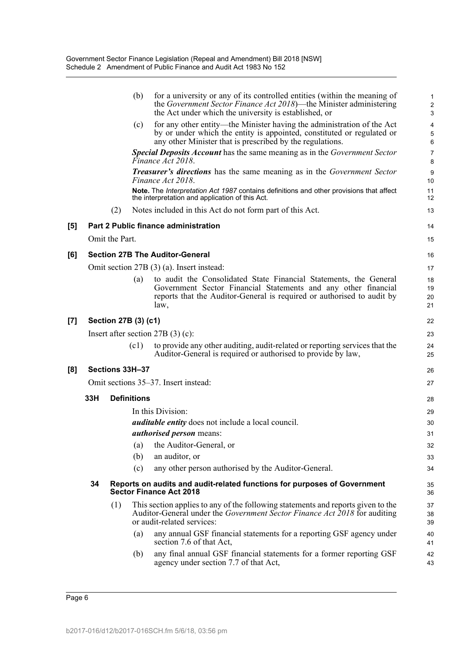|     |     |                      | (b)                | for a university or any of its controlled entities (within the meaning of<br>the Government Sector Finance Act 2018)—the Minister administering<br>the Act under which the university is established, or      | 1<br>$\overline{\mathbf{c}}$<br>3 |
|-----|-----|----------------------|--------------------|---------------------------------------------------------------------------------------------------------------------------------------------------------------------------------------------------------------|-----------------------------------|
|     |     |                      | (c)                | for any other entity—the Minister having the administration of the Act<br>by or under which the entity is appointed, constituted or regulated or<br>any other Minister that is prescribed by the regulations. | 4<br>5<br>6                       |
|     |     |                      |                    | Special Deposits Account has the same meaning as in the Government Sector<br>Finance Act 2018.                                                                                                                | 7<br>8                            |
|     |     |                      |                    | <b>Treasurer's directions</b> has the same meaning as in the Government Sector<br>Finance Act 2018.                                                                                                           | 9<br>10                           |
|     |     |                      |                    | Note. The Interpretation Act 1987 contains definitions and other provisions that affect<br>the interpretation and application of this Act.                                                                    | 11<br>12                          |
|     |     | (2)                  |                    | Notes included in this Act do not form part of this Act.                                                                                                                                                      | 13                                |
| [5] |     |                      |                    | Part 2 Public finance administration                                                                                                                                                                          | 14                                |
|     |     | Omit the Part.       |                    |                                                                                                                                                                                                               | 15                                |
| [6] |     |                      |                    | <b>Section 27B The Auditor-General</b>                                                                                                                                                                        | 16                                |
|     |     |                      |                    | Omit section 27B (3) (a). Insert instead:                                                                                                                                                                     | 17                                |
|     |     |                      | (a)                | to audit the Consolidated State Financial Statements, the General                                                                                                                                             | 18                                |
|     |     |                      |                    | Government Sector Financial Statements and any other financial                                                                                                                                                | 19                                |
|     |     |                      |                    | reports that the Auditor-General is required or authorised to audit by<br>law,                                                                                                                                | 20<br>21                          |
| [7] |     | Section 27B (3) (c1) |                    |                                                                                                                                                                                                               | 22                                |
|     |     |                      |                    | Insert after section $27B(3)(c)$ :                                                                                                                                                                            | 23                                |
|     |     |                      | (c1)               | to provide any other auditing, audit-related or reporting services that the<br>Auditor-General is required or authorised to provide by law,                                                                   | 24<br>25                          |
| [8] |     | Sections 33H-37      |                    |                                                                                                                                                                                                               | 26                                |
|     |     |                      |                    | Omit sections 35–37. Insert instead:                                                                                                                                                                          | 27                                |
|     | 33H |                      | <b>Definitions</b> |                                                                                                                                                                                                               | 28                                |
|     |     |                      |                    | In this Division:                                                                                                                                                                                             | 29                                |
|     |     |                      |                    | <i>auditable entity</i> does not include a local council.                                                                                                                                                     | 30                                |
|     |     |                      |                    | <i>authorised person</i> means:                                                                                                                                                                               | 31                                |
|     |     |                      | (a)                | the Auditor-General, or                                                                                                                                                                                       | 32                                |
|     |     |                      | (b)                | an auditor, or                                                                                                                                                                                                | 33                                |
|     |     |                      | (c)                | any other person authorised by the Auditor-General.                                                                                                                                                           | 34                                |
|     | 34  |                      |                    | Reports on audits and audit-related functions for purposes of Government<br><b>Sector Finance Act 2018</b>                                                                                                    | 35<br>36                          |
|     |     | (1)                  |                    | This section applies to any of the following statements and reports given to the<br>Auditor-General under the Government Sector Finance Act 2018 for auditing<br>or audit-related services:                   | 37<br>38<br>39                    |
|     |     |                      | (a)                | any annual GSF financial statements for a reporting GSF agency under<br>section 7.6 of that Act,                                                                                                              | 40<br>41                          |
|     |     |                      | (b)                | any final annual GSF financial statements for a former reporting GSF<br>agency under section 7.7 of that Act,                                                                                                 | 42<br>43                          |
|     |     |                      |                    |                                                                                                                                                                                                               |                                   |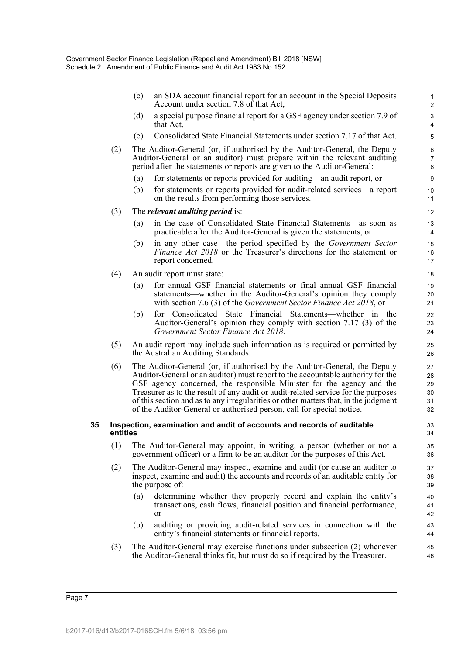|    |          | (c) | an SDA account financial report for an account in the Special Deposits<br>Account under section 7.8 of that Act,                                                                                                                                                                                                                                                                                                                                                                           | $\mathbf{1}$<br>$\overline{2}$   |
|----|----------|-----|--------------------------------------------------------------------------------------------------------------------------------------------------------------------------------------------------------------------------------------------------------------------------------------------------------------------------------------------------------------------------------------------------------------------------------------------------------------------------------------------|----------------------------------|
|    |          | (d) | a special purpose financial report for a GSF agency under section 7.9 of<br>that Act,                                                                                                                                                                                                                                                                                                                                                                                                      | 3<br>$\overline{4}$              |
|    |          | (e) | Consolidated State Financial Statements under section 7.17 of that Act.                                                                                                                                                                                                                                                                                                                                                                                                                    | 5                                |
|    | (2)      |     | The Auditor-General (or, if authorised by the Auditor-General, the Deputy<br>Auditor-General or an auditor) must prepare within the relevant auditing<br>period after the statements or reports are given to the Auditor-General:                                                                                                                                                                                                                                                          | 6<br>$\overline{7}$<br>8         |
|    |          | (a) | for statements or reports provided for auditing—an audit report, or                                                                                                                                                                                                                                                                                                                                                                                                                        | 9                                |
|    |          | (b) | for statements or reports provided for audit-related services-a report<br>on the results from performing those services.                                                                                                                                                                                                                                                                                                                                                                   | 10<br>11                         |
|    | (3)      |     | The <i>relevant auditing period</i> is:                                                                                                                                                                                                                                                                                                                                                                                                                                                    | 12                               |
|    |          | (a) | in the case of Consolidated State Financial Statements—as soon as<br>practicable after the Auditor-General is given the statements, or                                                                                                                                                                                                                                                                                                                                                     | 13<br>14                         |
|    |          | (b) | in any other case—the period specified by the Government Sector<br><i>Finance Act 2018</i> or the Treasurer's directions for the statement or<br>report concerned.                                                                                                                                                                                                                                                                                                                         | 15<br>16<br>17                   |
|    | (4)      |     | An audit report must state:                                                                                                                                                                                                                                                                                                                                                                                                                                                                | 18                               |
|    |          | (a) | for annual GSF financial statements or final annual GSF financial<br>statements—whether in the Auditor-General's opinion they comply<br>with section 7.6 (3) of the Government Sector Finance Act 2018, or                                                                                                                                                                                                                                                                                 | 19<br>20<br>21                   |
|    |          | (b) | for Consolidated State Financial Statements—whether in the<br>Auditor-General's opinion they comply with section 7.17 (3) of the<br>Government Sector Finance Act 2018.                                                                                                                                                                                                                                                                                                                    | 22<br>23<br>24                   |
|    | (5)      |     | An audit report may include such information as is required or permitted by<br>the Australian Auditing Standards.                                                                                                                                                                                                                                                                                                                                                                          | 25<br>26                         |
|    | (6)      |     | The Auditor-General (or, if authorised by the Auditor-General, the Deputy<br>Auditor-General or an auditor) must report to the accountable authority for the<br>GSF agency concerned, the responsible Minister for the agency and the<br>Treasurer as to the result of any audit or audit-related service for the purposes<br>of this section and as to any irregularities or other matters that, in the judgment<br>of the Auditor-General or authorised person, call for special notice. | 27<br>28<br>29<br>30<br>31<br>32 |
| 35 | entities |     | Inspection, examination and audit of accounts and records of auditable                                                                                                                                                                                                                                                                                                                                                                                                                     | 33<br>34                         |
|    | (1)      |     | The Auditor-General may appoint, in writing, a person (whether or not a<br>government officer) or a firm to be an auditor for the purposes of this Act.                                                                                                                                                                                                                                                                                                                                    | 35<br>36                         |
|    | (2)      |     | The Auditor-General may inspect, examine and audit (or cause an auditor to<br>inspect, examine and audit) the accounts and records of an auditable entity for<br>the purpose of:                                                                                                                                                                                                                                                                                                           | 37<br>38<br>39                   |
|    |          | (a) | determining whether they properly record and explain the entity's<br>transactions, cash flows, financial position and financial performance,<br>or                                                                                                                                                                                                                                                                                                                                         | 40<br>41<br>42                   |
|    |          | (b) | auditing or providing audit-related services in connection with the<br>entity's financial statements or financial reports.                                                                                                                                                                                                                                                                                                                                                                 | 43<br>44                         |
|    | (3)      |     | The Auditor-General may exercise functions under subsection (2) whenever<br>the Auditor-General thinks fit, but must do so if required by the Treasurer.                                                                                                                                                                                                                                                                                                                                   | 45<br>46                         |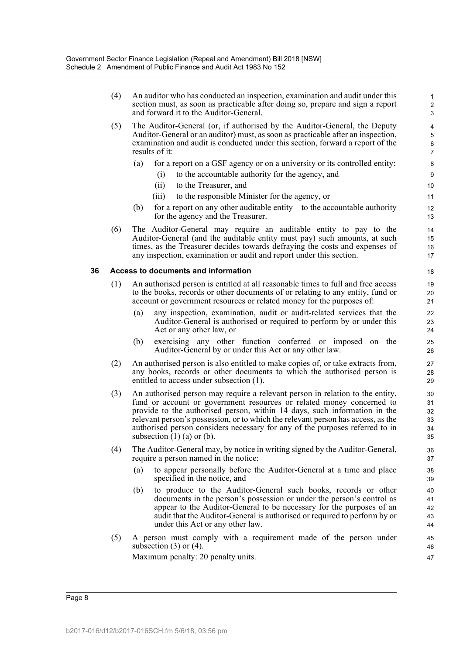| (5)<br>(6) | The Auditor-General (or, if authorised by the Auditor-General, the Deputy<br>Auditor-General or an auditor) must, as soon as practicable after an inspection,<br>examination and audit is conducted under this section, forward a report of the<br>results of it:<br>for a report on a GSF agency or on a university or its controlled entity:<br>(a)<br>to the accountable authority for the agency, and<br>(i)<br>to the Treasurer, and<br>(ii)<br>to the responsible Minister for the agency, or<br>(iii)<br>for a report on any other auditable entity—to the accountable authority<br>(b)<br>for the agency and the Treasurer.<br>The Auditor-General may require an auditable entity to pay to the<br>Auditor-General (and the auditable entity must pay) such amounts, at such<br>times, as the Treasurer decides towards defraying the costs and expenses of<br>any inspection, examination or audit and report under this section. | 4<br>5<br>6<br>7<br>8<br>9<br>10<br>11<br>12<br>13<br>14<br>15                                                                                                                                                                                                                                                 |
|------------|---------------------------------------------------------------------------------------------------------------------------------------------------------------------------------------------------------------------------------------------------------------------------------------------------------------------------------------------------------------------------------------------------------------------------------------------------------------------------------------------------------------------------------------------------------------------------------------------------------------------------------------------------------------------------------------------------------------------------------------------------------------------------------------------------------------------------------------------------------------------------------------------------------------------------------------------|----------------------------------------------------------------------------------------------------------------------------------------------------------------------------------------------------------------------------------------------------------------------------------------------------------------|
|            |                                                                                                                                                                                                                                                                                                                                                                                                                                                                                                                                                                                                                                                                                                                                                                                                                                                                                                                                             |                                                                                                                                                                                                                                                                                                                |
|            |                                                                                                                                                                                                                                                                                                                                                                                                                                                                                                                                                                                                                                                                                                                                                                                                                                                                                                                                             |                                                                                                                                                                                                                                                                                                                |
|            |                                                                                                                                                                                                                                                                                                                                                                                                                                                                                                                                                                                                                                                                                                                                                                                                                                                                                                                                             |                                                                                                                                                                                                                                                                                                                |
|            |                                                                                                                                                                                                                                                                                                                                                                                                                                                                                                                                                                                                                                                                                                                                                                                                                                                                                                                                             |                                                                                                                                                                                                                                                                                                                |
|            |                                                                                                                                                                                                                                                                                                                                                                                                                                                                                                                                                                                                                                                                                                                                                                                                                                                                                                                                             |                                                                                                                                                                                                                                                                                                                |
|            |                                                                                                                                                                                                                                                                                                                                                                                                                                                                                                                                                                                                                                                                                                                                                                                                                                                                                                                                             |                                                                                                                                                                                                                                                                                                                |
|            |                                                                                                                                                                                                                                                                                                                                                                                                                                                                                                                                                                                                                                                                                                                                                                                                                                                                                                                                             | 16<br>17                                                                                                                                                                                                                                                                                                       |
|            |                                                                                                                                                                                                                                                                                                                                                                                                                                                                                                                                                                                                                                                                                                                                                                                                                                                                                                                                             |                                                                                                                                                                                                                                                                                                                |
|            |                                                                                                                                                                                                                                                                                                                                                                                                                                                                                                                                                                                                                                                                                                                                                                                                                                                                                                                                             | 18                                                                                                                                                                                                                                                                                                             |
|            |                                                                                                                                                                                                                                                                                                                                                                                                                                                                                                                                                                                                                                                                                                                                                                                                                                                                                                                                             | 19                                                                                                                                                                                                                                                                                                             |
|            |                                                                                                                                                                                                                                                                                                                                                                                                                                                                                                                                                                                                                                                                                                                                                                                                                                                                                                                                             | 20<br>21                                                                                                                                                                                                                                                                                                       |
|            | any inspection, examination, audit or audit-related services that the<br>(a)<br>Auditor-General is authorised or required to perform by or under this                                                                                                                                                                                                                                                                                                                                                                                                                                                                                                                                                                                                                                                                                                                                                                                       | 22<br>23<br>24                                                                                                                                                                                                                                                                                                 |
|            | exercising any other function conferred or imposed on the<br>(b)<br>Auditor-General by or under this Act or any other law.                                                                                                                                                                                                                                                                                                                                                                                                                                                                                                                                                                                                                                                                                                                                                                                                                  | 25<br>26                                                                                                                                                                                                                                                                                                       |
| (2)        | An authorised person is also entitled to make copies of, or take extracts from,<br>any books, records or other documents to which the authorised person is<br>entitled to access under subsection (1).                                                                                                                                                                                                                                                                                                                                                                                                                                                                                                                                                                                                                                                                                                                                      | 27<br>28<br>29                                                                                                                                                                                                                                                                                                 |
| (3)        | An authorised person may require a relevant person in relation to the entity,<br>fund or account or government resources or related money concerned to<br>provide to the authorised person, within 14 days, such information in the<br>relevant person's possession, or to which the relevant person has access, as the<br>authorised person considers necessary for any of the purposes referred to in<br>subsection $(1)$ (a) or (b).                                                                                                                                                                                                                                                                                                                                                                                                                                                                                                     | 30<br>31<br>32<br>33<br>34<br>35                                                                                                                                                                                                                                                                               |
| (4)        | The Auditor-General may, by notice in writing signed by the Auditor-General,<br>require a person named in the notice:                                                                                                                                                                                                                                                                                                                                                                                                                                                                                                                                                                                                                                                                                                                                                                                                                       | 36<br>37                                                                                                                                                                                                                                                                                                       |
|            | to appear personally before the Auditor-General at a time and place<br>(a)<br>specified in the notice, and                                                                                                                                                                                                                                                                                                                                                                                                                                                                                                                                                                                                                                                                                                                                                                                                                                  | 38<br>39                                                                                                                                                                                                                                                                                                       |
|            | to produce to the Auditor-General such books, records or other<br>(b)<br>documents in the person's possession or under the person's control as<br>appear to the Auditor-General to be necessary for the purposes of an<br>audit that the Auditor-General is authorised or required to perform by or<br>under this Act or any other law.                                                                                                                                                                                                                                                                                                                                                                                                                                                                                                                                                                                                     | 40<br>41<br>42<br>43<br>44                                                                                                                                                                                                                                                                                     |
|            | A person must comply with a requirement made of the person under<br>subsection $(3)$ or $(4)$ .<br>Maximum penalty: 20 penalty units.                                                                                                                                                                                                                                                                                                                                                                                                                                                                                                                                                                                                                                                                                                                                                                                                       | 45<br>46<br>47                                                                                                                                                                                                                                                                                                 |
|            | (1)<br>(5)                                                                                                                                                                                                                                                                                                                                                                                                                                                                                                                                                                                                                                                                                                                                                                                                                                                                                                                                  | Access to documents and information<br>An authorised person is entitled at all reasonable times to full and free access<br>to the books, records or other documents of or relating to any entity, fund or<br>account or government resources or related money for the purposes of:<br>Act or any other law, or |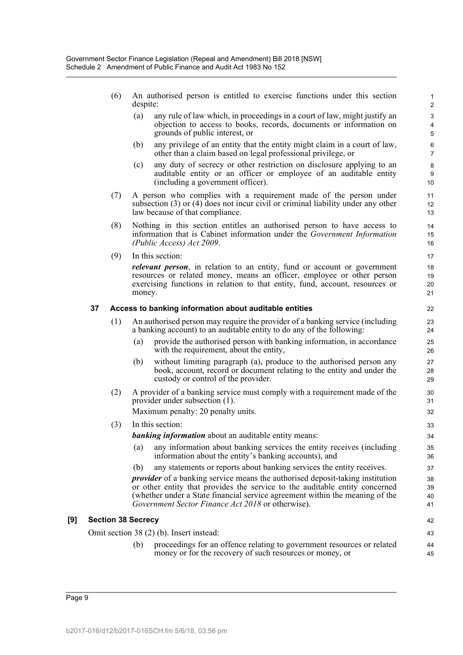- (6) An authorised person is entitled to exercise functions under this section despite:
	- (a) any rule of law which, in proceedings in a court of law, might justify an objection to access to books, records, documents or information on grounds of public interest, or

- (b) any privilege of an entity that the entity might claim in a court of law, other than a claim based on legal professional privilege, or
- (c) any duty of secrecy or other restriction on disclosure applying to an auditable entity or an officer or employee of an auditable entity (including a government officer).
- (7) A person who complies with a requirement made of the person under subsection (3) or (4) does not incur civil or criminal liability under any other law because of that compliance.
- (8) Nothing in this section entitles an authorised person to have access to information that is Cabinet information under the *Government Information (Public Access) Act 2009*.
- (9) In this section:

*relevant person*, in relation to an entity, fund or account or government resources or related money, means an officer, employee or other person exercising functions in relation to that entity, fund, account, resources or money.

#### **37 Access to banking information about auditable entities**

- (1) An authorised person may require the provider of a banking service (including a banking account) to an auditable entity to do any of the following:
	- (a) provide the authorised person with banking information, in accordance with the requirement, about the entity,
	- (b) without limiting paragraph (a), produce to the authorised person any book, account, record or document relating to the entity and under the custody or control of the provider.
- (2) A provider of a banking service must comply with a requirement made of the provider under subsection (1).

Maximum penalty: 20 penalty units.

(3) In this section:

*banking information* about an auditable entity means:

- (a) any information about banking services the entity receives (including information about the entity's banking accounts), and
- (b) any statements or reports about banking services the entity receives.

*provider* of a banking service means the authorised deposit-taking institution or other entity that provides the service to the auditable entity concerned (whether under a State financial service agreement within the meaning of the *Government Sector Finance Act 2018* or otherwise).

#### **[9] Section 38 Secrecy**

Omit section 38 (2) (b). Insert instead:

(b) proceedings for an offence relating to government resources or related money or for the recovery of such resources or money, or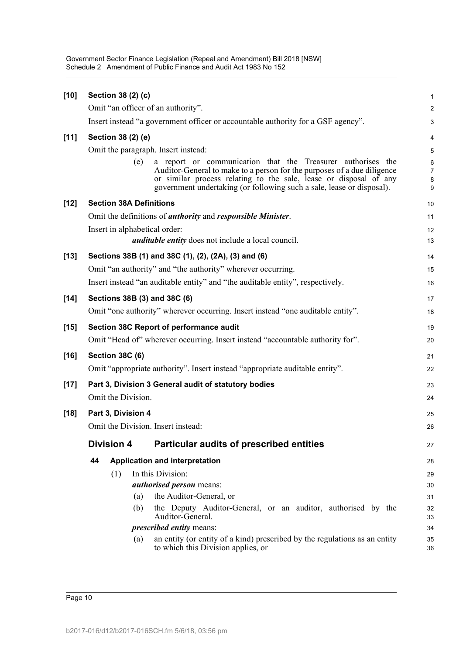Government Sector Finance Legislation (Repeal and Amendment) Bill 2018 [NSW] Schedule 2 Amendment of Public Finance and Audit Act 1983 No 152

| $[10]$ | Section 38 (2) (c)                  |                                                                                                                                                                                                                       | $\mathbf{1}$                       |
|--------|-------------------------------------|-----------------------------------------------------------------------------------------------------------------------------------------------------------------------------------------------------------------------|------------------------------------|
|        | Omit "an officer of an authority".  |                                                                                                                                                                                                                       | $\overline{c}$                     |
|        |                                     | Insert instead "a government officer or accountable authority for a GSF agency".                                                                                                                                      | $\ensuremath{\mathsf{3}}$          |
| $[11]$ | Section 38 (2) (e)                  |                                                                                                                                                                                                                       | 4                                  |
|        | Omit the paragraph. Insert instead: |                                                                                                                                                                                                                       | $\overline{5}$                     |
|        | (e)                                 | a report or communication that the Treasurer authorises the                                                                                                                                                           | $\,6\,$                            |
|        |                                     | Auditor-General to make to a person for the purposes of a due diligence<br>or similar process relating to the sale, lease or disposal of any<br>government undertaking (or following such a sale, lease or disposal). | $\overline{7}$<br>$\bf 8$<br>$9\,$ |
| $[12]$ | <b>Section 38A Definitions</b>      |                                                                                                                                                                                                                       | 10                                 |
|        |                                     | Omit the definitions of <i>authority</i> and <i>responsible Minister</i> .                                                                                                                                            | 11                                 |
|        | Insert in alphabetical order:       |                                                                                                                                                                                                                       | 12                                 |
|        |                                     | <i>auditable entity</i> does not include a local council.                                                                                                                                                             | 13                                 |
| $[13]$ |                                     | Sections 38B (1) and 38C (1), (2), (2A), (3) and (6)                                                                                                                                                                  | 14                                 |
|        |                                     | Omit "an authority" and "the authority" wherever occurring.                                                                                                                                                           | 15                                 |
|        |                                     | Insert instead "an auditable entity" and "the auditable entity", respectively.                                                                                                                                        | 16                                 |
| $[14]$ | Sections 38B (3) and 38C (6)        |                                                                                                                                                                                                                       | 17                                 |
|        |                                     | Omit "one authority" wherever occurring. Insert instead "one auditable entity".                                                                                                                                       | 18                                 |
| $[15]$ |                                     | <b>Section 38C Report of performance audit</b>                                                                                                                                                                        | 19                                 |
|        |                                     | Omit "Head of" wherever occurring. Insert instead "accountable authority for".                                                                                                                                        | 20                                 |
| $[16]$ | <b>Section 38C (6)</b>              |                                                                                                                                                                                                                       | 21                                 |
|        |                                     | Omit "appropriate authority". Insert instead "appropriate auditable entity".                                                                                                                                          | 22                                 |
| $[17]$ |                                     | Part 3, Division 3 General audit of statutory bodies                                                                                                                                                                  | 23                                 |
|        | Omit the Division.                  |                                                                                                                                                                                                                       | 24                                 |
| $[18]$ | Part 3, Division 4                  |                                                                                                                                                                                                                       | 25                                 |
|        | Omit the Division. Insert instead:  |                                                                                                                                                                                                                       | 26                                 |
|        | <b>Division 4</b>                   | <b>Particular audits of prescribed entities</b>                                                                                                                                                                       | 27                                 |
|        | 44                                  | Application and interpretation                                                                                                                                                                                        | 28                                 |
|        | (1)                                 | In this Division:                                                                                                                                                                                                     | 29                                 |
|        |                                     | <i>authorised person</i> means:                                                                                                                                                                                       | 30                                 |
|        | (a)                                 | the Auditor-General, or                                                                                                                                                                                               | 31                                 |
|        | (b)                                 | the Deputy Auditor-General, or an auditor, authorised by the<br>Auditor-General.                                                                                                                                      | 32<br>33                           |
|        |                                     | <i>prescribed entity means:</i>                                                                                                                                                                                       | 34                                 |
|        | (a)                                 | an entity (or entity of a kind) prescribed by the regulations as an entity<br>to which this Division applies, or                                                                                                      | 35<br>36                           |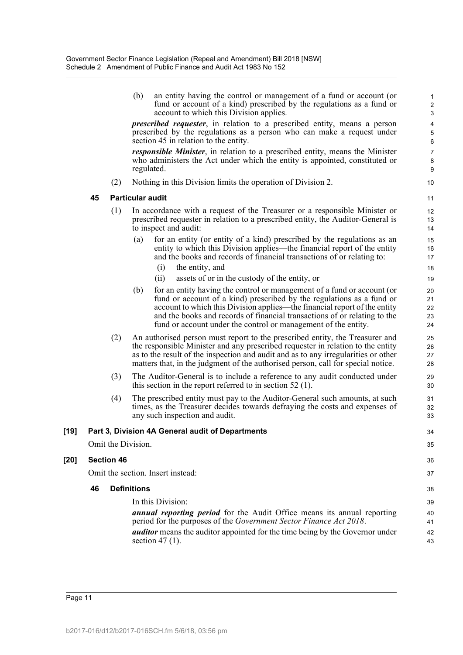|        |    |                    | (b)                     | an entity having the control or management of a fund or account (or<br>fund or account of a kind) prescribed by the regulations as a fund or<br>account to which this Division applies.                                                                                                                                                                                      | $\mathbf{1}$<br>$\sqrt{2}$<br>$\mathsf 3$       |
|--------|----|--------------------|-------------------------|------------------------------------------------------------------------------------------------------------------------------------------------------------------------------------------------------------------------------------------------------------------------------------------------------------------------------------------------------------------------------|-------------------------------------------------|
|        |    |                    |                         | <i>prescribed requester</i> , in relation to a prescribed entity, means a person<br>prescribed by the regulations as a person who can make a request under<br>section 45 in relation to the entity.                                                                                                                                                                          | 4<br>$\mathbf 5$<br>$\,6\,$                     |
|        |    |                    |                         | <i>responsible Minister</i> , in relation to a prescribed entity, means the Minister<br>who administers the Act under which the entity is appointed, constituted or<br>regulated.                                                                                                                                                                                            | $\boldsymbol{7}$<br>$\bf 8$<br>$\boldsymbol{9}$ |
|        |    | (2)                |                         | Nothing in this Division limits the operation of Division 2.                                                                                                                                                                                                                                                                                                                 | 10                                              |
|        | 45 |                    | <b>Particular audit</b> |                                                                                                                                                                                                                                                                                                                                                                              | 11                                              |
|        |    | (1)                |                         | In accordance with a request of the Treasurer or a responsible Minister or<br>prescribed requester in relation to a prescribed entity, the Auditor-General is<br>to inspect and audit:                                                                                                                                                                                       | 12<br>13<br>14                                  |
|        |    |                    | (a)                     | for an entity (or entity of a kind) prescribed by the regulations as an<br>entity to which this Division applies—the financial report of the entity<br>and the books and records of financial transactions of or relating to:                                                                                                                                                | 15<br>16<br>17                                  |
|        |    |                    |                         | the entity, and<br>(i)                                                                                                                                                                                                                                                                                                                                                       | 18                                              |
|        |    |                    |                         | assets of or in the custody of the entity, or<br>(i)                                                                                                                                                                                                                                                                                                                         | 19                                              |
|        |    |                    | (b)                     | for an entity having the control or management of a fund or account (or<br>fund or account of a kind) prescribed by the regulations as a fund or<br>account to which this Division applies—the financial report of the entity<br>and the books and records of financial transactions of or relating to the<br>fund or account under the control or management of the entity. | 20<br>21<br>22<br>23<br>24                      |
|        |    | (2)                |                         | An authorised person must report to the prescribed entity, the Treasurer and<br>the responsible Minister and any prescribed requester in relation to the entity<br>as to the result of the inspection and audit and as to any irregularities or other<br>matters that, in the judgment of the authorised person, call for special notice.                                    | 25<br>26<br>27<br>28                            |
|        |    | (3)                |                         | The Auditor-General is to include a reference to any audit conducted under<br>this section in the report referred to in section $52$ (1).                                                                                                                                                                                                                                    | 29<br>30                                        |
|        |    | (4)                |                         | The prescribed entity must pay to the Auditor-General such amounts, at such<br>times, as the Treasurer decides towards defraying the costs and expenses of<br>any such inspection and audit.                                                                                                                                                                                 | 31<br>32<br>33                                  |
| $[19]$ |    |                    |                         | Part 3, Division 4A General audit of Departments                                                                                                                                                                                                                                                                                                                             | 34                                              |
|        |    | Omit the Division. |                         |                                                                                                                                                                                                                                                                                                                                                                              | 35                                              |
| $[20]$ |    | <b>Section 46</b>  |                         |                                                                                                                                                                                                                                                                                                                                                                              | 36                                              |
|        |    |                    |                         | Omit the section. Insert instead:                                                                                                                                                                                                                                                                                                                                            | 37                                              |
|        | 46 |                    | <b>Definitions</b>      |                                                                                                                                                                                                                                                                                                                                                                              | 38                                              |
|        |    |                    |                         | In this Division:                                                                                                                                                                                                                                                                                                                                                            | 39                                              |
|        |    |                    |                         | <b>annual reporting period</b> for the Audit Office means its annual reporting<br>period for the purposes of the Government Sector Finance Act 2018.                                                                                                                                                                                                                         | 40<br>41                                        |
|        |    |                    |                         | <i>auditor</i> means the auditor appointed for the time being by the Governor under<br>section 47 $(1)$ .                                                                                                                                                                                                                                                                    | 42<br>43                                        |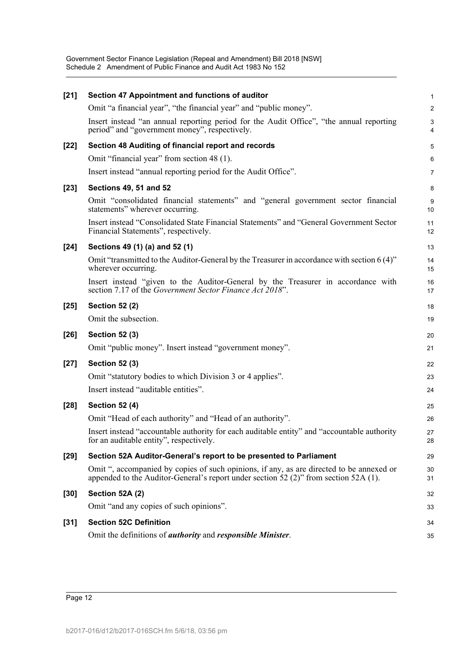| $[21]$ | Section 47 Appointment and functions of auditor                                                                                                                                  | 1              |
|--------|----------------------------------------------------------------------------------------------------------------------------------------------------------------------------------|----------------|
|        | Omit "a financial year", "the financial year" and "public money".                                                                                                                | $\overline{a}$ |
|        | Insert instead "an annual reporting period for the Audit Office", "the annual reporting<br>period" and "government money", respectively.                                         | 3<br>4         |
| $[22]$ | Section 48 Auditing of financial report and records                                                                                                                              | 5              |
|        | Omit "financial year" from section 48 (1).                                                                                                                                       | 6              |
|        | Insert instead "annual reporting period for the Audit Office".                                                                                                                   | 7              |
| $[23]$ | <b>Sections 49, 51 and 52</b>                                                                                                                                                    | 8              |
|        | Omit "consolidated financial statements" and "general government sector financial<br>statements" wherever occurring.                                                             | 9<br>10        |
|        | Insert instead "Consolidated State Financial Statements" and "General Government Sector<br>Financial Statements", respectively.                                                  | 11<br>12       |
| $[24]$ | Sections 49 (1) (a) and 52 (1)                                                                                                                                                   | 13             |
|        | Omit "transmitted to the Auditor-General by the Treasurer in accordance with section 6 (4)"<br>wherever occurring.                                                               | 14<br>15       |
|        | Insert instead "given to the Auditor-General by the Treasurer in accordance with<br>section 7.17 of the Government Sector Finance Act 2018".                                     | 16<br>17       |
| $[25]$ | <b>Section 52 (2)</b>                                                                                                                                                            | 18             |
|        | Omit the subsection.                                                                                                                                                             | 19             |
| $[26]$ | <b>Section 52 (3)</b>                                                                                                                                                            | 20             |
|        | Omit "public money". Insert instead "government money".                                                                                                                          | 21             |
| $[27]$ | <b>Section 52 (3)</b>                                                                                                                                                            | 22             |
|        | Omit "statutory bodies to which Division 3 or 4 applies".                                                                                                                        | 23             |
|        | Insert instead "auditable entities".                                                                                                                                             | 24             |
| $[28]$ | <b>Section 52 (4)</b>                                                                                                                                                            | 25             |
|        | Omit "Head of each authority" and "Head of an authority".                                                                                                                        | 26             |
|        | Insert instead "accountable authority for each auditable entity" and "accountable authority<br>for an auditable entity", respectively.                                           | 27<br>28       |
| $[29]$ | Section 52A Auditor-General's report to be presented to Parliament                                                                                                               | 29             |
|        | Omit ", accompanied by copies of such opinions, if any, as are directed to be annexed or<br>appended to the Auditor-General's report under section 52 (2)" from section 52A (1). | 30<br>31       |
| [30]   | Section 52A (2)                                                                                                                                                                  | 32             |
|        | Omit "and any copies of such opinions".                                                                                                                                          | 33             |
| $[31]$ | <b>Section 52C Definition</b>                                                                                                                                                    | 34             |
|        | Omit the definitions of <i>authority</i> and <i>responsible Minister</i> .                                                                                                       | 35             |
|        |                                                                                                                                                                                  |                |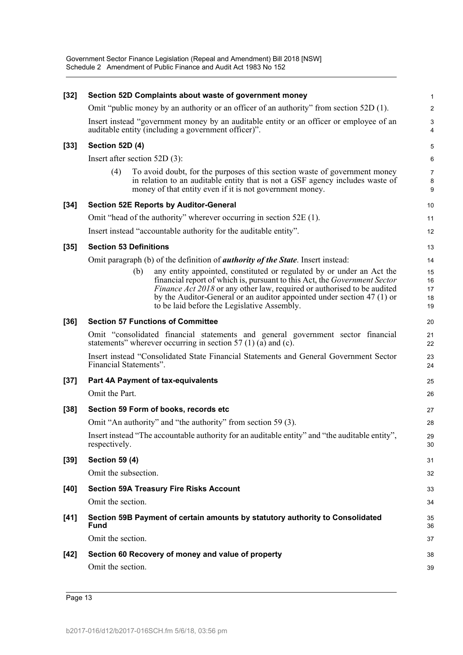Government Sector Finance Legislation (Repeal and Amendment) Bill 2018 [NSW] Schedule 2 Amendment of Public Finance and Audit Act 1983 No 152

| $[32]$ |                                 | Section 52D Complaints about waste of government money                                                                                                                                                                  | 1              |
|--------|---------------------------------|-------------------------------------------------------------------------------------------------------------------------------------------------------------------------------------------------------------------------|----------------|
|        |                                 | Omit "public money by an authority or an officer of an authority" from section 52D (1).                                                                                                                                 | $\overline{2}$ |
|        |                                 | Insert instead "government money by an auditable entity or an officer or employee of an<br>auditable entity (including a government officer)".                                                                          | 3<br>4         |
| $[33]$ | <b>Section 52D (4)</b>          |                                                                                                                                                                                                                         | 5              |
|        | Insert after section $52D(3)$ : |                                                                                                                                                                                                                         | 6              |
|        | (4)                             | To avoid doubt, for the purposes of this section waste of government money<br>in relation to an auditable entity that is not a GSF agency includes waste of<br>money of that entity even if it is not government money. | 7<br>8<br>9    |
| $[34]$ |                                 | <b>Section 52E Reports by Auditor-General</b>                                                                                                                                                                           | 10             |
|        |                                 | Omit "head of the authority" wherever occurring in section 52E (1).                                                                                                                                                     | 11             |
|        |                                 | Insert instead "accountable authority for the auditable entity".                                                                                                                                                        | 12             |
| $[35]$ | <b>Section 53 Definitions</b>   |                                                                                                                                                                                                                         | 13             |
|        |                                 | Omit paragraph (b) of the definition of <i>authority of the State</i> . Insert instead:                                                                                                                                 | 14             |
|        | (b)                             | any entity appointed, constituted or regulated by or under an Act the<br>financial report of which is, pursuant to this Act, the <i>Government Sector</i>                                                               | 15<br>16       |
|        |                                 | <i>Finance Act 2018</i> or any other law, required or authorised to be audited<br>by the Auditor-General or an auditor appointed under section $47(1)$ or<br>to be laid before the Legislative Assembly.                | 17<br>18<br>19 |
| $[36]$ |                                 | <b>Section 57 Functions of Committee</b>                                                                                                                                                                                | 20             |
|        |                                 | Omit "consolidated financial statements and general government sector financial<br>statements" wherever occurring in section 57 $(1)$ (a) and (c).                                                                      | 21<br>22       |
|        | Financial Statements".          | Insert instead "Consolidated State Financial Statements and General Government Sector                                                                                                                                   | 23<br>24       |
| $[37]$ |                                 | Part 4A Payment of tax-equivalents                                                                                                                                                                                      | 25             |
|        | Omit the Part.                  |                                                                                                                                                                                                                         | 26             |
| $[38]$ |                                 | Section 59 Form of books, records etc                                                                                                                                                                                   | 27             |
|        |                                 | Omit "An authority" and "the authority" from section 59 (3).                                                                                                                                                            | 28             |
|        | respectively.                   | Insert instead "The accountable authority for an auditable entity" and "the auditable entity",                                                                                                                          | 29<br>30       |
| $[39]$ | <b>Section 59 (4)</b>           |                                                                                                                                                                                                                         | 31             |
|        | Omit the subsection.            |                                                                                                                                                                                                                         | 32             |
| $[40]$ |                                 | <b>Section 59A Treasury Fire Risks Account</b>                                                                                                                                                                          | 33             |
|        | Omit the section.               |                                                                                                                                                                                                                         | 34             |
| $[41]$ | Fund                            | Section 59B Payment of certain amounts by statutory authority to Consolidated                                                                                                                                           | 35<br>36       |
|        | Omit the section.               |                                                                                                                                                                                                                         | 37             |
| $[42]$ |                                 | Section 60 Recovery of money and value of property                                                                                                                                                                      | 38             |
|        | Omit the section.               |                                                                                                                                                                                                                         | 39             |
|        |                                 |                                                                                                                                                                                                                         |                |

Page 13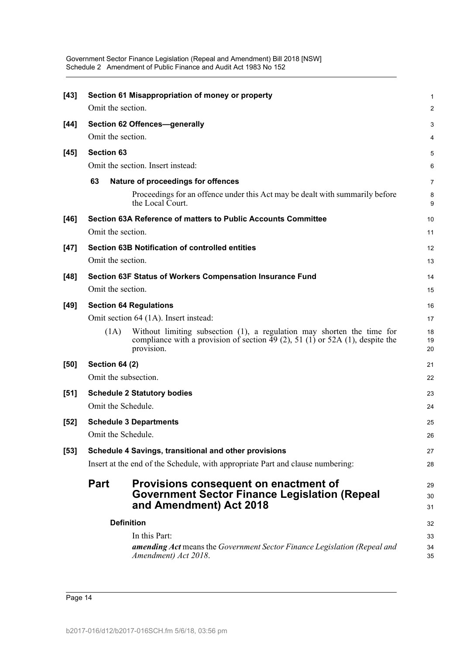| $[43]$ |                                                       | Section 61 Misappropriation of money or property                                                                                                                      | $\mathbf{1}$   |  |  |  |
|--------|-------------------------------------------------------|-----------------------------------------------------------------------------------------------------------------------------------------------------------------------|----------------|--|--|--|
|        | Omit the section.                                     |                                                                                                                                                                       | 2              |  |  |  |
| [44]   |                                                       | Section 62 Offences-generally                                                                                                                                         | 3              |  |  |  |
|        | Omit the section.                                     |                                                                                                                                                                       | 4              |  |  |  |
| $[45]$ | <b>Section 63</b>                                     |                                                                                                                                                                       | 5              |  |  |  |
|        |                                                       | Omit the section. Insert instead:                                                                                                                                     | 6              |  |  |  |
|        | 63                                                    | Nature of proceedings for offences                                                                                                                                    | $\overline{7}$ |  |  |  |
|        |                                                       | Proceedings for an offence under this Act may be dealt with summarily before<br>the Local Court.                                                                      | 8<br>9         |  |  |  |
| [46]   |                                                       | Section 63A Reference of matters to Public Accounts Committee                                                                                                         | 10             |  |  |  |
|        | Omit the section.                                     |                                                                                                                                                                       | 11             |  |  |  |
| $[47]$ |                                                       | <b>Section 63B Notification of controlled entities</b>                                                                                                                | 12             |  |  |  |
|        | Omit the section.                                     |                                                                                                                                                                       | 13             |  |  |  |
| $[48]$ |                                                       | Section 63F Status of Workers Compensation Insurance Fund                                                                                                             | 14             |  |  |  |
|        | Omit the section.                                     |                                                                                                                                                                       | 15             |  |  |  |
| $[49]$ |                                                       | <b>Section 64 Regulations</b>                                                                                                                                         | 16             |  |  |  |
|        |                                                       | Omit section 64 (1A). Insert instead:                                                                                                                                 | 17             |  |  |  |
|        | (1A)                                                  | Without limiting subsection (1), a regulation may shorten the time for<br>compliance with a provision of section 49 (2), 51 (1) or 52A (1), despite the<br>provision. | 18<br>19<br>20 |  |  |  |
| [50]   | <b>Section 64 (2)</b>                                 |                                                                                                                                                                       | 21             |  |  |  |
|        |                                                       | Omit the subsection.                                                                                                                                                  | 22             |  |  |  |
| $[51]$ | <b>Schedule 2 Statutory bodies</b>                    |                                                                                                                                                                       |                |  |  |  |
|        | Omit the Schedule.                                    |                                                                                                                                                                       | 24             |  |  |  |
| [52]   |                                                       | <b>Schedule 3 Departments</b>                                                                                                                                         | 25             |  |  |  |
|        | Omit the Schedule.                                    |                                                                                                                                                                       | 26             |  |  |  |
| $[53]$ | Schedule 4 Savings, transitional and other provisions |                                                                                                                                                                       |                |  |  |  |
|        |                                                       | Insert at the end of the Schedule, with appropriate Part and clause numbering:                                                                                        | 28             |  |  |  |
|        | <b>Part</b>                                           | Provisions consequent on enactment of<br><b>Government Sector Finance Legislation (Repeal</b><br>and Amendment) Act 2018                                              | 29<br>30<br>31 |  |  |  |
|        | <b>Definition</b>                                     |                                                                                                                                                                       |                |  |  |  |
|        |                                                       | In this Part:                                                                                                                                                         | 33             |  |  |  |
|        |                                                       | <b>amending Act</b> means the Government Sector Finance Legislation (Repeal and<br>Amendment) Act 2018.                                                               | 34<br>35       |  |  |  |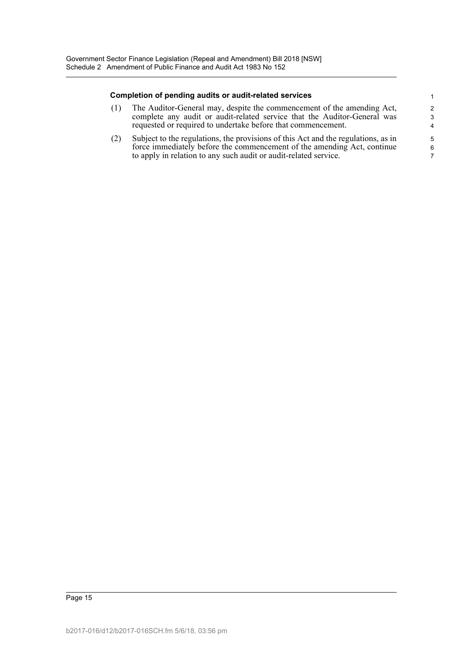#### **Completion of pending audits or audit-related services**

(1) The Auditor-General may, despite the commencement of the amending Act, complete any audit or audit-related service that the Auditor-General was requested or required to undertake before that commencement.

(2) Subject to the regulations, the provisions of this Act and the regulations, as in force immediately before the commencement of the amending Act, continue to apply in relation to any such audit or audit-related service.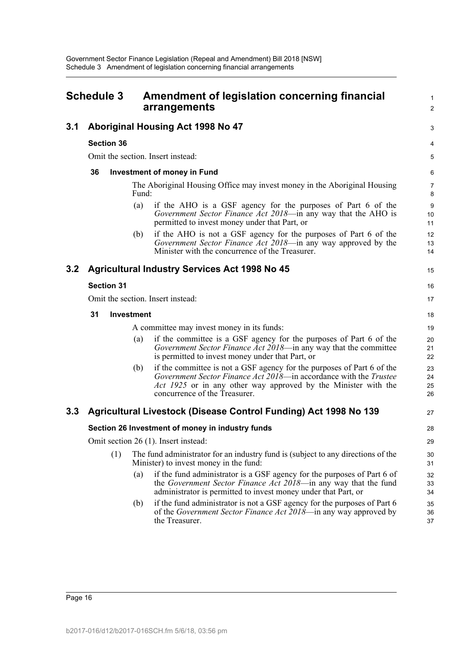<span id="page-16-0"></span>

| <b>Schedule 3</b> |                   |     | Amendment of legislation concerning financial<br>arrangements                                                                                                                                                                                         |                      |  |
|-------------------|-------------------|-----|-------------------------------------------------------------------------------------------------------------------------------------------------------------------------------------------------------------------------------------------------------|----------------------|--|
| 3.1               |                   |     | Aboriginal Housing Act 1998 No 47                                                                                                                                                                                                                     | 3                    |  |
|                   | <b>Section 36</b> |     |                                                                                                                                                                                                                                                       | 4                    |  |
|                   |                   |     | Omit the section. Insert instead:                                                                                                                                                                                                                     | 5                    |  |
|                   | 36                |     | <b>Investment of money in Fund</b>                                                                                                                                                                                                                    | 6                    |  |
|                   |                   |     | The Aboriginal Housing Office may invest money in the Aboriginal Housing<br>Fund:                                                                                                                                                                     | 7<br>8               |  |
|                   |                   |     | if the AHO is a GSF agency for the purposes of Part 6 of the<br>(a)<br>Government Sector Finance Act 2018—in any way that the AHO is<br>permitted to invest money under that Part, or                                                                 | 9<br>10<br>11        |  |
|                   |                   |     | if the AHO is not a GSF agency for the purposes of Part 6 of the<br>(b)<br>Government Sector Finance Act 2018—in any way approved by the<br>Minister with the concurrence of the Treasurer.                                                           | 12<br>13<br>14       |  |
| 3.2               |                   |     | <b>Agricultural Industry Services Act 1998 No 45</b>                                                                                                                                                                                                  | 15                   |  |
|                   | <b>Section 31</b> |     |                                                                                                                                                                                                                                                       | 16                   |  |
|                   |                   |     | Omit the section. Insert instead:                                                                                                                                                                                                                     | 17                   |  |
|                   | 31                |     | <b>Investment</b>                                                                                                                                                                                                                                     | 18                   |  |
|                   |                   |     | A committee may invest money in its funds:                                                                                                                                                                                                            | 19                   |  |
|                   |                   |     | if the committee is a GSF agency for the purposes of Part 6 of the<br>(a)<br>Government Sector Finance Act 2018—in any way that the committee<br>is permitted to invest money under that Part, or                                                     | 20<br>21<br>22       |  |
|                   |                   |     | if the committee is not a GSF agency for the purposes of Part 6 of the<br>(b)<br>Government Sector Finance Act 2018—in accordance with the Trustee<br>Act 1925 or in any other way approved by the Minister with the<br>concurrence of the Treasurer. | 23<br>24<br>25<br>26 |  |
| 3.3               |                   |     | Agricultural Livestock (Disease Control Funding) Act 1998 No 139                                                                                                                                                                                      | 27                   |  |
|                   |                   |     | Section 26 Investment of money in industry funds                                                                                                                                                                                                      | 28                   |  |
|                   |                   |     | Omit section 26 (1). Insert instead:                                                                                                                                                                                                                  | 29                   |  |
|                   |                   | (1) | The fund administrator for an industry fund is (subject to any directions of the<br>Minister) to invest money in the fund:                                                                                                                            | 30<br>31             |  |
|                   |                   |     | if the fund administrator is a GSF agency for the purposes of Part 6 of<br>(a)<br>the Government Sector Finance Act 2018—in any way that the fund<br>administrator is permitted to invest money under that Part, or                                   | 32<br>33<br>34       |  |
|                   |                   |     | if the fund administrator is not a GSF agency for the purposes of Part 6<br>(b)<br>of the <i>Government Sector Finance Act 2018</i> —in any way approved by<br>the Treasurer.                                                                         | 35<br>36<br>37       |  |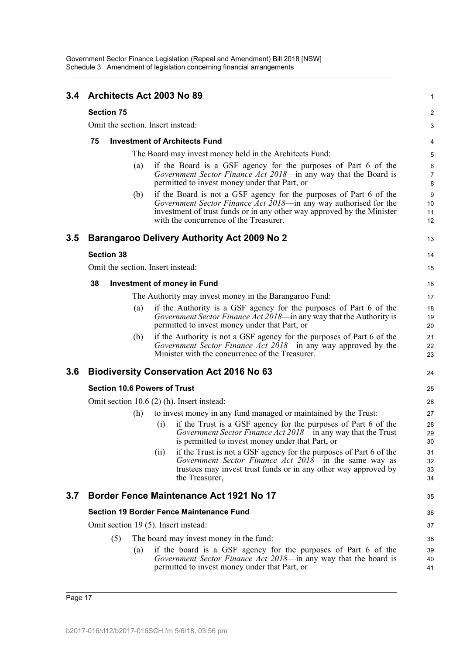| 3.4 | Architects Act 2003 No 89                                                                                                                                                                                                                                         | 1                    |  |  |  |  |  |  |
|-----|-------------------------------------------------------------------------------------------------------------------------------------------------------------------------------------------------------------------------------------------------------------------|----------------------|--|--|--|--|--|--|
|     | <b>Section 75</b>                                                                                                                                                                                                                                                 | $\boldsymbol{2}$     |  |  |  |  |  |  |
|     | Omit the section. Insert instead:                                                                                                                                                                                                                                 |                      |  |  |  |  |  |  |
|     | <b>Investment of Architects Fund</b><br>75                                                                                                                                                                                                                        |                      |  |  |  |  |  |  |
|     | The Board may invest money held in the Architects Fund:                                                                                                                                                                                                           | 5                    |  |  |  |  |  |  |
|     | if the Board is a GSF agency for the purposes of Part 6 of the<br>(a)<br>Government Sector Finance Act 2018-in any way that the Board is<br>permitted to invest money under that Part, or                                                                         | 6<br>7<br>8          |  |  |  |  |  |  |
|     | if the Board is not a GSF agency for the purposes of Part 6 of the<br>(b)<br>Government Sector Finance Act 2018—in any way authorised for the<br>investment of trust funds or in any other way approved by the Minister<br>with the concurrence of the Treasurer. | 9<br>10<br>11<br>12  |  |  |  |  |  |  |
| 3.5 | Barangaroo Delivery Authority Act 2009 No 2                                                                                                                                                                                                                       | 13                   |  |  |  |  |  |  |
|     | <b>Section 38</b>                                                                                                                                                                                                                                                 | 14                   |  |  |  |  |  |  |
|     | Omit the section. Insert instead:                                                                                                                                                                                                                                 | 15                   |  |  |  |  |  |  |
|     | 38<br><b>Investment of money in Fund</b>                                                                                                                                                                                                                          | 16                   |  |  |  |  |  |  |
|     | The Authority may invest money in the Barangaroo Fund:                                                                                                                                                                                                            | 17                   |  |  |  |  |  |  |
|     | if the Authority is a GSF agency for the purposes of Part 6 of the<br>(a)<br>Government Sector Finance Act 2018-in any way that the Authority is<br>permitted to invest money under that Part, or                                                                 | 18<br>19<br>20       |  |  |  |  |  |  |
|     | if the Authority is not a GSF agency for the purposes of Part 6 of the<br>(b)<br>Government Sector Finance Act 2018—in any way approved by the<br>Minister with the concurrence of the Treasurer.                                                                 | 21<br>22<br>23       |  |  |  |  |  |  |
| 3.6 | <b>Biodiversity Conservation Act 2016 No 63</b>                                                                                                                                                                                                                   | 24                   |  |  |  |  |  |  |
|     | <b>Section 10.6 Powers of Trust</b>                                                                                                                                                                                                                               | 25                   |  |  |  |  |  |  |
|     | Omit section $10.6(2)$ (h). Insert instead:                                                                                                                                                                                                                       | 26                   |  |  |  |  |  |  |
|     | to invest money in any fund managed or maintained by the Trust:<br>(h)                                                                                                                                                                                            | 27                   |  |  |  |  |  |  |
|     | if the Trust is a GSF agency for the purposes of Part 6 of the<br>$\left( 1 \right)$<br>Government Sector Finance Act 2018-in any way that the Trust<br>is permitted to invest money under that Part, or                                                          | 28<br>29<br>30       |  |  |  |  |  |  |
|     | if the Trust is not a GSF agency for the purposes of Part 6 of the<br>(ii)<br>Government Sector Finance Act 2018—in the same way as<br>trustees may invest trust funds or in any other way approved by<br>the Treasurer,                                          | 31<br>32<br>33<br>34 |  |  |  |  |  |  |
| 3.7 | <b>Border Fence Maintenance Act 1921 No 17</b>                                                                                                                                                                                                                    | 35                   |  |  |  |  |  |  |
|     | <b>Section 19 Border Fence Maintenance Fund</b>                                                                                                                                                                                                                   | 36                   |  |  |  |  |  |  |
|     | Omit section 19 (5). Insert instead:                                                                                                                                                                                                                              | 37                   |  |  |  |  |  |  |
|     | (5)<br>The board may invest money in the fund:                                                                                                                                                                                                                    | 38                   |  |  |  |  |  |  |
|     | if the board is a GSF agency for the purposes of Part 6 of the<br>(a)<br>Government Sector Finance Act 2018—in any way that the board is<br>permitted to invest money under that Part, or                                                                         | 39<br>40<br>41       |  |  |  |  |  |  |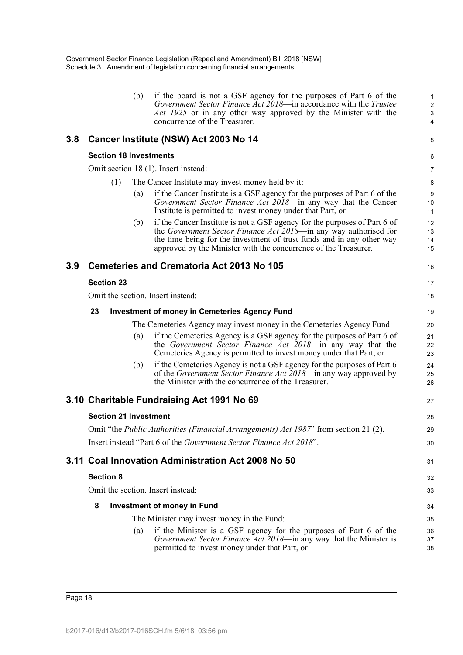|     |                  |                   | (b) | if the board is not a GSF agency for the purposes of Part 6 of the<br>Government Sector Finance Act 2018—in accordance with the Trustee<br>Act 1925 or in any other way approved by the Minister with the<br>concurrence of the Treasurer.                                                | 1<br>$\overline{2}$<br>3<br>4 |
|-----|------------------|-------------------|-----|-------------------------------------------------------------------------------------------------------------------------------------------------------------------------------------------------------------------------------------------------------------------------------------------|-------------------------------|
| 3.8 |                  |                   |     | Cancer Institute (NSW) Act 2003 No 14                                                                                                                                                                                                                                                     | 5                             |
|     |                  |                   |     | <b>Section 18 Investments</b>                                                                                                                                                                                                                                                             | 6                             |
|     |                  |                   |     | Omit section 18 (1). Insert instead:                                                                                                                                                                                                                                                      | $\overline{7}$                |
|     |                  | (1)               |     | The Cancer Institute may invest money held by it:                                                                                                                                                                                                                                         | 8                             |
|     |                  |                   | (a) | if the Cancer Institute is a GSF agency for the purposes of Part 6 of the<br>Government Sector Finance Act 2018-in any way that the Cancer<br>Institute is permitted to invest money under that Part, or                                                                                  | 9<br>10<br>11                 |
|     |                  |                   | (b) | if the Cancer Institute is not a GSF agency for the purposes of Part 6 of<br>the Government Sector Finance Act 2018—in any way authorised for<br>the time being for the investment of trust funds and in any other way<br>approved by the Minister with the concurrence of the Treasurer. | 12<br>13<br>14<br>15          |
| 3.9 |                  |                   |     | <b>Cemeteries and Crematoria Act 2013 No 105</b>                                                                                                                                                                                                                                          | 16                            |
|     |                  | <b>Section 23</b> |     |                                                                                                                                                                                                                                                                                           | 17                            |
|     |                  |                   |     | Omit the section. Insert instead:                                                                                                                                                                                                                                                         | 18                            |
|     | 23               |                   |     | <b>Investment of money in Cemeteries Agency Fund</b>                                                                                                                                                                                                                                      | 19                            |
|     |                  |                   |     | The Cemeteries Agency may invest money in the Cemeteries Agency Fund:                                                                                                                                                                                                                     | 20                            |
|     |                  |                   | (a) | if the Cemeteries Agency is a GSF agency for the purposes of Part 6 of<br>the Government Sector Finance Act 2018—in any way that the<br>Cemeteries Agency is permitted to invest money under that Part, or                                                                                | 21<br>22<br>23                |
|     |                  |                   | (b) | if the Cemeteries Agency is not a GSF agency for the purposes of Part 6<br>of the Government Sector Finance Act 2018—in any way approved by<br>the Minister with the concurrence of the Treasurer.                                                                                        | 24<br>25<br>26                |
|     |                  |                   |     | 3.10 Charitable Fundraising Act 1991 No 69                                                                                                                                                                                                                                                | 27                            |
|     |                  |                   |     | <b>Section 21 Investment</b>                                                                                                                                                                                                                                                              | 28                            |
|     |                  |                   |     | Omit "the <i>Public Authorities (Financial Arrangements) Act 1987</i> " from section 21 (2).                                                                                                                                                                                              | 29                            |
|     |                  |                   |     | Insert instead "Part 6 of the Government Sector Finance Act 2018".                                                                                                                                                                                                                        | 30                            |
|     |                  |                   |     | 3.11 Coal Innovation Administration Act 2008 No 50                                                                                                                                                                                                                                        | 31                            |
|     | <b>Section 8</b> |                   |     |                                                                                                                                                                                                                                                                                           | 32                            |
|     |                  |                   |     | Omit the section. Insert instead:                                                                                                                                                                                                                                                         | 33                            |
|     | 8                |                   |     | <b>Investment of money in Fund</b>                                                                                                                                                                                                                                                        | 34                            |
|     |                  |                   |     | The Minister may invest money in the Fund:                                                                                                                                                                                                                                                | 35                            |
|     |                  |                   | (a) | if the Minister is a GSF agency for the purposes of Part 6 of the<br>Government Sector Finance Act 2018-in any way that the Minister is<br>permitted to invest money under that Part, or                                                                                                  | 36<br>37<br>38                |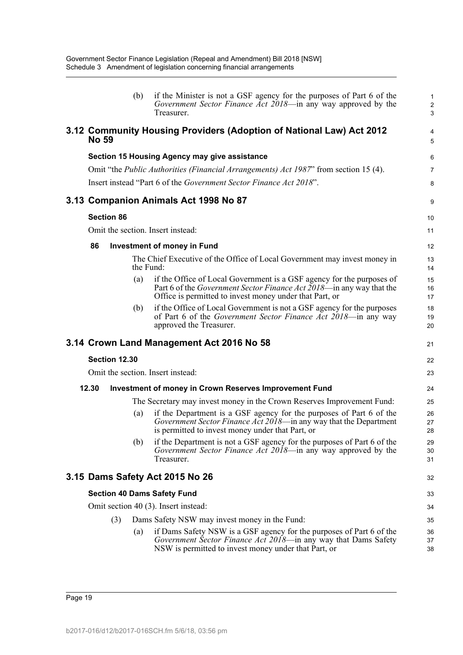|              |                   | (b)               | if the Minister is not a GSF agency for the purposes of Part 6 of the<br>Government Sector Finance Act 2018—in any way approved by the<br>Treasurer.                                                             | $\mathbf{1}$<br>$\overline{2}$<br>3 |
|--------------|-------------------|-------------------|------------------------------------------------------------------------------------------------------------------------------------------------------------------------------------------------------------------|-------------------------------------|
| <b>No 59</b> |                   |                   | 3.12 Community Housing Providers (Adoption of National Law) Act 2012                                                                                                                                             | 4<br>5                              |
|              |                   |                   | Section 15 Housing Agency may give assistance                                                                                                                                                                    | 6                                   |
|              |                   |                   | Omit "the <i>Public Authorities (Financial Arrangements) Act 1987</i> " from section 15 (4).                                                                                                                     | $\overline{7}$                      |
|              |                   |                   | Insert instead "Part 6 of the <i>Government Sector Finance Act 2018</i> ".                                                                                                                                       | 8                                   |
|              |                   |                   | 3.13 Companion Animals Act 1998 No 87                                                                                                                                                                            | 9                                   |
|              | <b>Section 86</b> |                   |                                                                                                                                                                                                                  | 10                                  |
|              |                   |                   | Omit the section. Insert instead:                                                                                                                                                                                | 11                                  |
| 86           |                   |                   | <b>Investment of money in Fund</b>                                                                                                                                                                               | 12                                  |
|              |                   | the Fund:         | The Chief Executive of the Office of Local Government may invest money in                                                                                                                                        | 13<br>14                            |
|              |                   | (a)               | if the Office of Local Government is a GSF agency for the purposes of<br>Part 6 of the <i>Government Sector Finance Act 2018</i> —in any way that the<br>Office is permitted to invest money under that Part, or | 15<br>16<br>17                      |
|              |                   | (b)               | if the Office of Local Government is not a GSF agency for the purposes<br>of Part 6 of the Government Sector Finance Act 2018—in any way<br>approved the Treasurer.                                              | 18<br>19<br>20                      |
|              |                   |                   | 3.14 Crown Land Management Act 2016 No 58                                                                                                                                                                        | 21                                  |
|              | Section 12.30     |                   |                                                                                                                                                                                                                  | 22                                  |
|              |                   |                   | Omit the section. Insert instead:                                                                                                                                                                                | 23                                  |
| 12.30        |                   |                   | <b>Investment of money in Crown Reserves Improvement Fund</b>                                                                                                                                                    | 24                                  |
|              |                   |                   | The Secretary may invest money in the Crown Reserves Improvement Fund:                                                                                                                                           | 25                                  |
|              |                   | (a)               | if the Department is a GSF agency for the purposes of Part 6 of the<br>Government Sector Finance Act 2018-in any way that the Department<br>is permitted to invest money under that Part, or                     | 26<br>27<br>28                      |
|              |                   | (b)               | if the Department is not a GSF agency for the purposes of Part 6 of the<br>Government Sector Finance Act 2018—in any way approved by the<br>Treasurer.                                                           | 29<br>30<br>31                      |
|              |                   |                   | 3.15 Dams Safety Act 2015 No 26                                                                                                                                                                                  | 32                                  |
|              |                   |                   | <b>Section 40 Dams Safety Fund</b>                                                                                                                                                                               | 33                                  |
|              |                   |                   | Omit section 40 (3). Insert instead:                                                                                                                                                                             | 34                                  |
|              | (3)               |                   | Dams Safety NSW may invest money in the Fund:                                                                                                                                                                    | 35                                  |
|              |                   | $\left( a\right)$ | if Dams Safety NSW is a GSF agency for the purposes of Part 6 of the<br>Government Sector Finance Act 2018-in any way that Dams Safety<br>NSW is permitted to invest money under that Part, or                   | 36<br>37<br>38                      |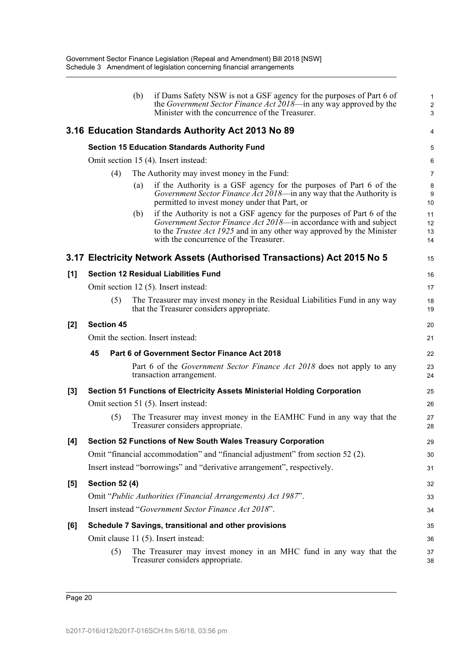|       |                       |     | 3.16 Education Standards Authority Act 2013 No 89                                                                                                                                                                                                                     | 4                    |
|-------|-----------------------|-----|-----------------------------------------------------------------------------------------------------------------------------------------------------------------------------------------------------------------------------------------------------------------------|----------------------|
|       |                       |     | <b>Section 15 Education Standards Authority Fund</b>                                                                                                                                                                                                                  | 5                    |
|       |                       |     | Omit section 15 (4). Insert instead:                                                                                                                                                                                                                                  | 6                    |
|       | (4)                   |     | The Authority may invest money in the Fund:                                                                                                                                                                                                                           | 7                    |
|       |                       | (a) | if the Authority is a GSF agency for the purposes of Part 6 of the<br>Government Sector Finance Act 2018-in any way that the Authority is<br>permitted to invest money under that Part, or                                                                            | 8<br>$9\,$<br>10     |
|       |                       | (b) | if the Authority is not a GSF agency for the purposes of Part 6 of the<br>Government Sector Finance Act 2018—in accordance with and subject<br>to the <i>Trustee Act 1925</i> and in any other way approved by the Minister<br>with the concurrence of the Treasurer. | 11<br>12<br>13<br>14 |
|       |                       |     | 3.17 Electricity Network Assets (Authorised Transactions) Act 2015 No 5                                                                                                                                                                                               | 15                   |
| [1]   |                       |     | <b>Section 12 Residual Liabilities Fund</b>                                                                                                                                                                                                                           | 16                   |
|       |                       |     | Omit section 12 (5). Insert instead:                                                                                                                                                                                                                                  | 17                   |
|       | (5)                   |     | The Treasurer may invest money in the Residual Liabilities Fund in any way<br>that the Treasurer considers appropriate.                                                                                                                                               | 18<br>19             |
| $[2]$ | <b>Section 45</b>     |     |                                                                                                                                                                                                                                                                       | 20                   |
|       |                       |     | Omit the section. Insert instead:                                                                                                                                                                                                                                     | 21                   |
|       | 45                    |     | Part 6 of Government Sector Finance Act 2018                                                                                                                                                                                                                          | 22                   |
|       |                       |     | Part 6 of the <i>Government Sector Finance Act 2018</i> does not apply to any<br>transaction arrangement.                                                                                                                                                             | 23<br>24             |
| [3]   |                       |     | Section 51 Functions of Electricity Assets Ministerial Holding Corporation                                                                                                                                                                                            | 25                   |
|       |                       |     | Omit section 51 (5). Insert instead:                                                                                                                                                                                                                                  | 26                   |
|       | (5)                   |     | The Treasurer may invest money in the EAMHC Fund in any way that the<br>Treasurer considers appropriate.                                                                                                                                                              | 27<br>28             |
| $[4]$ |                       |     | Section 52 Functions of New South Wales Treasury Corporation                                                                                                                                                                                                          | 29                   |
|       |                       |     | Omit "financial accommodation" and "financial adjustment" from section 52 (2).                                                                                                                                                                                        | 30                   |
|       |                       |     | Insert instead "borrowings" and "derivative arrangement", respectively.                                                                                                                                                                                               | 31                   |
| [5]   | <b>Section 52 (4)</b> |     |                                                                                                                                                                                                                                                                       | 32                   |
|       |                       |     | Omit "Public Authorities (Financial Arrangements) Act 1987".                                                                                                                                                                                                          | 33                   |
|       |                       |     | Insert instead "Government Sector Finance Act 2018".                                                                                                                                                                                                                  | 34                   |
| [6]   |                       |     | Schedule 7 Savings, transitional and other provisions                                                                                                                                                                                                                 | 35                   |
|       |                       |     | Omit clause 11 (5). Insert instead:                                                                                                                                                                                                                                   | 36                   |
|       | (5)                   |     | The Treasurer may invest money in an MHC fund in any way that the<br>Treasurer considers appropriate.                                                                                                                                                                 | 37<br>38             |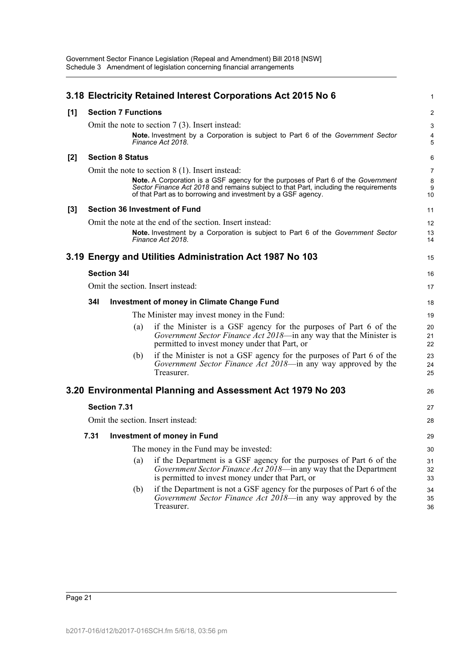|       | 3.18 Electricity Retained Interest Corporations Act 2015 No 6 |                            |     |                                                                                                                                                                                                                                                 |                          |  |
|-------|---------------------------------------------------------------|----------------------------|-----|-------------------------------------------------------------------------------------------------------------------------------------------------------------------------------------------------------------------------------------------------|--------------------------|--|
| [1]   |                                                               | <b>Section 7 Functions</b> |     |                                                                                                                                                                                                                                                 | $\overline{c}$           |  |
|       |                                                               |                            |     | Omit the note to section $7(3)$ . Insert instead:<br><b>Note.</b> Investment by a Corporation is subject to Part 6 of the Government Sector<br>Finance Act 2018.                                                                                | 3<br>$\overline{4}$<br>5 |  |
| $[2]$ |                                                               | <b>Section 8 Status</b>    |     |                                                                                                                                                                                                                                                 | 6                        |  |
|       |                                                               |                            |     | Omit the note to section $8(1)$ . Insert instead:                                                                                                                                                                                               | $\overline{7}$           |  |
|       |                                                               |                            |     | <b>Note.</b> A Corporation is a GSF agency for the purposes of Part 6 of the Government<br>Sector Finance Act 2018 and remains subject to that Part, including the requirements<br>of that Part as to borrowing and investment by a GSF agency. | 8<br>9<br>10             |  |
| $[3]$ |                                                               |                            |     | <b>Section 36 Investment of Fund</b>                                                                                                                                                                                                            | 11                       |  |
|       |                                                               |                            |     | Omit the note at the end of the section. Insert instead:                                                                                                                                                                                        | 12                       |  |
|       |                                                               |                            |     | Note. Investment by a Corporation is subject to Part 6 of the Government Sector<br>Finance Act 2018.                                                                                                                                            | 13<br>14                 |  |
|       |                                                               |                            |     | 3.19 Energy and Utilities Administration Act 1987 No 103                                                                                                                                                                                        | 15                       |  |
|       |                                                               | <b>Section 34I</b>         |     |                                                                                                                                                                                                                                                 | 16                       |  |
|       |                                                               |                            |     | Omit the section. Insert instead:                                                                                                                                                                                                               | 17                       |  |
|       | <b>341</b>                                                    |                            |     | <b>Investment of money in Climate Change Fund</b>                                                                                                                                                                                               | 18                       |  |
|       |                                                               |                            |     | The Minister may invest money in the Fund:                                                                                                                                                                                                      | 19                       |  |
|       |                                                               |                            | (a) | if the Minister is a GSF agency for the purposes of Part 6 of the<br>Government Sector Finance Act 2018—in any way that the Minister is<br>permitted to invest money under that Part, or                                                        | 20<br>21<br>22           |  |
|       |                                                               |                            | (b) | if the Minister is not a GSF agency for the purposes of Part 6 of the<br>Government Sector Finance Act 2018—in any way approved by the<br>Treasurer.                                                                                            | 23<br>24<br>25           |  |
|       |                                                               |                            |     | 3.20 Environmental Planning and Assessment Act 1979 No 203                                                                                                                                                                                      | 26                       |  |
|       |                                                               | Section 7.31               |     |                                                                                                                                                                                                                                                 | 27                       |  |
|       |                                                               |                            |     | Omit the section. Insert instead:                                                                                                                                                                                                               | 28                       |  |
|       |                                                               |                            |     | 7.31 Investment of money in Fund                                                                                                                                                                                                                | 29                       |  |
|       |                                                               |                            |     | The money in the Fund may be invested:                                                                                                                                                                                                          | 30                       |  |
|       |                                                               |                            | (a) | if the Department is a GSF agency for the purposes of Part 6 of the<br>Government Sector Finance Act 2018—in any way that the Department<br>is permitted to invest money under that Part, or                                                    | 31<br>32<br>33           |  |
|       |                                                               |                            | (b) | if the Department is not a GSF agency for the purposes of Part 6 of the<br>Government Sector Finance Act 2018—in any way approved by the<br>Treasurer.                                                                                          | 34<br>35<br>36           |  |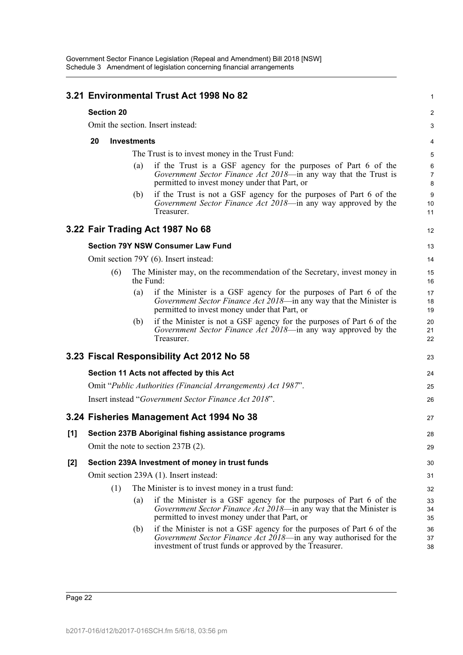|       |                          |                   |           | 3.21 Environmental Trust Act 1998 No 82                                                                                                                                                              | $\mathbf{1}$             |  |  |
|-------|--------------------------|-------------------|-----------|------------------------------------------------------------------------------------------------------------------------------------------------------------------------------------------------------|--------------------------|--|--|
|       |                          | <b>Section 20</b> |           |                                                                                                                                                                                                      | 2                        |  |  |
|       |                          |                   |           | Omit the section. Insert instead:                                                                                                                                                                    | 3                        |  |  |
|       | 20<br><b>Investments</b> |                   |           |                                                                                                                                                                                                      |                          |  |  |
|       |                          |                   |           | The Trust is to invest money in the Trust Fund:                                                                                                                                                      | 5                        |  |  |
|       |                          |                   | (a)       | if the Trust is a GSF agency for the purposes of Part 6 of the<br>Government Sector Finance Act 2018-in any way that the Trust is<br>permitted to invest money under that Part, or                   | 6<br>$\overline{7}$<br>8 |  |  |
|       |                          |                   | (b)       | if the Trust is not a GSF agency for the purposes of Part 6 of the<br>Government Sector Finance Act 2018—in any way approved by the<br>Treasurer.                                                    | 9<br>10<br>11            |  |  |
|       |                          |                   |           | 3.22 Fair Trading Act 1987 No 68                                                                                                                                                                     | $12 \overline{ }$        |  |  |
|       |                          |                   |           | <b>Section 79Y NSW Consumer Law Fund</b>                                                                                                                                                             | 13                       |  |  |
|       |                          |                   |           | Omit section 79Y (6). Insert instead:                                                                                                                                                                | 14                       |  |  |
|       |                          | (6)               | the Fund: | The Minister may, on the recommendation of the Secretary, invest money in                                                                                                                            | 15<br>16                 |  |  |
|       |                          |                   | (a)       | if the Minister is a GSF agency for the purposes of Part 6 of the<br>Government Sector Finance Act 2018—in any way that the Minister is<br>permitted to invest money under that Part, or             | 17<br>18<br>19           |  |  |
|       |                          |                   | (b)       | if the Minister is not a GSF agency for the purposes of Part 6 of the<br>Government Sector Finance Act 2018—in any way approved by the<br>Treasurer.                                                 | 20<br>21<br>22           |  |  |
|       |                          |                   |           | 3.23 Fiscal Responsibility Act 2012 No 58                                                                                                                                                            | 23                       |  |  |
|       |                          |                   |           | Section 11 Acts not affected by this Act                                                                                                                                                             | 24                       |  |  |
|       |                          |                   |           | Omit "Public Authorities (Financial Arrangements) Act 1987".                                                                                                                                         | 25                       |  |  |
|       |                          |                   |           | Insert instead "Government Sector Finance Act 2018".                                                                                                                                                 | 26                       |  |  |
|       |                          |                   |           | 3.24 Fisheries Management Act 1994 No 38                                                                                                                                                             | 27                       |  |  |
| [1]   |                          |                   |           | Section 237B Aboriginal fishing assistance programs                                                                                                                                                  | 28                       |  |  |
|       |                          |                   |           | Omit the note to section 237B (2).                                                                                                                                                                   | 29                       |  |  |
| $[2]$ |                          |                   |           | Section 239A Investment of money in trust funds                                                                                                                                                      | 30                       |  |  |
|       |                          |                   |           | Omit section 239A (1). Insert instead:                                                                                                                                                               | 31                       |  |  |
|       |                          | (1)               |           | The Minister is to invest money in a trust fund:                                                                                                                                                     | 32                       |  |  |
|       |                          |                   | (a)       | if the Minister is a GSF agency for the purposes of Part 6 of the<br>Government Sector Finance Act 2018—in any way that the Minister is<br>permitted to invest money under that Part, or             | 33<br>34<br>35           |  |  |
|       |                          |                   | (b)       | if the Minister is not a GSF agency for the purposes of Part 6 of the<br>Government Sector Finance Act 2018—in any way authorised for the<br>investment of trust funds or approved by the Treasurer. | 36<br>37<br>38           |  |  |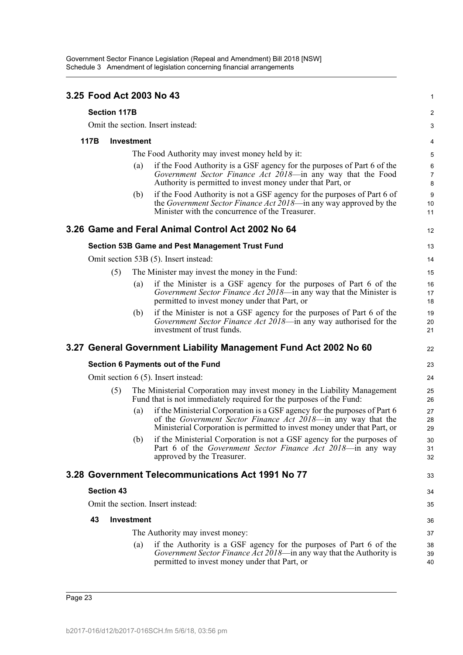|                                     |                     |                   | 3.25 Food Act 2003 No 43                                                                                                                                                                                               | 1                        |  |  |
|-------------------------------------|---------------------|-------------------|------------------------------------------------------------------------------------------------------------------------------------------------------------------------------------------------------------------------|--------------------------|--|--|
|                                     | <b>Section 117B</b> |                   |                                                                                                                                                                                                                        | 2                        |  |  |
|                                     |                     |                   | Omit the section. Insert instead:                                                                                                                                                                                      | 3                        |  |  |
| 117B                                |                     | <b>Investment</b> |                                                                                                                                                                                                                        |                          |  |  |
|                                     |                     |                   | The Food Authority may invest money held by it:                                                                                                                                                                        | 5                        |  |  |
|                                     |                     | (a)               | if the Food Authority is a GSF agency for the purposes of Part 6 of the<br>Government Sector Finance Act 2018-in any way that the Food<br>Authority is permitted to invest money under that Part, or                   | 6<br>$\overline{7}$<br>8 |  |  |
|                                     |                     | (b)               | if the Food Authority is not a GSF agency for the purposes of Part 6 of<br>the Government Sector Finance Act 2018—in any way approved by the<br>Minister with the concurrence of the Treasurer.                        | $9\,$<br>10<br>11        |  |  |
|                                     |                     |                   | 3.26 Game and Feral Animal Control Act 2002 No 64                                                                                                                                                                      | 12                       |  |  |
|                                     |                     |                   | Section 53B Game and Pest Management Trust Fund                                                                                                                                                                        | 13                       |  |  |
|                                     |                     |                   | Omit section 53B (5). Insert instead:                                                                                                                                                                                  | 14                       |  |  |
|                                     | (5)                 |                   | The Minister may invest the money in the Fund:                                                                                                                                                                         | 15                       |  |  |
|                                     |                     | (a)               | if the Minister is a GSF agency for the purposes of Part 6 of the<br>Government Sector Finance Act 2018—in any way that the Minister is<br>permitted to invest money under that Part, or                               | 16<br>17<br>18           |  |  |
|                                     |                     | (b)               | if the Minister is not a GSF agency for the purposes of Part 6 of the<br>Government Sector Finance Act 2018—in any way authorised for the<br>investment of trust funds.                                                | 19<br>20<br>21           |  |  |
|                                     |                     |                   | 3.27 General Government Liability Management Fund Act 2002 No 60                                                                                                                                                       | 22                       |  |  |
|                                     |                     |                   | Section 6 Payments out of the Fund                                                                                                                                                                                     | 23                       |  |  |
| Omit section 6 (5). Insert instead: |                     |                   |                                                                                                                                                                                                                        |                          |  |  |
|                                     | (5)                 |                   | The Ministerial Corporation may invest money in the Liability Management<br>Fund that is not immediately required for the purposes of the Fund:                                                                        | 25<br>26                 |  |  |
|                                     |                     | (a)               | if the Ministerial Corporation is a GSF agency for the purposes of Part 6<br>of the Government Sector Finance Act 2018—in any way that the<br>Ministerial Corporation is permitted to invest money under that Part, or | 27<br>28<br>29           |  |  |
|                                     |                     | (b)               | if the Ministerial Corporation is not a GSF agency for the purposes of<br>Part 6 of the Government Sector Finance Act 2018-in any way<br>approved by the Treasurer.                                                    | 30<br>31<br>32           |  |  |
|                                     |                     |                   | 3.28 Government Telecommunications Act 1991 No 77                                                                                                                                                                      | 33                       |  |  |
|                                     | <b>Section 43</b>   |                   |                                                                                                                                                                                                                        | 34                       |  |  |
|                                     |                     |                   | Omit the section. Insert instead:                                                                                                                                                                                      | 35                       |  |  |
| 43                                  |                     | <b>Investment</b> |                                                                                                                                                                                                                        | 36                       |  |  |
|                                     |                     |                   | The Authority may invest money:                                                                                                                                                                                        | 37                       |  |  |
|                                     |                     | (a)               | if the Authority is a GSF agency for the purposes of Part 6 of the<br>Government Sector Finance Act 2018—in any way that the Authority is<br>permitted to invest money under that Part, or                             | 38<br>39<br>40           |  |  |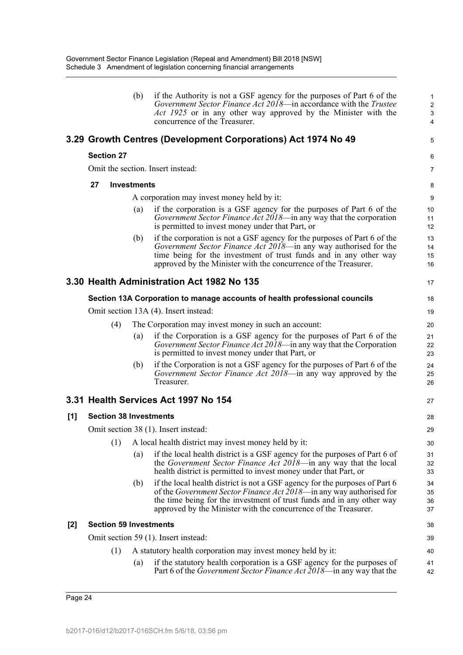|     |    |                   | (b)                | if the Authority is not a GSF agency for the purposes of Part 6 of the<br>Government Sector Finance Act 2018—in accordance with the Trustee<br>Act 1925 or in any other way approved by the Minister with the<br>concurrence of the Treasurer.                                                         | 1<br>$\overline{2}$<br>$\mathbf{3}$<br>4 |  |  |  |
|-----|----|-------------------|--------------------|--------------------------------------------------------------------------------------------------------------------------------------------------------------------------------------------------------------------------------------------------------------------------------------------------------|------------------------------------------|--|--|--|
|     |    |                   |                    | 3.29 Growth Centres (Development Corporations) Act 1974 No 49                                                                                                                                                                                                                                          | 5                                        |  |  |  |
|     |    | <b>Section 27</b> |                    |                                                                                                                                                                                                                                                                                                        | 6                                        |  |  |  |
|     |    |                   |                    | Omit the section. Insert instead:                                                                                                                                                                                                                                                                      | 7                                        |  |  |  |
|     | 27 |                   | <b>Investments</b> |                                                                                                                                                                                                                                                                                                        | 8                                        |  |  |  |
|     |    |                   |                    | A corporation may invest money held by it:                                                                                                                                                                                                                                                             | 9                                        |  |  |  |
|     |    |                   | $\left( a\right)$  | if the corporation is a GSF agency for the purposes of Part 6 of the<br>Government Sector Finance Act 2018—in any way that the corporation<br>is permitted to invest money under that Part, or                                                                                                         | 10<br>11<br>12                           |  |  |  |
|     |    |                   | (b)                | if the corporation is not a GSF agency for the purposes of Part 6 of the<br>Government Sector Finance Act 2018—in any way authorised for the<br>time being for the investment of trust funds and in any other way<br>approved by the Minister with the concurrence of the Treasurer.                   | 13<br>14<br>15<br>16                     |  |  |  |
|     |    |                   |                    | 3.30 Health Administration Act 1982 No 135                                                                                                                                                                                                                                                             | 17                                       |  |  |  |
|     |    |                   |                    | Section 13A Corporation to manage accounts of health professional councils                                                                                                                                                                                                                             | 18                                       |  |  |  |
|     |    |                   |                    | Omit section 13A (4). Insert instead:                                                                                                                                                                                                                                                                  | 19                                       |  |  |  |
|     |    | (4)               |                    | The Corporation may invest money in such an account:                                                                                                                                                                                                                                                   |                                          |  |  |  |
|     |    |                   | (a)                | if the Corporation is a GSF agency for the purposes of Part 6 of the<br>Government Sector Finance Act 2018—in any way that the Corporation<br>is permitted to invest money under that Part, or                                                                                                         | 21<br>22<br>23                           |  |  |  |
|     |    |                   | (b)                | if the Corporation is not a GSF agency for the purposes of Part 6 of the<br>Government Sector Finance Act 2018-in any way approved by the<br>Treasurer.                                                                                                                                                | 24<br>25<br>26                           |  |  |  |
|     |    |                   |                    | 3.31 Health Services Act 1997 No 154                                                                                                                                                                                                                                                                   | 27                                       |  |  |  |
| [1] |    |                   |                    | <b>Section 38 Investments</b>                                                                                                                                                                                                                                                                          | 28                                       |  |  |  |
|     |    |                   |                    | Omit section 38 (1). Insert instead:                                                                                                                                                                                                                                                                   | 29                                       |  |  |  |
|     |    | (1)               |                    | A local health district may invest money held by it:                                                                                                                                                                                                                                                   | 30                                       |  |  |  |
|     |    |                   | (a)                | if the local health district is a GSF agency for the purposes of Part 6 of<br>the <i>Government Sector Finance Act 2018</i> —in any way that the local<br>health district is permitted to invest money under that Part, or                                                                             | 31<br>32<br>33                           |  |  |  |
|     |    |                   | (b)                | if the local health district is not a GSF agency for the purposes of Part 6<br>of the <i>Government Sector Finance Act 2018</i> —in any way authorised for<br>the time being for the investment of trust funds and in any other way<br>approved by the Minister with the concurrence of the Treasurer. | 34<br>35<br>36<br>37                     |  |  |  |
| [2] |    |                   |                    | <b>Section 59 Investments</b>                                                                                                                                                                                                                                                                          | 38                                       |  |  |  |
|     |    |                   |                    | Omit section 59 (1). Insert instead:                                                                                                                                                                                                                                                                   | 39                                       |  |  |  |
|     |    | (1)               |                    | A statutory health corporation may invest money held by it:                                                                                                                                                                                                                                            | 40                                       |  |  |  |
|     |    |                   | $\left( a\right)$  | if the statutory health corporation is a GSF agency for the purposes of<br>Part 6 of the <i>Government Sector Finance Act 2018</i> —in any way that the                                                                                                                                                | 41<br>42                                 |  |  |  |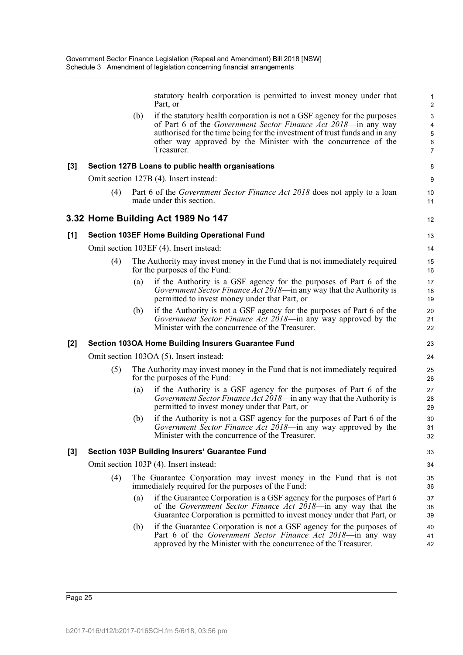statutory health corporation is permitted to invest money under that Part, or

12

(b) if the statutory health corporation is not a GSF agency for the purposes of Part 6 of the *Government Sector Finance Act 2018*—in any way authorised for the time being for the investment of trust funds and in any other way approved by the Minister with the concurrence of the Treasurer.

#### **[3] Section 127B Loans to public health organisations**

Omit section 127B (4). Insert instead:

(4) Part 6 of the *Government Sector Finance Act 2018* does not apply to a loan made under this section.

#### **3.32 Home Building Act 1989 No 147**

#### **[1] Section 103EF Home Building Operational Fund**

Omit section 103EF (4). Insert instead:

- (4) The Authority may invest money in the Fund that is not immediately required for the purposes of the Fund:
	- (a) if the Authority is a GSF agency for the purposes of Part 6 of the *Government Sector Finance Act 2018*—in any way that the Authority is permitted to invest money under that Part, or
	- (b) if the Authority is not a GSF agency for the purposes of Part 6 of the *Government Sector Finance Act 2018*—in any way approved by the Minister with the concurrence of the Treasurer.

#### **[2] Section 103OA Home Building Insurers Guarantee Fund**

Omit section 103OA (5). Insert instead:

- (5) The Authority may invest money in the Fund that is not immediately required for the purposes of the Fund:
	- (a) if the Authority is a GSF agency for the purposes of Part 6 of the *Government Sector Finance Act 2018*—in any way that the Authority is permitted to invest money under that Part, or
	- (b) if the Authority is not a GSF agency for the purposes of Part 6 of the *Government Sector Finance Act 2018*—in any way approved by the Minister with the concurrence of the Treasurer.

#### **[3] Section 103P Building Insurers' Guarantee Fund**

Omit section 103P (4). Insert instead:

- (4) The Guarantee Corporation may invest money in the Fund that is not immediately required for the purposes of the Fund:
	- (a) if the Guarantee Corporation is a GSF agency for the purposes of Part 6 of the *Government Sector Finance Act 2018*—in any way that the Guarantee Corporation is permitted to invest money under that Part, or
	- (b) if the Guarantee Corporation is not a GSF agency for the purposes of Part 6 of the *Government Sector Finance Act 2018*—in any way approved by the Minister with the concurrence of the Treasurer.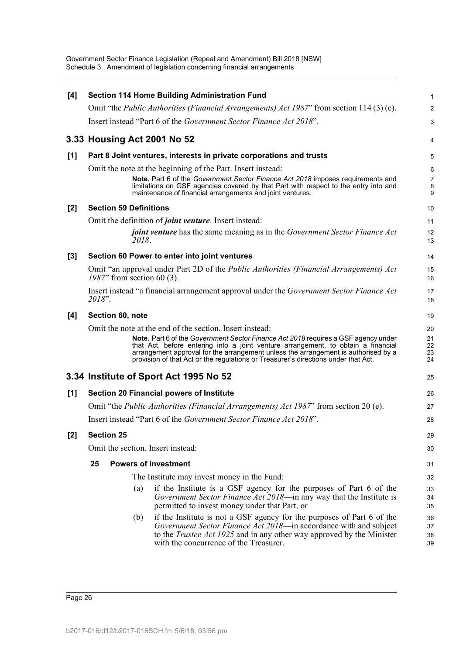| [4]   | <b>Section 114 Home Building Administration Fund</b>                                                                                                                                                                                                                                                                                                                                                            | 1                          |
|-------|-----------------------------------------------------------------------------------------------------------------------------------------------------------------------------------------------------------------------------------------------------------------------------------------------------------------------------------------------------------------------------------------------------------------|----------------------------|
|       | Omit "the <i>Public Authorities (Financial Arrangements) Act 1987</i> " from section 114 (3) (c).                                                                                                                                                                                                                                                                                                               | $\overline{2}$             |
|       | Insert instead "Part 6 of the Government Sector Finance Act 2018".                                                                                                                                                                                                                                                                                                                                              | 3                          |
|       | 3.33 Housing Act 2001 No 52                                                                                                                                                                                                                                                                                                                                                                                     | 4                          |
| [1]   | Part 8 Joint ventures, interests in private corporations and trusts                                                                                                                                                                                                                                                                                                                                             | 5                          |
|       | Omit the note at the beginning of the Part. Insert instead:                                                                                                                                                                                                                                                                                                                                                     | 6                          |
|       | <b>Note.</b> Part 6 of the Government Sector Finance Act 2018 imposes requirements and<br>limitations on GSF agencies covered by that Part with respect to the entry into and<br>maintenance of financial arrangements and joint ventures.                                                                                                                                                                      | 7<br>8<br>9                |
| $[2]$ | <b>Section 59 Definitions</b>                                                                                                                                                                                                                                                                                                                                                                                   | 10                         |
|       | Omit the definition of <i>joint venture</i> . Insert instead:                                                                                                                                                                                                                                                                                                                                                   | 11                         |
|       | <i>joint venture</i> has the same meaning as in the <i>Government Sector Finance Act</i><br>2018.                                                                                                                                                                                                                                                                                                               | 12<br>13                   |
| $[3]$ | Section 60 Power to enter into joint ventures                                                                                                                                                                                                                                                                                                                                                                   | 14                         |
|       | Omit "an approval under Part 2D of the <i>Public Authorities (Financial Arrangements) Act</i><br>$1987$ " from section 60 (3).                                                                                                                                                                                                                                                                                  | 15<br>16                   |
|       | Insert instead "a financial arrangement approval under the Government Sector Finance Act<br>2018".                                                                                                                                                                                                                                                                                                              | 17<br>18                   |
| [4]   | Section 60, note                                                                                                                                                                                                                                                                                                                                                                                                | 19                         |
|       | Omit the note at the end of the section. Insert instead:<br>Note. Part 6 of the Government Sector Finance Act 2018 requires a GSF agency under<br>that Act, before entering into a joint venture arrangement, to obtain a financial<br>arrangement approval for the arrangement unless the arrangement is authorised by a<br>provision of that Act or the regulations or Treasurer's directions under that Act. | 20<br>21<br>22<br>23<br>24 |
|       | 3.34 Institute of Sport Act 1995 No 52                                                                                                                                                                                                                                                                                                                                                                          | 25                         |
| [1]   | <b>Section 20 Financial powers of Institute</b>                                                                                                                                                                                                                                                                                                                                                                 | 26                         |
|       | Omit "the <i>Public Authorities (Financial Arrangements) Act 1987</i> " from section 20 (e).                                                                                                                                                                                                                                                                                                                    | 27                         |
|       | Insert instead "Part 6 of the Government Sector Finance Act 2018".                                                                                                                                                                                                                                                                                                                                              | 28                         |
| [2]   | <b>Section 25</b>                                                                                                                                                                                                                                                                                                                                                                                               | 29                         |
|       | Omit the section. Insert instead:                                                                                                                                                                                                                                                                                                                                                                               | 30                         |
|       | <b>Powers of investment</b><br>25                                                                                                                                                                                                                                                                                                                                                                               | 31                         |
|       | The Institute may invest money in the Fund:                                                                                                                                                                                                                                                                                                                                                                     | 32                         |
|       | if the Institute is a GSF agency for the purposes of Part 6 of the<br>(a)<br>Government Sector Finance Act 2018—in any way that the Institute is<br>permitted to invest money under that Part, or                                                                                                                                                                                                               | 33<br>34<br>35             |
|       | if the Institute is not a GSF agency for the purposes of Part 6 of the<br>(b)<br>Government Sector Finance Act 2018—in accordance with and subject<br>to the <i>Trustee Act 1925</i> and in any other way approved by the Minister<br>with the concurrence of the Treasurer.                                                                                                                                    | 36<br>37<br>38<br>39       |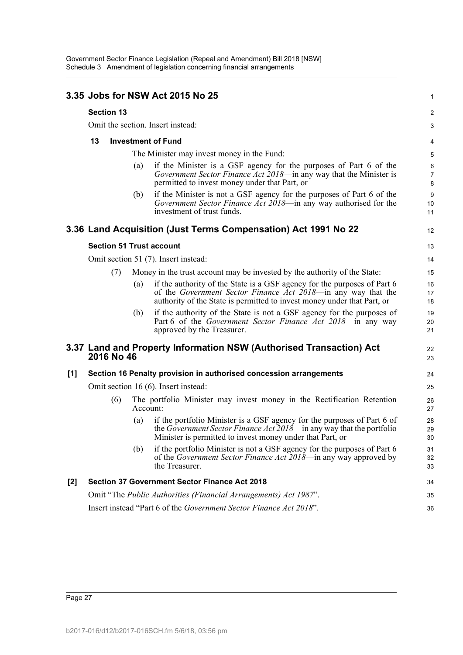|       |                                   |            |                                            | 3.35 Jobs for NSW Act 2015 No 25                                                                                                                                                                                     | 1                                   |  |
|-------|-----------------------------------|------------|--------------------------------------------|----------------------------------------------------------------------------------------------------------------------------------------------------------------------------------------------------------------------|-------------------------------------|--|
|       | <b>Section 13</b>                 |            |                                            |                                                                                                                                                                                                                      | 2                                   |  |
|       | Omit the section. Insert instead: |            |                                            |                                                                                                                                                                                                                      |                                     |  |
|       | 13                                |            |                                            | <b>Investment of Fund</b>                                                                                                                                                                                            | 4                                   |  |
|       |                                   |            | The Minister may invest money in the Fund: |                                                                                                                                                                                                                      |                                     |  |
|       |                                   |            | (a)                                        | if the Minister is a GSF agency for the purposes of Part 6 of the<br>Government Sector Finance Act 2018-in any way that the Minister is<br>permitted to invest money under that Part, or                             | 5<br>$\,6\,$<br>$\overline{7}$<br>8 |  |
|       |                                   |            | (b)                                        | if the Minister is not a GSF agency for the purposes of Part 6 of the<br>Government Sector Finance Act 2018—in any way authorised for the<br>investment of trust funds.                                              | $9\,$<br>10<br>11                   |  |
|       |                                   |            |                                            | 3.36 Land Acquisition (Just Terms Compensation) Act 1991 No 22                                                                                                                                                       | 12                                  |  |
|       |                                   |            |                                            | <b>Section 51 Trust account</b>                                                                                                                                                                                      | 13                                  |  |
|       |                                   |            |                                            | Omit section 51 (7). Insert instead:                                                                                                                                                                                 | 14                                  |  |
|       |                                   | (7)        |                                            | Money in the trust account may be invested by the authority of the State:                                                                                                                                            | 15                                  |  |
|       |                                   |            | (a)                                        | if the authority of the State is a GSF agency for the purposes of Part 6<br>of the Government Sector Finance Act 2018—in any way that the<br>authority of the State is permitted to invest money under that Part, or | 16<br>17<br>18                      |  |
|       |                                   |            | (b)                                        | if the authority of the State is not a GSF agency for the purposes of<br>Part 6 of the Government Sector Finance Act 2018—in any way<br>approved by the Treasurer.                                                   | 19<br>20<br>21                      |  |
|       |                                   | 2016 No 46 |                                            | 3.37 Land and Property Information NSW (Authorised Transaction) Act                                                                                                                                                  | 22<br>23                            |  |
| $[1]$ |                                   |            |                                            | Section 16 Penalty provision in authorised concession arrangements                                                                                                                                                   | 24                                  |  |
|       |                                   |            |                                            | Omit section 16 (6). Insert instead:                                                                                                                                                                                 | 25                                  |  |
|       |                                   | (6)        | Account:                                   | The portfolio Minister may invest money in the Rectification Retention                                                                                                                                               | 26<br>27                            |  |
|       |                                   |            | (a)                                        | if the portfolio Minister is a GSF agency for the purposes of Part 6 of<br>the Government Sector Finance Act 2018—in any way that the portfolio<br>Minister is permitted to invest money under that Part, or         | 28<br>29<br>30                      |  |
|       |                                   |            | (b)                                        | if the portfolio Minister is not a GSF agency for the purposes of Part 6<br>of the Government Sector Finance Act 2018-in any way approved by<br>the Treasurer.                                                       | 31<br>32<br>33                      |  |
| $[2]$ |                                   |            |                                            | <b>Section 37 Government Sector Finance Act 2018</b>                                                                                                                                                                 | 34                                  |  |
|       |                                   |            |                                            | Omit "The Public Authorities (Financial Arrangements) Act 1987".                                                                                                                                                     | 35                                  |  |
|       |                                   |            |                                            | Insert instead "Part 6 of the Government Sector Finance Act 2018".                                                                                                                                                   | 36                                  |  |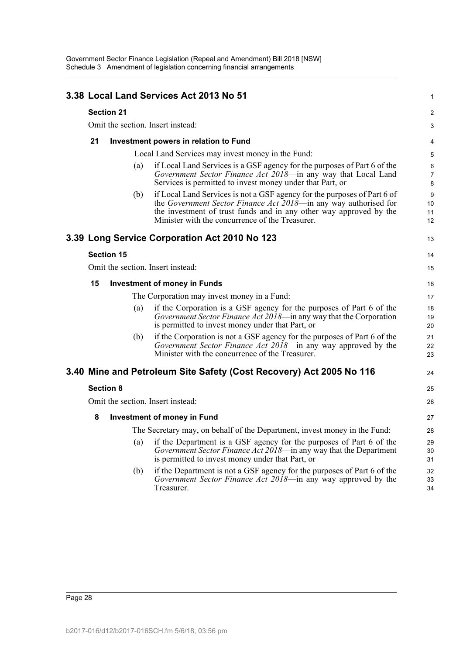|                                   |                   | 3.38 Local Land Services Act 2013 No 51                                                                                                                                                                                                                               | $\mathbf{1}$             |  |  |  |
|-----------------------------------|-------------------|-----------------------------------------------------------------------------------------------------------------------------------------------------------------------------------------------------------------------------------------------------------------------|--------------------------|--|--|--|
|                                   | <b>Section 21</b> |                                                                                                                                                                                                                                                                       | 2                        |  |  |  |
| Omit the section. Insert instead: |                   |                                                                                                                                                                                                                                                                       |                          |  |  |  |
| 21                                |                   | Investment powers in relation to Fund                                                                                                                                                                                                                                 | 4                        |  |  |  |
|                                   |                   | Local Land Services may invest money in the Fund:                                                                                                                                                                                                                     | 5                        |  |  |  |
|                                   | (a)               | if Local Land Services is a GSF agency for the purposes of Part 6 of the<br>Government Sector Finance Act 2018—in any way that Local Land<br>Services is permitted to invest money under that Part, or                                                                | 6<br>$\overline{7}$<br>8 |  |  |  |
|                                   | (b)               | if Local Land Services is not a GSF agency for the purposes of Part 6 of<br>the Government Sector Finance Act 2018—in any way authorised for<br>the investment of trust funds and in any other way approved by the<br>Minister with the concurrence of the Treasurer. | 9<br>10<br>11<br>12      |  |  |  |
|                                   |                   | 3.39 Long Service Corporation Act 2010 No 123                                                                                                                                                                                                                         | 13                       |  |  |  |
|                                   | <b>Section 15</b> |                                                                                                                                                                                                                                                                       | 14                       |  |  |  |
|                                   |                   | Omit the section. Insert instead:                                                                                                                                                                                                                                     | 15                       |  |  |  |
| 15                                |                   | <b>Investment of money in Funds</b>                                                                                                                                                                                                                                   | 16                       |  |  |  |
|                                   |                   | The Corporation may invest money in a Fund:                                                                                                                                                                                                                           | 17                       |  |  |  |
|                                   | (a)               | if the Corporation is a GSF agency for the purposes of Part 6 of the<br>Government Sector Finance Act 2018—in any way that the Corporation<br>is permitted to invest money under that Part, or                                                                        | 18<br>19<br>20           |  |  |  |
|                                   | (b)               | if the Corporation is not a GSF agency for the purposes of Part 6 of the<br>Government Sector Finance Act 2018—in any way approved by the<br>Minister with the concurrence of the Treasurer.                                                                          | 21<br>22<br>23           |  |  |  |
|                                   |                   | 3.40 Mine and Petroleum Site Safety (Cost Recovery) Act 2005 No 116                                                                                                                                                                                                   | 24                       |  |  |  |
|                                   | <b>Section 8</b>  |                                                                                                                                                                                                                                                                       | 25                       |  |  |  |
|                                   |                   | Omit the section. Insert instead:                                                                                                                                                                                                                                     | 26                       |  |  |  |
| 8                                 |                   | <b>Investment of money in Fund</b>                                                                                                                                                                                                                                    | 27                       |  |  |  |
|                                   |                   | The Secretary may, on behalf of the Department, invest money in the Fund:                                                                                                                                                                                             | 28                       |  |  |  |
|                                   | (a)               | if the Department is a GSF agency for the purposes of Part 6 of the<br>Government Sector Finance Act 2018-in any way that the Department<br>is permitted to invest money under that Part, or                                                                          | 29<br>30<br>31           |  |  |  |
|                                   | (b)               | if the Department is not a GSF agency for the purposes of Part 6 of the<br>Government Sector Finance Act 2018—in any way approved by the<br>Treasurer.                                                                                                                | 32<br>33<br>34           |  |  |  |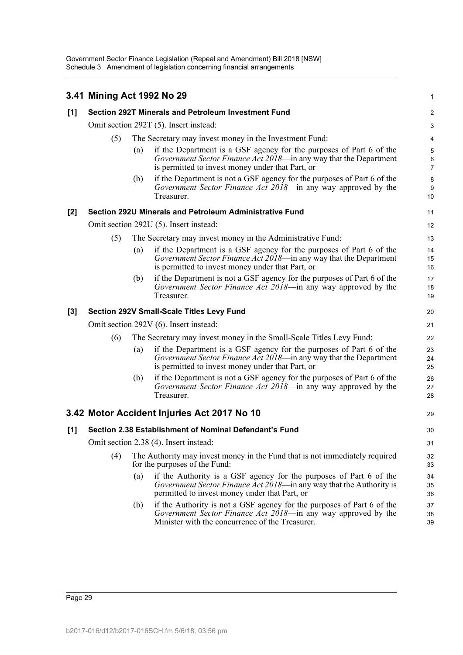|       | 3.41 Mining Act 1992 No 29             |                                                        |                                                                                                                                                                                              | 1                        |  |  |
|-------|----------------------------------------|--------------------------------------------------------|----------------------------------------------------------------------------------------------------------------------------------------------------------------------------------------------|--------------------------|--|--|
| [1]   |                                        |                                                        | Section 292T Minerals and Petroleum Investment Fund                                                                                                                                          | 2                        |  |  |
|       | Omit section 292T (5). Insert instead: |                                                        |                                                                                                                                                                                              |                          |  |  |
|       | (5)                                    | The Secretary may invest money in the Investment Fund: |                                                                                                                                                                                              |                          |  |  |
|       |                                        | $\left( a\right)$                                      | if the Department is a GSF agency for the purposes of Part 6 of the<br>Government Sector Finance Act 2018-in any way that the Department<br>is permitted to invest money under that Part, or | 5<br>6<br>$\overline{7}$ |  |  |
|       |                                        | (b)                                                    | if the Department is not a GSF agency for the purposes of Part 6 of the<br>Government Sector Finance Act 2018—in any way approved by the<br>Treasurer.                                       | 8<br>9<br>10             |  |  |
| $[2]$ |                                        |                                                        | Section 292U Minerals and Petroleum Administrative Fund                                                                                                                                      | 11                       |  |  |
|       |                                        |                                                        | Omit section 292U (5). Insert instead:                                                                                                                                                       | 12                       |  |  |
|       | (5)                                    |                                                        | The Secretary may invest money in the Administrative Fund:                                                                                                                                   | 13                       |  |  |
|       |                                        | (a)                                                    | if the Department is a GSF agency for the purposes of Part 6 of the<br>Government Sector Finance Act 2018-in any way that the Department<br>is permitted to invest money under that Part, or | 14<br>15<br>16           |  |  |
|       |                                        | (b)                                                    | if the Department is not a GSF agency for the purposes of Part 6 of the<br>Government Sector Finance Act 2018—in any way approved by the<br>Treasurer.                                       | 17<br>18<br>19           |  |  |
| [3]   |                                        |                                                        | <b>Section 292V Small-Scale Titles Levy Fund</b>                                                                                                                                             | 20                       |  |  |
|       | Omit section 292V (6). Insert instead: |                                                        |                                                                                                                                                                                              |                          |  |  |
|       | (6)                                    |                                                        | The Secretary may invest money in the Small-Scale Titles Levy Fund:                                                                                                                          | 22                       |  |  |
|       |                                        | (a)                                                    | if the Department is a GSF agency for the purposes of Part 6 of the<br>Government Sector Finance Act 2018—in any way that the Department<br>is permitted to invest money under that Part, or | 23<br>24<br>25           |  |  |
|       |                                        | (b)                                                    | if the Department is not a GSF agency for the purposes of Part 6 of the<br>Government Sector Finance Act 2018—in any way approved by the<br>Treasurer.                                       | 26<br>27<br>28           |  |  |
|       |                                        |                                                        | 3.42 Motor Accident Injuries Act 2017 No 10                                                                                                                                                  | 29                       |  |  |
| [1]   |                                        |                                                        | Section 2.38 Establishment of Nominal Defendant's Fund                                                                                                                                       | 30                       |  |  |
|       | Omit section 2.38 (4). Insert instead: |                                                        |                                                                                                                                                                                              |                          |  |  |
|       | (4)                                    |                                                        | The Authority may invest money in the Fund that is not immediately required<br>for the purposes of the Fund:                                                                                 | 32<br>33                 |  |  |
|       |                                        | (a)                                                    | if the Authority is a GSF agency for the purposes of Part 6 of the<br>Government Sector Finance Act 2018—in any way that the Authority is<br>permitted to invest money under that Part, or   | 34<br>35<br>36           |  |  |
|       |                                        | (b)                                                    | if the Authority is not a GSF agency for the purposes of Part 6 of the<br>Government Sector Finance Act 2018—in any way approved by the<br>Minister with the concurrence of the Treasurer.   | 37<br>38<br>39           |  |  |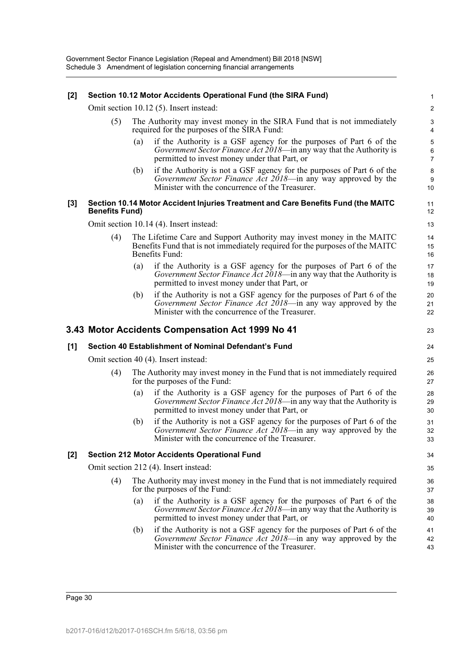#### **[2] Section 10.12 Motor Accidents Operational Fund (the SIRA Fund)**

Omit section 10.12 (5). Insert instead:

- (5) The Authority may invest money in the SIRA Fund that is not immediately required for the purposes of the SIRA Fund:
	- (a) if the Authority is a GSF agency for the purposes of Part 6 of the *Government Sector Finance Act 2018*—in any way that the Authority is permitted to invest money under that Part, or
	- (b) if the Authority is not a GSF agency for the purposes of Part 6 of the *Government Sector Finance Act 2018*—in any way approved by the Minister with the concurrence of the Treasurer.

#### **[3] Section 10.14 Motor Accident Injuries Treatment and Care Benefits Fund (the MAITC Benefits Fund)**

11 12 13

41 42 43

Omit section 10.14 (4). Insert instead:

- (4) The Lifetime Care and Support Authority may invest money in the MAITC Benefits Fund that is not immediately required for the purposes of the MAITC Benefits Fund:
	- (a) if the Authority is a GSF agency for the purposes of Part 6 of the *Government Sector Finance Act 2018*—in any way that the Authority is permitted to invest money under that Part, or
	- (b) if the Authority is not a GSF agency for the purposes of Part 6 of the *Government Sector Finance Act 2018*—in any way approved by the Minister with the concurrence of the Treasurer.

### **3.43 Motor Accidents Compensation Act 1999 No 41**

|     |                                      | 3.43 Motor Accidents Compensation Act 1999 No 41                                                                                                                                                                | 23             |  |  |
|-----|--------------------------------------|-----------------------------------------------------------------------------------------------------------------------------------------------------------------------------------------------------------------|----------------|--|--|
| [1] |                                      | Section 40 Establishment of Nominal Defendant's Fund                                                                                                                                                            | 24             |  |  |
|     | Omit section 40 (4). Insert instead: |                                                                                                                                                                                                                 |                |  |  |
|     | (4)                                  | The Authority may invest money in the Fund that is not immediately required<br>for the purposes of the Fund:                                                                                                    | 26<br>27       |  |  |
|     |                                      | if the Authority is a GSF agency for the purposes of Part 6 of the<br>$\left( a\right)$<br>Government Sector Finance Act 2018—in any way that the Authority is<br>permitted to invest money under that Part, or | 28<br>29<br>30 |  |  |
|     |                                      | if the Authority is not a GSF agency for the purposes of Part 6 of the<br>(b)<br>Government Sector Finance Act 2018—in any way approved by the<br>Minister with the concurrence of the Treasurer.               | 31<br>32<br>33 |  |  |
| [2] |                                      | <b>Section 212 Motor Accidents Operational Fund</b>                                                                                                                                                             | 34             |  |  |
|     |                                      | Omit section 212 (4). Insert instead:                                                                                                                                                                           | 35             |  |  |
|     | (4)                                  | The Authority may invest money in the Fund that is not immediately required<br>for the purposes of the Fund:                                                                                                    | 36<br>37       |  |  |
|     |                                      | if the Authority is a GSF agency for the purposes of Part 6 of the<br>(a)<br><i>Government Sector Finance Act 2018</i> —in any way that the Authority is<br>permitted to invest money under that Part, or       | 38<br>39<br>40 |  |  |

(b) if the Authority is not a GSF agency for the purposes of Part 6 of the *Government Sector Finance Act 2018*—in any way approved by the Minister with the concurrence of the Treasurer.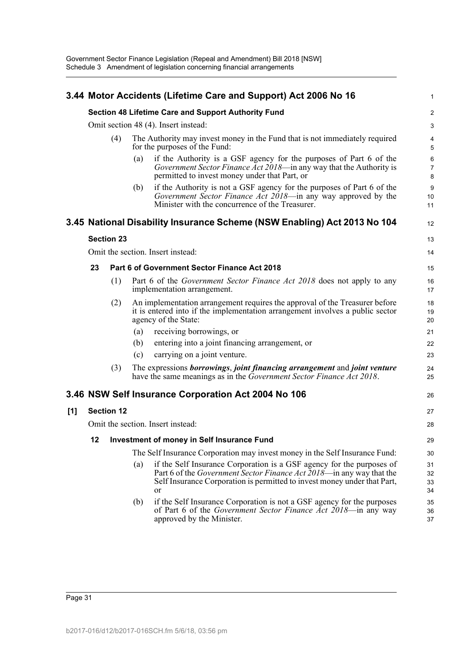|     | 3.44 Motor Accidents (Lifetime Care and Support) Act 2006 No 16                             |                   |                                                                                                              |                                                                                                                                                                                                                                         |                              |  |
|-----|---------------------------------------------------------------------------------------------|-------------------|--------------------------------------------------------------------------------------------------------------|-----------------------------------------------------------------------------------------------------------------------------------------------------------------------------------------------------------------------------------------|------------------------------|--|
|     | Section 48 Lifetime Care and Support Authority Fund<br>Omit section 48 (4). Insert instead: |                   |                                                                                                              |                                                                                                                                                                                                                                         |                              |  |
|     |                                                                                             |                   |                                                                                                              |                                                                                                                                                                                                                                         |                              |  |
|     |                                                                                             | (4)               | The Authority may invest money in the Fund that is not immediately required<br>for the purposes of the Fund: |                                                                                                                                                                                                                                         |                              |  |
|     |                                                                                             |                   | (a)                                                                                                          | if the Authority is a GSF agency for the purposes of Part 6 of the<br>Government Sector Finance Act 2018—in any way that the Authority is<br>permitted to invest money under that Part, or                                              | 6<br>$\overline{7}$<br>8     |  |
|     |                                                                                             |                   | (b)                                                                                                          | if the Authority is not a GSF agency for the purposes of Part 6 of the<br>Government Sector Finance Act 2018—in any way approved by the<br>Minister with the concurrence of the Treasurer.                                              | $\boldsymbol{9}$<br>10<br>11 |  |
|     |                                                                                             |                   |                                                                                                              | 3.45 National Disability Insurance Scheme (NSW Enabling) Act 2013 No 104                                                                                                                                                                | 12                           |  |
|     |                                                                                             | <b>Section 23</b> |                                                                                                              |                                                                                                                                                                                                                                         | 13                           |  |
|     |                                                                                             |                   |                                                                                                              | Omit the section. Insert instead:                                                                                                                                                                                                       | 14                           |  |
|     | 23                                                                                          |                   |                                                                                                              | Part 6 of Government Sector Finance Act 2018                                                                                                                                                                                            | 15                           |  |
|     |                                                                                             | (1)               |                                                                                                              | Part 6 of the <i>Government Sector Finance Act 2018</i> does not apply to any<br>implementation arrangement.                                                                                                                            | 16<br>17                     |  |
|     |                                                                                             | (2)               |                                                                                                              | An implementation arrangement requires the approval of the Treasurer before<br>it is entered into if the implementation arrangement involves a public sector<br>agency of the State:                                                    | 18<br>19<br>20               |  |
|     |                                                                                             |                   | (a)                                                                                                          | receiving borrowings, or                                                                                                                                                                                                                | 21                           |  |
|     |                                                                                             |                   | (b)                                                                                                          | entering into a joint financing arrangement, or                                                                                                                                                                                         | 22                           |  |
|     |                                                                                             |                   | (c)                                                                                                          | carrying on a joint venture.                                                                                                                                                                                                            | 23                           |  |
|     |                                                                                             | (3)               |                                                                                                              | The expressions borrowings, joint financing arrangement and joint venture<br>have the same meanings as in the Government Sector Finance Act 2018.                                                                                       | 24<br>25                     |  |
|     |                                                                                             |                   |                                                                                                              | 3.46 NSW Self Insurance Corporation Act 2004 No 106                                                                                                                                                                                     | 26                           |  |
| [1] |                                                                                             | <b>Section 12</b> |                                                                                                              |                                                                                                                                                                                                                                         | 27                           |  |
|     |                                                                                             |                   |                                                                                                              | Omit the section. Insert instead:                                                                                                                                                                                                       | 28                           |  |
|     | 12                                                                                          |                   | Investment of money in Self Insurance Fund                                                                   |                                                                                                                                                                                                                                         | 29                           |  |
|     |                                                                                             |                   |                                                                                                              | The Self Insurance Corporation may invest money in the Self Insurance Fund:                                                                                                                                                             | 30                           |  |
|     |                                                                                             |                   | (a)                                                                                                          | if the Self Insurance Corporation is a GSF agency for the purposes of<br>Part 6 of the <i>Government Sector Finance Act 2018</i> —in any way that the<br>Self Insurance Corporation is permitted to invest money under that Part,<br>or | 31<br>32<br>33<br>34         |  |
|     |                                                                                             |                   | (b)                                                                                                          | if the Self Insurance Corporation is not a GSF agency for the purposes<br>of Part 6 of the Government Sector Finance Act 2018-in any way<br>approved by the Minister.                                                                   | 35<br>36<br>37               |  |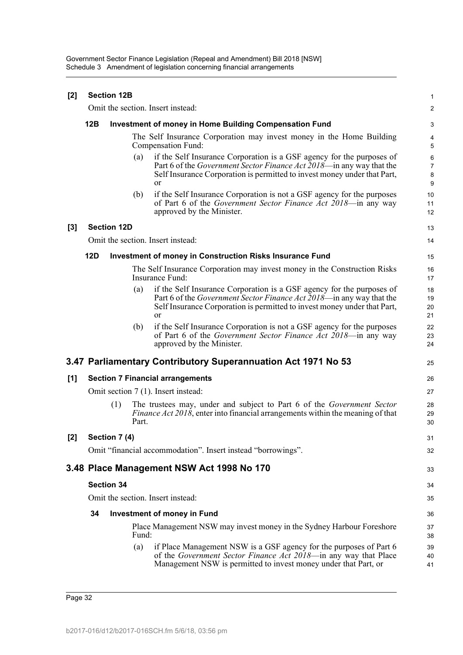Government Sector Finance Legislation (Repeal and Amendment) Bill 2018 [NSW] Schedule 3 Amendment of legislation concerning financial arrangements

| [2]   | <b>Section 12B</b>                |                    |       |                                                                                                                                                                                                                                         |                                     |  |
|-------|-----------------------------------|--------------------|-------|-----------------------------------------------------------------------------------------------------------------------------------------------------------------------------------------------------------------------------------------|-------------------------------------|--|
|       |                                   |                    |       | Omit the section. Insert instead:                                                                                                                                                                                                       | 2                                   |  |
|       | 12B                               |                    |       | <b>Investment of money in Home Building Compensation Fund</b>                                                                                                                                                                           | 3                                   |  |
|       |                                   |                    |       | The Self Insurance Corporation may invest money in the Home Building<br>Compensation Fund:                                                                                                                                              | 4<br>5                              |  |
|       |                                   |                    | (a)   | if the Self Insurance Corporation is a GSF agency for the purposes of<br>Part 6 of the <i>Government Sector Finance Act 2018</i> —in any way that the<br>Self Insurance Corporation is permitted to invest money under that Part,<br>or | 6<br>$\overline{7}$<br>$\bf 8$<br>9 |  |
|       |                                   |                    | (b)   | if the Self Insurance Corporation is not a GSF agency for the purposes<br>of Part 6 of the <i>Government Sector Finance Act 2018</i> —in any way<br>approved by the Minister.                                                           | 10<br>11<br>12                      |  |
| $[3]$ |                                   | <b>Section 12D</b> |       |                                                                                                                                                                                                                                         | 13                                  |  |
|       |                                   |                    |       | Omit the section. Insert instead:                                                                                                                                                                                                       | 14                                  |  |
|       | 12D                               |                    |       | <b>Investment of money in Construction Risks Insurance Fund</b>                                                                                                                                                                         | 15                                  |  |
|       |                                   |                    |       | The Self Insurance Corporation may invest money in the Construction Risks<br>Insurance Fund:                                                                                                                                            | 16<br>17                            |  |
|       |                                   |                    | (a)   | if the Self Insurance Corporation is a GSF agency for the purposes of<br>Part 6 of the <i>Government Sector Finance Act 2018</i> —in any way that the<br>Self Insurance Corporation is permitted to invest money under that Part,<br>or | 18<br>19<br>20<br>21                |  |
|       |                                   |                    | (b)   | if the Self Insurance Corporation is not a GSF agency for the purposes<br>of Part 6 of the <i>Government Sector Finance Act 2018</i> —in any way<br>approved by the Minister.                                                           | 22<br>23<br>24                      |  |
|       |                                   |                    |       | 3.47 Parliamentary Contributory Superannuation Act 1971 No 53                                                                                                                                                                           | 25                                  |  |
| [1]   |                                   |                    |       | <b>Section 7 Financial arrangements</b>                                                                                                                                                                                                 | 26                                  |  |
|       |                                   |                    |       | Omit section 7 (1). Insert instead:                                                                                                                                                                                                     | 27                                  |  |
|       |                                   | (1)                | Part. | The trustees may, under and subject to Part 6 of the Government Sector<br><i>Finance Act 2018</i> , enter into financial arrangements within the meaning of that                                                                        | 28<br>29<br>30                      |  |
| $[2]$ |                                   | Section 7 (4)      |       |                                                                                                                                                                                                                                         | 31                                  |  |
|       |                                   |                    |       | Omit "financial accommodation". Insert instead "borrowings".                                                                                                                                                                            | 32                                  |  |
|       |                                   |                    |       | 3.48 Place Management NSW Act 1998 No 170                                                                                                                                                                                               | 33                                  |  |
|       | <b>Section 34</b>                 |                    |       |                                                                                                                                                                                                                                         |                                     |  |
|       | Omit the section. Insert instead: |                    |       |                                                                                                                                                                                                                                         |                                     |  |
|       | 34                                |                    |       | <b>Investment of money in Fund</b>                                                                                                                                                                                                      | 36                                  |  |
|       |                                   |                    | Fund: | Place Management NSW may invest money in the Sydney Harbour Foreshore                                                                                                                                                                   | 37<br>38                            |  |
|       |                                   |                    | (a)   | if Place Management NSW is a GSF agency for the purposes of Part 6<br>of the Government Sector Finance Act 2018-in any way that Place<br>Management NSW is permitted to invest money under that Part, or                                | 39<br>40<br>41                      |  |

Page 32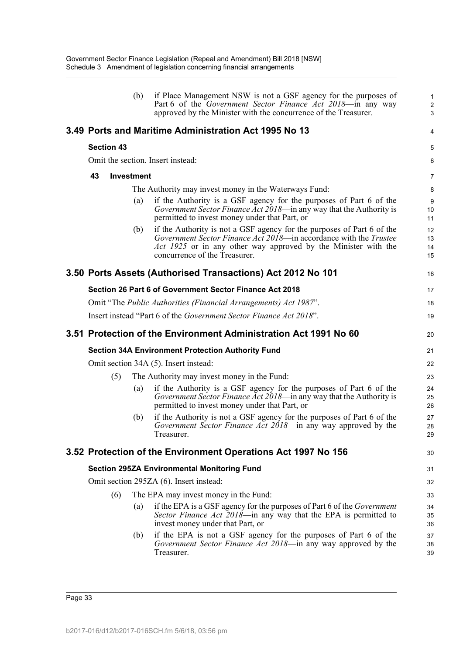|                   |                   | (b) | if Place Management NSW is not a GSF agency for the purposes of<br>Part 6 of the Government Sector Finance Act 2018-in any way<br>approved by the Minister with the concurrence of the Treasurer.                                              | 1<br>$\overline{c}$<br>3 |
|-------------------|-------------------|-----|------------------------------------------------------------------------------------------------------------------------------------------------------------------------------------------------------------------------------------------------|--------------------------|
|                   |                   |     | 3.49 Ports and Maritime Administration Act 1995 No 13                                                                                                                                                                                          | 4                        |
| <b>Section 43</b> |                   |     |                                                                                                                                                                                                                                                | 5                        |
|                   |                   |     | Omit the section. Insert instead:                                                                                                                                                                                                              | 6                        |
| 43                | <b>Investment</b> |     |                                                                                                                                                                                                                                                | 7                        |
|                   |                   |     | The Authority may invest money in the Waterways Fund:                                                                                                                                                                                          | 8                        |
|                   |                   | (a) | if the Authority is a GSF agency for the purposes of Part 6 of the<br><i>Government Sector Finance Act 2018</i> —in any way that the Authority is<br>permitted to invest money under that Part, or                                             | 9<br>10<br>11            |
|                   |                   | (b) | if the Authority is not a GSF agency for the purposes of Part 6 of the<br>Government Sector Finance Act 2018—in accordance with the Trustee<br>Act 1925 or in any other way approved by the Minister with the<br>concurrence of the Treasurer. | 12<br>13<br>14<br>15     |
|                   |                   |     | 3.50 Ports Assets (Authorised Transactions) Act 2012 No 101                                                                                                                                                                                    | 16                       |
|                   |                   |     | Section 26 Part 6 of Government Sector Finance Act 2018                                                                                                                                                                                        | 17                       |
|                   |                   |     | Omit "The Public Authorities (Financial Arrangements) Act 1987".                                                                                                                                                                               | 18                       |
|                   |                   |     | Insert instead "Part 6 of the <i>Government Sector Finance Act 2018</i> ".                                                                                                                                                                     | 19                       |
|                   |                   |     | 3.51 Protection of the Environment Administration Act 1991 No 60                                                                                                                                                                               | 20                       |
|                   |                   |     | <b>Section 34A Environment Protection Authority Fund</b>                                                                                                                                                                                       | 21                       |
|                   |                   |     | Omit section 34A (5). Insert instead:                                                                                                                                                                                                          | 22                       |
|                   | (5)               |     | The Authority may invest money in the Fund:                                                                                                                                                                                                    | 23                       |
|                   |                   | (a) | if the Authority is a GSF agency for the purposes of Part 6 of the<br>Government Sector Finance Act 2018—in any way that the Authority is<br>permitted to invest money under that Part, or                                                     | 24<br>25<br>26           |
|                   |                   | (b) | if the Authority is not a GSF agency for the purposes of Part 6 of the<br>Government Sector Finance Act 2018—in any way approved by the<br>Treasurer.                                                                                          | 27<br>28<br>29           |
|                   |                   |     | 3.52 Protection of the Environment Operations Act 1997 No 156                                                                                                                                                                                  | 30                       |
|                   |                   |     |                                                                                                                                                                                                                                                |                          |
|                   |                   |     | <b>Section 295ZA Environmental Monitoring Fund</b>                                                                                                                                                                                             | 31                       |
|                   |                   |     | Omit section 295ZA (6). Insert instead:                                                                                                                                                                                                        | 32                       |
|                   | (6)               |     | The EPA may invest money in the Fund:                                                                                                                                                                                                          | 33                       |
|                   |                   | (a) | if the EPA is a GSF agency for the purposes of Part 6 of the <i>Government</i><br>Sector Finance Act 2018-in any way that the EPA is permitted to<br>invest money under that Part, or                                                          | 34<br>35<br>36           |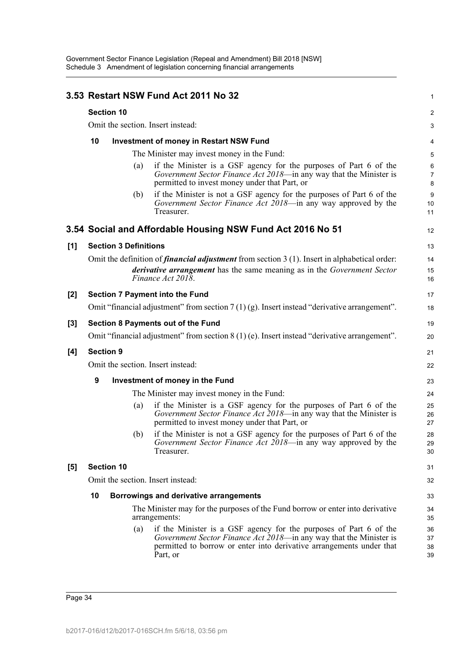|       | 3.53 Restart NSW Fund Act 2011 No 32<br><b>Section 10</b><br>Omit the section. Insert instead: |                                                |     |                                                                                                                                                                                                                             |                              |  |  |
|-------|------------------------------------------------------------------------------------------------|------------------------------------------------|-----|-----------------------------------------------------------------------------------------------------------------------------------------------------------------------------------------------------------------------------|------------------------------|--|--|
|       |                                                                                                |                                                |     |                                                                                                                                                                                                                             |                              |  |  |
|       |                                                                                                |                                                |     |                                                                                                                                                                                                                             |                              |  |  |
|       | 10                                                                                             | <b>Investment of money in Restart NSW Fund</b> |     |                                                                                                                                                                                                                             |                              |  |  |
|       |                                                                                                |                                                |     | The Minister may invest money in the Fund:                                                                                                                                                                                  | 5                            |  |  |
|       |                                                                                                |                                                | (a) | if the Minister is a GSF agency for the purposes of Part 6 of the<br>Government Sector Finance Act 2018—in any way that the Minister is<br>permitted to invest money under that Part, or                                    | $\,6$<br>$\overline{7}$<br>8 |  |  |
|       |                                                                                                |                                                | (b) | if the Minister is not a GSF agency for the purposes of Part 6 of the<br>Government Sector Finance Act 2018—in any way approved by the<br>Treasurer.                                                                        | $9\,$<br>10<br>11            |  |  |
|       |                                                                                                |                                                |     | 3.54 Social and Affordable Housing NSW Fund Act 2016 No 51                                                                                                                                                                  | 12                           |  |  |
| [1]   |                                                                                                | <b>Section 3 Definitions</b>                   |     |                                                                                                                                                                                                                             | 13                           |  |  |
|       |                                                                                                |                                                |     | Omit the definition of <i>financial adjustment</i> from section $3(1)$ . Insert in alphabetical order:                                                                                                                      | 14                           |  |  |
|       |                                                                                                |                                                |     | <i>derivative arrangement</i> has the same meaning as in the <i>Government Sector</i><br>Finance Act 2018.                                                                                                                  | 15<br>16                     |  |  |
| $[2]$ |                                                                                                |                                                |     | <b>Section 7 Payment into the Fund</b>                                                                                                                                                                                      | 17                           |  |  |
|       |                                                                                                |                                                |     | Omit "financial adjustment" from section $7(1)(g)$ . Insert instead "derivative arrangement".                                                                                                                               | 18                           |  |  |
| $[3]$ |                                                                                                |                                                |     | Section 8 Payments out of the Fund                                                                                                                                                                                          | 19                           |  |  |
|       |                                                                                                |                                                |     | Omit "financial adjustment" from section $8(1)$ (e). Insert instead "derivative arrangement".                                                                                                                               | 20                           |  |  |
| [4]   | <b>Section 9</b>                                                                               |                                                |     |                                                                                                                                                                                                                             | 21                           |  |  |
|       |                                                                                                |                                                |     | Omit the section. Insert instead:                                                                                                                                                                                           | 22                           |  |  |
|       | 9                                                                                              |                                                |     | Investment of money in the Fund                                                                                                                                                                                             | 23                           |  |  |
|       |                                                                                                |                                                |     | The Minister may invest money in the Fund:                                                                                                                                                                                  | 24                           |  |  |
|       |                                                                                                |                                                | (a) | if the Minister is a GSF agency for the purposes of Part 6 of the<br>Government Sector Finance Act 2018—in any way that the Minister is<br>permitted to invest money under that Part, or                                    | 25<br>26<br>27               |  |  |
|       |                                                                                                |                                                |     | (b) if the Minister is not a GSF agency for the purposes of Part 6 of the<br>Government Sector Finance Act 2018—in any way approved by the<br>Treasurer.                                                                    | 28<br>29<br>30               |  |  |
| [5]   |                                                                                                | <b>Section 10</b>                              |     |                                                                                                                                                                                                                             | 31                           |  |  |
|       | Omit the section. Insert instead:                                                              |                                                |     |                                                                                                                                                                                                                             |                              |  |  |
|       | 10<br>Borrowings and derivative arrangements                                                   |                                                |     |                                                                                                                                                                                                                             |                              |  |  |
|       |                                                                                                |                                                |     | The Minister may for the purposes of the Fund borrow or enter into derivative<br>arrangements:                                                                                                                              | 34<br>35                     |  |  |
|       |                                                                                                |                                                | (a) | if the Minister is a GSF agency for the purposes of Part 6 of the<br>Government Sector Finance Act 2018—in any way that the Minister is<br>permitted to borrow or enter into derivative arrangements under that<br>Part, or | 36<br>37<br>38<br>39         |  |  |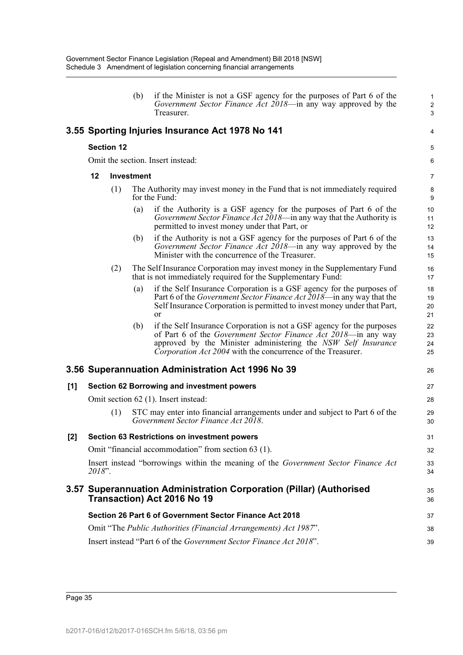|     |        |                   | (b)               | if the Minister is not a GSF agency for the purposes of Part 6 of the<br>Government Sector Finance Act 2018—in any way approved by the<br>Treasurer.                                                                                                                     | $\mathbf{1}$<br>$\overline{2}$<br>3 |
|-----|--------|-------------------|-------------------|--------------------------------------------------------------------------------------------------------------------------------------------------------------------------------------------------------------------------------------------------------------------------|-------------------------------------|
|     |        |                   |                   | 3.55 Sporting Injuries Insurance Act 1978 No 141                                                                                                                                                                                                                         | 4                                   |
|     |        | <b>Section 12</b> |                   |                                                                                                                                                                                                                                                                          | 5                                   |
|     |        |                   |                   | Omit the section. Insert instead:                                                                                                                                                                                                                                        | 6                                   |
|     | 12     |                   | <b>Investment</b> |                                                                                                                                                                                                                                                                          | $\overline{7}$                      |
|     |        | (1)               |                   | The Authority may invest money in the Fund that is not immediately required<br>for the Fund:                                                                                                                                                                             | 8<br>9                              |
|     |        |                   | (a)               | if the Authority is a GSF agency for the purposes of Part 6 of the<br>Government Sector Finance Act 2018—in any way that the Authority is<br>permitted to invest money under that Part, or                                                                               | 10<br>11<br>12 <sup>2</sup>         |
|     |        |                   | (b)               | if the Authority is not a GSF agency for the purposes of Part 6 of the<br>Government Sector Finance Act 2018—in any way approved by the<br>Minister with the concurrence of the Treasurer.                                                                               | 13<br>14<br>15                      |
|     |        | (2)               |                   | The Self Insurance Corporation may invest money in the Supplementary Fund<br>that is not immediately required for the Supplementary Fund:                                                                                                                                | 16<br>17                            |
|     |        |                   | (a)               | if the Self Insurance Corporation is a GSF agency for the purposes of<br>Part 6 of the <i>Government Sector Finance Act 2018</i> —in any way that the<br>Self Insurance Corporation is permitted to invest money under that Part,<br>or                                  | 18<br>19<br>20<br>21                |
|     |        |                   | (b)               | if the Self Insurance Corporation is not a GSF agency for the purposes<br>of Part 6 of the Government Sector Finance Act 2018-in any way<br>approved by the Minister administering the NSW Self Insurance<br>Corporation Act 2004 with the concurrence of the Treasurer. | 22<br>23<br>24<br>25                |
|     |        |                   |                   | 3.56 Superannuation Administration Act 1996 No 39                                                                                                                                                                                                                        | 26                                  |
| [1] |        |                   |                   | <b>Section 62 Borrowing and investment powers</b>                                                                                                                                                                                                                        | 27                                  |
|     |        |                   |                   | Omit section 62 (1). Insert instead:                                                                                                                                                                                                                                     | 28                                  |
|     |        | (1)               |                   | STC may enter into financial arrangements under and subject to Part 6 of the<br>Government Sector Finance Act 2018.                                                                                                                                                      | 29<br>30                            |
| [2] |        |                   |                   | <b>Section 63 Restrictions on investment powers</b>                                                                                                                                                                                                                      | 31                                  |
|     |        |                   |                   | Omit "financial accommodation" from section 63 (1).                                                                                                                                                                                                                      | 32                                  |
|     | 2018". |                   |                   | Insert instead "borrowings within the meaning of the Government Sector Finance Act                                                                                                                                                                                       | 33<br>34                            |
|     |        |                   |                   | 3.57 Superannuation Administration Corporation (Pillar) (Authorised<br><b>Transaction) Act 2016 No 19</b>                                                                                                                                                                | 35<br>36                            |
|     |        |                   |                   | Section 26 Part 6 of Government Sector Finance Act 2018                                                                                                                                                                                                                  | 37                                  |
|     |        |                   |                   | Omit "The Public Authorities (Financial Arrangements) Act 1987".                                                                                                                                                                                                         | 38                                  |
|     |        |                   |                   | Insert instead "Part 6 of the Government Sector Finance Act 2018".                                                                                                                                                                                                       | 39                                  |

Page 35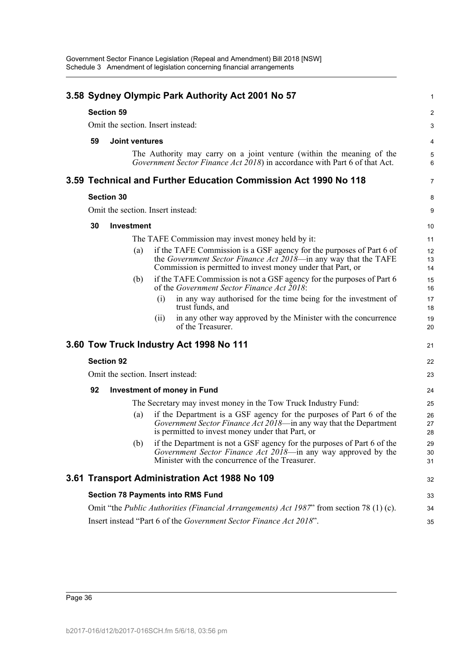|    |                       |     |      | 3.58 Sydney Olympic Park Authority Act 2001 No 57                                                                                                                                                      | 1              |
|----|-----------------------|-----|------|--------------------------------------------------------------------------------------------------------------------------------------------------------------------------------------------------------|----------------|
|    | <b>Section 59</b>     |     |      |                                                                                                                                                                                                        | 2              |
|    |                       |     |      | Omit the section. Insert instead:                                                                                                                                                                      | 3              |
| 59 | <b>Joint ventures</b> |     |      |                                                                                                                                                                                                        | 4              |
|    |                       |     |      | The Authority may carry on a joint venture (within the meaning of the<br>Government Sector Finance Act 2018) in accordance with Part 6 of that Act.                                                    | 5<br>6         |
|    |                       |     |      | 3.59 Technical and Further Education Commission Act 1990 No 118                                                                                                                                        | $\overline{7}$ |
|    | <b>Section 30</b>     |     |      |                                                                                                                                                                                                        | 8              |
|    |                       |     |      | Omit the section. Insert instead:                                                                                                                                                                      | 9              |
| 30 | <b>Investment</b>     |     |      |                                                                                                                                                                                                        | 10             |
|    |                       |     |      | The TAFE Commission may invest money held by it:                                                                                                                                                       | 11             |
|    |                       | (a) |      | if the TAFE Commission is a GSF agency for the purposes of Part 6 of<br>the Government Sector Finance Act 2018—in any way that the TAFE<br>Commission is permitted to invest money under that Part, or | 12<br>13<br>14 |
|    |                       | (b) |      | if the TAFE Commission is not a GSF agency for the purposes of Part 6<br>of the Government Sector Finance Act 2018:                                                                                    | 15<br>16       |
|    |                       |     | (i)  | in any way authorised for the time being for the investment of<br>trust funds, and                                                                                                                     | 17<br>18       |
|    |                       |     | (11) | in any other way approved by the Minister with the concurrence<br>of the Treasurer.                                                                                                                    | 19<br>20       |
|    |                       |     |      | 3.60 Tow Truck Industry Act 1998 No 111                                                                                                                                                                | 21             |
|    | <b>Section 92</b>     |     |      |                                                                                                                                                                                                        | 22             |
|    |                       |     |      | Omit the section. Insert instead:                                                                                                                                                                      | 23             |
| 92 |                       |     |      | <b>Investment of money in Fund</b>                                                                                                                                                                     | 24             |
|    |                       |     |      | The Secretary may invest money in the Tow Truck Industry Fund:                                                                                                                                         | 25             |
|    |                       | (a) |      | if the Department is a GSF agency for the purposes of Part 6 of the<br>Government Sector Finance Act 2018-in any way that the Department<br>is permitted to invest money under that Part, or           | 26<br>27<br>28 |
|    |                       | (b) |      | if the Department is not a GSF agency for the purposes of Part 6 of the<br>Government Sector Finance Act 2018—in any way approved by the<br>Minister with the concurrence of the Treasurer.            | 29<br>30<br>31 |
|    |                       |     |      | 3.61 Transport Administration Act 1988 No 109                                                                                                                                                          | 32             |
|    |                       |     |      | <b>Section 78 Payments into RMS Fund</b>                                                                                                                                                               | 33             |
|    |                       |     |      | Omit "the <i>Public Authorities (Financial Arrangements) Act 1987</i> " from section 78 (1) (c).                                                                                                       | 34             |
|    |                       |     |      | Insert instead "Part 6 of the Government Sector Finance Act 2018".                                                                                                                                     | 35             |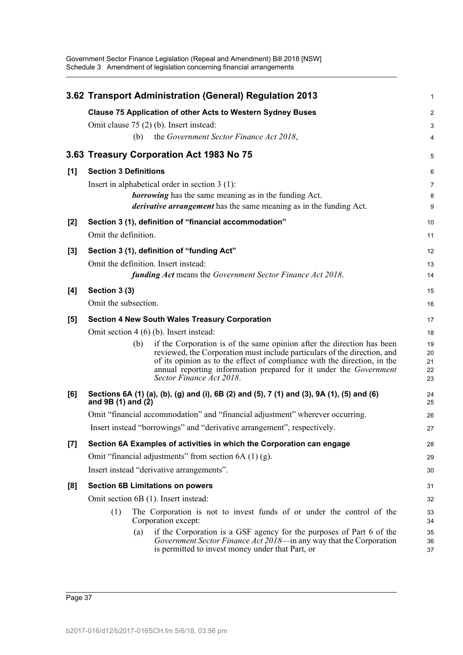Government Sector Finance Legislation (Repeal and Amendment) Bill 2018 [NSW] Schedule 3 Amendment of legislation concerning financial arrangements

|       | 3.62 Transport Administration (General) Regulation 2013                                                                                                                                                                                                                                                                                | 1                          |
|-------|----------------------------------------------------------------------------------------------------------------------------------------------------------------------------------------------------------------------------------------------------------------------------------------------------------------------------------------|----------------------------|
|       | <b>Clause 75 Application of other Acts to Western Sydney Buses</b>                                                                                                                                                                                                                                                                     | $\overline{2}$             |
|       | Omit clause 75 (2) (b). Insert instead:                                                                                                                                                                                                                                                                                                | 3                          |
|       | the Government Sector Finance Act 2018,<br>(b)                                                                                                                                                                                                                                                                                         | 4                          |
|       | 3.63 Treasury Corporation Act 1983 No 75                                                                                                                                                                                                                                                                                               | 5                          |
| [1]   | <b>Section 3 Definitions</b>                                                                                                                                                                                                                                                                                                           | 6                          |
|       | Insert in alphabetical order in section $3(1)$ :                                                                                                                                                                                                                                                                                       | 7                          |
|       | <b>borrowing</b> has the same meaning as in the funding Act.                                                                                                                                                                                                                                                                           | 8                          |
|       | <i>derivative arrangement</i> has the same meaning as in the funding Act.                                                                                                                                                                                                                                                              | 9                          |
| $[2]$ | Section 3 (1), definition of "financial accommodation"                                                                                                                                                                                                                                                                                 | 10                         |
|       | Omit the definition.                                                                                                                                                                                                                                                                                                                   | 11                         |
| $[3]$ | Section 3 (1), definition of "funding Act"                                                                                                                                                                                                                                                                                             | 12                         |
|       | Omit the definition. Insert instead:                                                                                                                                                                                                                                                                                                   | 13                         |
|       | <b>funding Act</b> means the Government Sector Finance Act 2018.                                                                                                                                                                                                                                                                       | 14                         |
| [4]   | Section 3 (3)                                                                                                                                                                                                                                                                                                                          | 15                         |
|       | Omit the subsection.                                                                                                                                                                                                                                                                                                                   | 16                         |
| [5]   | <b>Section 4 New South Wales Treasury Corporation</b>                                                                                                                                                                                                                                                                                  | 17                         |
|       | Omit section $4(6)(b)$ . Insert instead:                                                                                                                                                                                                                                                                                               | 18                         |
|       | if the Corporation is of the same opinion after the direction has been<br>(b)<br>reviewed, the Corporation must include particulars of the direction, and<br>of its opinion as to the effect of compliance with the direction, in the<br>annual reporting information prepared for it under the Government<br>Sector Finance Act 2018. | 19<br>20<br>21<br>22<br>23 |
| [6]   | Sections 6A (1) (a), (b), (g) and (i), 6B (2) and (5), 7 (1) and (3), 9A (1), (5) and (6)<br>and $9B(1)$ and $(2)$                                                                                                                                                                                                                     | 24<br>25                   |
|       | Omit "financial accommodation" and "financial adjustment" wherever occurring.                                                                                                                                                                                                                                                          | 26                         |
|       | Insert instead "borrowings" and "derivative arrangement", respectively.                                                                                                                                                                                                                                                                | 27                         |
| $[7]$ | Section 6A Examples of activities in which the Corporation can engage                                                                                                                                                                                                                                                                  | 28                         |
|       | Omit "financial adjustments" from section $6A(1)(g)$ .                                                                                                                                                                                                                                                                                 | 29                         |
|       | Insert instead "derivative arrangements".                                                                                                                                                                                                                                                                                              | 30                         |
| [8]   | <b>Section 6B Limitations on powers</b>                                                                                                                                                                                                                                                                                                | 31                         |
|       | Omit section 6B (1). Insert instead:                                                                                                                                                                                                                                                                                                   | 32                         |
|       | The Corporation is not to invest funds of or under the control of the<br>(1)<br>Corporation except:                                                                                                                                                                                                                                    | 33<br>34                   |
|       | if the Corporation is a GSF agency for the purposes of Part 6 of the<br>(a)<br>Government Sector Finance Act 2018-in any way that the Corporation<br>is permitted to invest money under that Part, or                                                                                                                                  | 35<br>36<br>37             |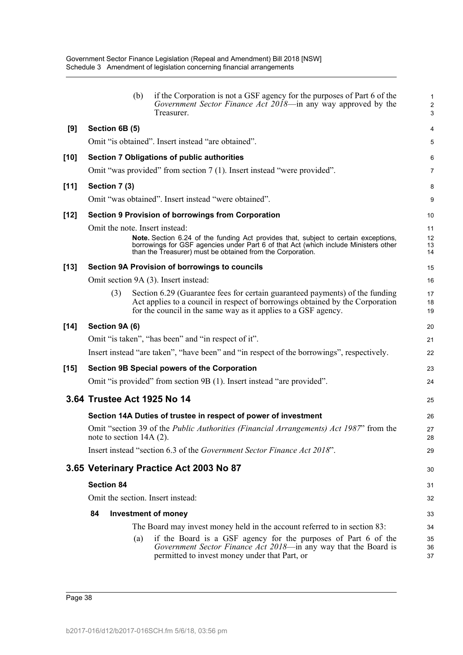|        | (b)                               | if the Corporation is not a GSF agency for the purposes of Part 6 of the<br>Government Sector Finance Act 2018—in any way approved by the<br>Treasurer.                                                                                  | 1<br>$\overline{c}$<br>3 |
|--------|-----------------------------------|------------------------------------------------------------------------------------------------------------------------------------------------------------------------------------------------------------------------------------------|--------------------------|
| [9]    | Section 6B (5)                    |                                                                                                                                                                                                                                          | 4                        |
|        |                                   | Omit "is obtained". Insert instead "are obtained".                                                                                                                                                                                       | 5                        |
| $[10]$ |                                   | Section 7 Obligations of public authorities                                                                                                                                                                                              | 6                        |
|        |                                   | Omit "was provided" from section 7 (1). Insert instead "were provided".                                                                                                                                                                  | 7                        |
| [11]   | Section 7 (3)                     |                                                                                                                                                                                                                                          | 8                        |
|        |                                   | Omit "was obtained". Insert instead "were obtained".                                                                                                                                                                                     | 9                        |
| $[12]$ |                                   | <b>Section 9 Provision of borrowings from Corporation</b>                                                                                                                                                                                | 10                       |
|        | Omit the note. Insert instead:    |                                                                                                                                                                                                                                          | 11                       |
|        |                                   | Note. Section 6.24 of the funding Act provides that, subject to certain exceptions,<br>borrowings for GSF agencies under Part 6 of that Act (which include Ministers other<br>than the Treasurer) must be obtained from the Corporation. | 12<br>13<br>14           |
| $[13]$ |                                   | Section 9A Provision of borrowings to councils                                                                                                                                                                                           | 15                       |
|        |                                   | Omit section 9A (3). Insert instead:                                                                                                                                                                                                     | 16                       |
|        | (3)                               | Section 6.29 (Guarantee fees for certain guaranteed payments) of the funding<br>Act applies to a council in respect of borrowings obtained by the Corporation<br>for the council in the same way as it applies to a GSF agency.          | 17<br>18<br>19           |
| $[14]$ | Section 9A (6)                    |                                                                                                                                                                                                                                          | 20                       |
|        |                                   | Omit "is taken", "has been" and "in respect of it".                                                                                                                                                                                      | 21                       |
|        |                                   | Insert instead "are taken", "have been" and "in respect of the borrowings", respectively.                                                                                                                                                | 22                       |
| $[15]$ |                                   | Section 9B Special powers of the Corporation                                                                                                                                                                                             | 23                       |
|        |                                   | Omit "is provided" from section 9B (1). Insert instead "are provided".                                                                                                                                                                   | 24                       |
|        | 3.64 Trustee Act 1925 No 14       |                                                                                                                                                                                                                                          | 25                       |
|        |                                   | Section 14A Duties of trustee in respect of power of investment                                                                                                                                                                          | 26                       |
|        | note to section 14A (2).          | Omit "section 39 of the <i>Public Authorities (Financial Arrangements) Act 1987</i> " from the                                                                                                                                           | 27<br>28                 |
|        |                                   | Insert instead "section 6.3 of the <i>Government Sector Finance Act 2018</i> ".                                                                                                                                                          | 29                       |
|        |                                   | 3.65 Veterinary Practice Act 2003 No 87                                                                                                                                                                                                  | 30                       |
|        | <b>Section 84</b>                 |                                                                                                                                                                                                                                          | 31                       |
|        | Omit the section. Insert instead: |                                                                                                                                                                                                                                          | 32                       |
|        | 84                                | <b>Investment of money</b>                                                                                                                                                                                                               | 33                       |
|        |                                   | The Board may invest money held in the account referred to in section 83:                                                                                                                                                                | 34                       |
|        | (a)                               | if the Board is a GSF agency for the purposes of Part 6 of the<br>Government Sector Finance Act 2018-in any way that the Board is<br>permitted to invest money under that Part, or                                                       | 35<br>36<br>37           |

Page 38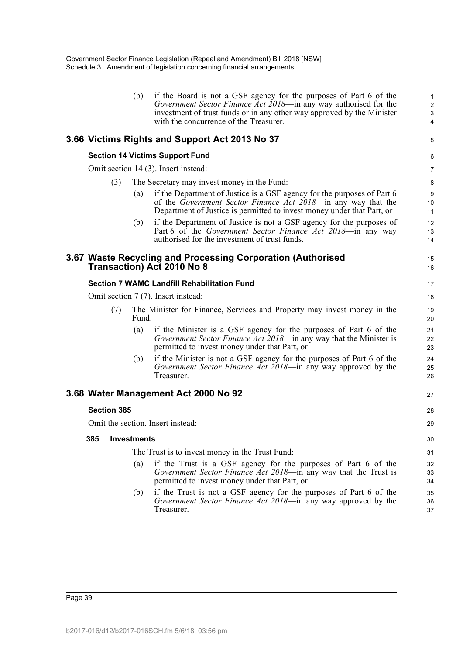|                    | (b)   | if the Board is not a GSF agency for the purposes of Part 6 of the<br>Government Sector Finance Act 2018—in any way authorised for the<br>investment of trust funds or in any other way approved by the Minister<br>with the concurrence of the Treasurer. | 1<br>$\overline{c}$<br>3<br>4 |
|--------------------|-------|------------------------------------------------------------------------------------------------------------------------------------------------------------------------------------------------------------------------------------------------------------|-------------------------------|
|                    |       | 3.66 Victims Rights and Support Act 2013 No 37                                                                                                                                                                                                             | 5                             |
|                    |       | <b>Section 14 Victims Support Fund</b>                                                                                                                                                                                                                     | 6                             |
|                    |       | Omit section 14 (3). Insert instead:                                                                                                                                                                                                                       | 7                             |
| (3)                |       | The Secretary may invest money in the Fund:                                                                                                                                                                                                                | 8                             |
|                    | (a)   | if the Department of Justice is a GSF agency for the purposes of Part 6<br>of the Government Sector Finance Act 2018—in any way that the<br>Department of Justice is permitted to invest money under that Part, or                                         | 9<br>10<br>11                 |
|                    | (b)   | if the Department of Justice is not a GSF agency for the purposes of<br>Part 6 of the Government Sector Finance Act 2018—in any way<br>authorised for the investment of trust funds.                                                                       | 12<br>13<br>14                |
|                    |       | 3.67 Waste Recycling and Processing Corporation (Authorised<br><b>Transaction) Act 2010 No 8</b>                                                                                                                                                           | 15<br>16                      |
|                    |       | <b>Section 7 WAMC Landfill Rehabilitation Fund</b>                                                                                                                                                                                                         | 17                            |
|                    |       | Omit section 7 (7). Insert instead:                                                                                                                                                                                                                        | 18                            |
| (7)                | Fund: | The Minister for Finance, Services and Property may invest money in the                                                                                                                                                                                    | 19<br>20                      |
|                    | (a)   | if the Minister is a GSF agency for the purposes of Part 6 of the<br>Government Sector Finance Act 2018—in any way that the Minister is<br>permitted to invest money under that Part, or                                                                   | 21<br>22<br>23                |
|                    | (b)   | if the Minister is not a GSF agency for the purposes of Part 6 of the<br>Government Sector Finance Act 2018—in any way approved by the<br>Treasurer.                                                                                                       | 24<br>25<br>26                |
|                    |       | 3.68 Water Management Act 2000 No 92                                                                                                                                                                                                                       | 27                            |
| <b>Section 385</b> |       |                                                                                                                                                                                                                                                            | 28                            |
|                    |       | Omit the section. Insert instead:                                                                                                                                                                                                                          | 29                            |
| 385 Investments    |       |                                                                                                                                                                                                                                                            | 30                            |
|                    |       | The Trust is to invest money in the Trust Fund:                                                                                                                                                                                                            | 31                            |
|                    | (a)   | if the Trust is a GSF agency for the purposes of Part 6 of the<br>Government Sector Finance Act 2018—in any way that the Trust is<br>permitted to invest money under that Part, or                                                                         | 32<br>33<br>34                |
|                    | (b)   | if the Trust is not a GSF agency for the purposes of Part 6 of the<br><i>Government Sector Finance Act 2018</i> —in any way approved by the<br>Treasurer.                                                                                                  | 35<br>36<br>37                |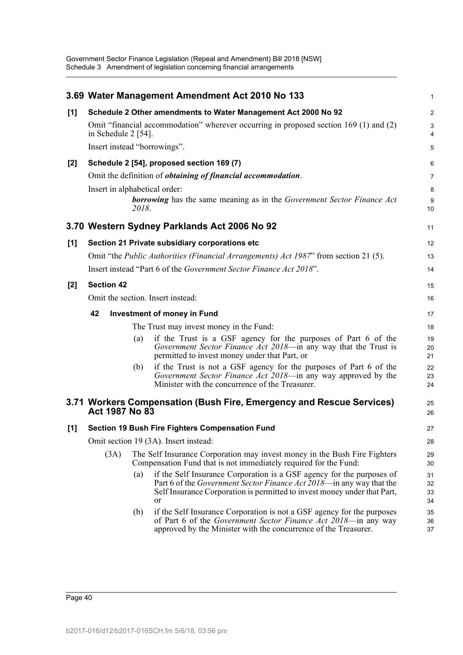|       |                                   | 3.69 Water Management Amendment Act 2010 No 133                                                                                                                                                                                         | 1                    |
|-------|-----------------------------------|-----------------------------------------------------------------------------------------------------------------------------------------------------------------------------------------------------------------------------------------|----------------------|
| [1]   |                                   | Schedule 2 Other amendments to Water Management Act 2000 No 92                                                                                                                                                                          | 2                    |
|       | in Schedule $2$ [54].             | Omit "financial accommodation" wherever occurring in proposed section 169 (1) and (2)                                                                                                                                                   | 3<br>4               |
|       | Insert instead "borrowings".      |                                                                                                                                                                                                                                         | 5                    |
| $[2]$ |                                   | Schedule 2 [54], proposed section 169 (7)                                                                                                                                                                                               | 6                    |
|       |                                   | Omit the definition of <i>obtaining of financial accommodation</i> .                                                                                                                                                                    | 7                    |
|       | Insert in alphabetical order:     |                                                                                                                                                                                                                                         | 8                    |
|       | 2018.                             | <b>borrowing</b> has the same meaning as in the Government Sector Finance Act                                                                                                                                                           | 9<br>10              |
|       |                                   | 3.70 Western Sydney Parklands Act 2006 No 92                                                                                                                                                                                            | 11                   |
| [1]   |                                   | Section 21 Private subsidiary corporations etc                                                                                                                                                                                          | 12                   |
|       |                                   | Omit "the <i>Public Authorities (Financial Arrangements) Act 1987</i> " from section 21 (5).                                                                                                                                            | 13                   |
|       |                                   | Insert instead "Part 6 of the Government Sector Finance Act 2018".                                                                                                                                                                      | 14                   |
| $[2]$ | <b>Section 42</b>                 |                                                                                                                                                                                                                                         | 15                   |
|       | Omit the section. Insert instead: |                                                                                                                                                                                                                                         | 16                   |
|       | 42                                | <b>Investment of money in Fund</b>                                                                                                                                                                                                      | 17                   |
|       |                                   | The Trust may invest money in the Fund:                                                                                                                                                                                                 | 18                   |
|       | (a)                               | if the Trust is a GSF agency for the purposes of Part 6 of the<br>Government Sector Finance Act 2018—in any way that the Trust is<br>permitted to invest money under that Part, or                                                      | 19<br>20<br>21       |
|       | (b)                               | if the Trust is not a GSF agency for the purposes of Part 6 of the<br>Government Sector Finance Act 2018-in any way approved by the<br>Minister with the concurrence of the Treasurer.                                                  | 22<br>23<br>24       |
|       | Act 1987 No 83                    | 3.71 Workers Compensation (Bush Fire, Emergency and Rescue Services)                                                                                                                                                                    | 25<br>26             |
| [1]   |                                   | <b>Section 19 Bush Fire Fighters Compensation Fund</b>                                                                                                                                                                                  | 27                   |
|       |                                   | Omit section 19 (3A). Insert instead:                                                                                                                                                                                                   | 28                   |
|       | (3A)                              | The Self Insurance Corporation may invest money in the Bush Fire Fighters<br>Compensation Fund that is not immediately required for the Fund:                                                                                           | 29<br>30             |
|       | (a)                               | if the Self Insurance Corporation is a GSF agency for the purposes of<br>Part 6 of the <i>Government Sector Finance Act 2018</i> —in any way that the<br>Self Insurance Corporation is permitted to invest money under that Part,<br>or | 31<br>32<br>33<br>34 |
|       | (b)                               | if the Self Insurance Corporation is not a GSF agency for the purposes<br>of Part 6 of the Government Sector Finance Act 2018-in any way<br>approved by the Minister with the concurrence of the Treasurer.                             | 35<br>36<br>37       |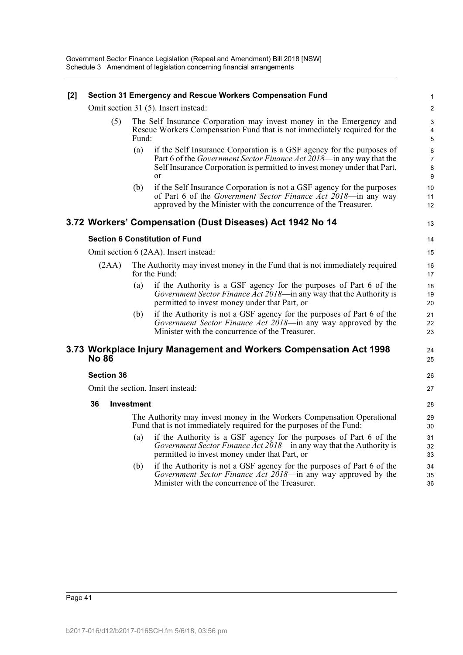### **[2] Section 31 Emergency and Rescue Workers Compensation Fund**

Omit section 31 (5). Insert instead:

| (5) | The Self Insurance Corporation may invest money in the Emergency and               |
|-----|------------------------------------------------------------------------------------|
|     | Rescue Workers Compensation Fund that is not immediately required for the<br>Fund: |
|     |                                                                                    |

- (a) if the Self Insurance Corporation is a GSF agency for the purposes of Part 6 of the *Government Sector Finance Act 2018*—in any way that the Self Insurance Corporation is permitted to invest money under that Part, or
- (b) if the Self Insurance Corporation is not a GSF agency for the purposes of Part 6 of the *Government Sector Finance Act 2018*—in any way approved by the Minister with the concurrence of the Treasurer.

# **3.72 Workers' Compensation (Dust Diseases) Act 1942 No 14**

13 14

> 24 25

> 26 27

## **Section 6 Constitution of Fund**

Omit section 6 (2AA). Insert instead:

- (2AA) The Authority may invest money in the Fund that is not immediately required for the Fund:
	- (a) if the Authority is a GSF agency for the purposes of Part 6 of the *Government Sector Finance Act 2018*—in any way that the Authority is permitted to invest money under that Part, or
	- (b) if the Authority is not a GSF agency for the purposes of Part 6 of the *Government Sector Finance Act 2018*—in any way approved by the Minister with the concurrence of the Treasurer.

## **3.73 Workplace Injury Management and Workers Compensation Act 1998 No 86**

#### **Section 36**

Omit the section. Insert instead:

#### **36 Investment**

The Authority may invest money in the Workers Compensation Operational Fund that is not immediately required for the purposes of the Fund:

- (a) if the Authority is a GSF agency for the purposes of Part 6 of the *Government Sector Finance Act 2018*—in any way that the Authority is permitted to invest money under that Part, or
- (b) if the Authority is not a GSF agency for the purposes of Part 6 of the *Government Sector Finance Act 2018*—in any way approved by the Minister with the concurrence of the Treasurer.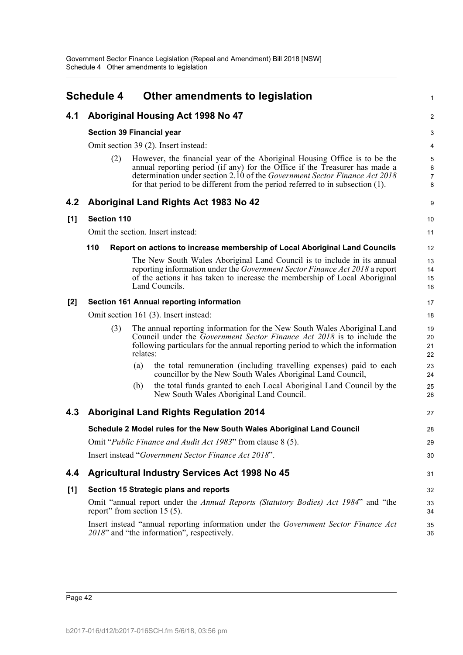|       | <b>Schedule 4</b>                    |          | Other amendments to legislation                                                                                                                                                                                                                                                                                          | 1                             |  |  |  |
|-------|--------------------------------------|----------|--------------------------------------------------------------------------------------------------------------------------------------------------------------------------------------------------------------------------------------------------------------------------------------------------------------------------|-------------------------------|--|--|--|
| 4.1   |                                      |          | Aboriginal Housing Act 1998 No 47                                                                                                                                                                                                                                                                                        | $\overline{2}$                |  |  |  |
|       | <b>Section 39 Financial year</b>     |          |                                                                                                                                                                                                                                                                                                                          | 3                             |  |  |  |
|       | Omit section 39 (2). Insert instead: |          |                                                                                                                                                                                                                                                                                                                          |                               |  |  |  |
|       | (2)                                  |          | However, the financial year of the Aboriginal Housing Office is to be the<br>annual reporting period (if any) for the Office if the Treasurer has made a<br>determination under section 2.10 of the Government Sector Finance Act 2018<br>for that period to be different from the period referred to in subsection (1). | 5<br>6<br>$\overline{7}$<br>8 |  |  |  |
| 4.2   |                                      |          | Aboriginal Land Rights Act 1983 No 42                                                                                                                                                                                                                                                                                    | 9                             |  |  |  |
| [1]   | <b>Section 110</b>                   |          |                                                                                                                                                                                                                                                                                                                          | 10                            |  |  |  |
|       |                                      |          | Omit the section. Insert instead:                                                                                                                                                                                                                                                                                        | 11                            |  |  |  |
|       | 110                                  |          | Report on actions to increase membership of Local Aboriginal Land Councils                                                                                                                                                                                                                                               | 12                            |  |  |  |
|       |                                      |          | The New South Wales Aboriginal Land Council is to include in its annual<br>reporting information under the Government Sector Finance Act 2018 a report<br>of the actions it has taken to increase the membership of Local Aboriginal<br>Land Councils.                                                                   | 13<br>14<br>15<br>16          |  |  |  |
| $[2]$ |                                      |          | <b>Section 161 Annual reporting information</b>                                                                                                                                                                                                                                                                          | 17                            |  |  |  |
|       |                                      |          | Omit section 161 (3). Insert instead:                                                                                                                                                                                                                                                                                    | 18                            |  |  |  |
|       | (3)                                  | relates: | The annual reporting information for the New South Wales Aboriginal Land<br>Council under the <i>Government Sector Finance Act 2018</i> is to include the<br>following particulars for the annual reporting period to which the information                                                                              | 19<br>20<br>21<br>22          |  |  |  |
|       |                                      | (a)      | the total remuneration (including travelling expenses) paid to each<br>councillor by the New South Wales Aboriginal Land Council,                                                                                                                                                                                        | 23<br>24                      |  |  |  |
|       |                                      | (b)      | the total funds granted to each Local Aboriginal Land Council by the<br>New South Wales Aboriginal Land Council.                                                                                                                                                                                                         | 25<br>26                      |  |  |  |
| 4.3   |                                      |          | <b>Aboriginal Land Rights Regulation 2014</b>                                                                                                                                                                                                                                                                            | 27                            |  |  |  |
|       |                                      |          | Schedule 2 Model rules for the New South Wales Aboriginal Land Council                                                                                                                                                                                                                                                   | 28                            |  |  |  |
|       |                                      |          | Omit "Public Finance and Audit Act 1983" from clause 8 (5).                                                                                                                                                                                                                                                              | 29                            |  |  |  |
|       |                                      |          | Insert instead "Government Sector Finance Act 2018".                                                                                                                                                                                                                                                                     | 30                            |  |  |  |
| 4.4   |                                      |          | <b>Agricultural Industry Services Act 1998 No 45</b>                                                                                                                                                                                                                                                                     | 31                            |  |  |  |
| $[1]$ |                                      |          | Section 15 Strategic plans and reports                                                                                                                                                                                                                                                                                   | 32                            |  |  |  |
|       | report" from section $15(5)$ .       |          | Omit "annual report under the Annual Reports (Statutory Bodies) Act 1984" and "the                                                                                                                                                                                                                                       | 33<br>34                      |  |  |  |
|       |                                      |          | Insert instead "annual reporting information under the Government Sector Finance Act<br>2018" and "the information", respectively.                                                                                                                                                                                       | 35<br>36                      |  |  |  |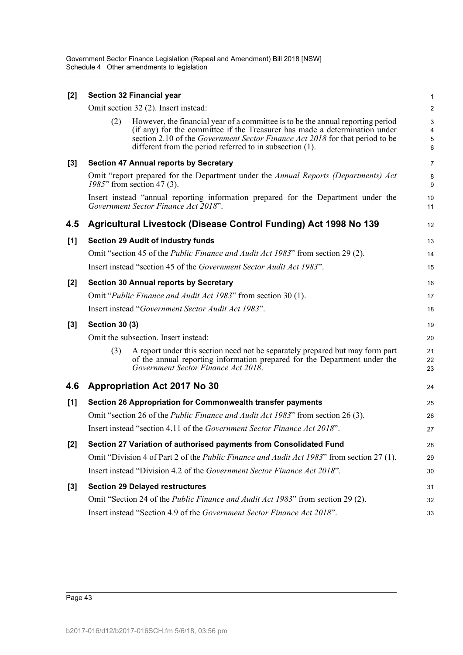| $[2]$ |                       | <b>Section 32 Financial year</b>                                                                                                                                                                                                                                                                          | $\mathbf{1}$                                           |
|-------|-----------------------|-----------------------------------------------------------------------------------------------------------------------------------------------------------------------------------------------------------------------------------------------------------------------------------------------------------|--------------------------------------------------------|
|       |                       | Omit section 32 (2). Insert instead:                                                                                                                                                                                                                                                                      | $\overline{c}$                                         |
|       | (2)                   | However, the financial year of a committee is to be the annual reporting period<br>(if any) for the committee if the Treasurer has made a determination under<br>section 2.10 of the Government Sector Finance Act 2018 for that period to be<br>different from the period referred to in subsection (1). | $\mathbf{3}$<br>$\overline{4}$<br>5<br>$6\phantom{1}6$ |
| $[3]$ |                       | <b>Section 47 Annual reports by Secretary</b>                                                                                                                                                                                                                                                             | $\overline{7}$                                         |
|       |                       | Omit "report prepared for the Department under the Annual Reports (Departments) Act<br>1985" from section 47 (3).                                                                                                                                                                                         | 8<br>9                                                 |
|       |                       | Insert instead "annual reporting information prepared for the Department under the<br>Government Sector Finance Act 2018".                                                                                                                                                                                | 10<br>11                                               |
| 4.5   |                       | Agricultural Livestock (Disease Control Funding) Act 1998 No 139                                                                                                                                                                                                                                          | 12                                                     |
| [1]   |                       | <b>Section 29 Audit of industry funds</b>                                                                                                                                                                                                                                                                 | 13                                                     |
|       |                       | Omit "section 45 of the Public Finance and Audit Act 1983" from section 29 (2).                                                                                                                                                                                                                           | 14                                                     |
|       |                       | Insert instead "section 45 of the Government Sector Audit Act 1983".                                                                                                                                                                                                                                      | 15                                                     |
| $[2]$ |                       | <b>Section 30 Annual reports by Secretary</b>                                                                                                                                                                                                                                                             | 16                                                     |
|       |                       | Omit "Public Finance and Audit Act 1983" from section 30 (1).                                                                                                                                                                                                                                             | 17                                                     |
|       |                       | Insert instead "Government Sector Audit Act 1983".                                                                                                                                                                                                                                                        | 18                                                     |
| $[3]$ | <b>Section 30 (3)</b> |                                                                                                                                                                                                                                                                                                           | 19                                                     |
|       |                       | Omit the subsection. Insert instead:                                                                                                                                                                                                                                                                      | 20                                                     |
|       | (3)                   | A report under this section need not be separately prepared but may form part<br>of the annual reporting information prepared for the Department under the<br>Government Sector Finance Act 2018.                                                                                                         | 21<br>22<br>23                                         |
| 4.6   |                       | <b>Appropriation Act 2017 No 30</b>                                                                                                                                                                                                                                                                       | 24                                                     |
| [1]   |                       | Section 26 Appropriation for Commonwealth transfer payments                                                                                                                                                                                                                                               | 25                                                     |
|       |                       | Omit "section 26 of the <i>Public Finance and Audit Act 1983</i> " from section 26 (3).                                                                                                                                                                                                                   | 26                                                     |
|       |                       | Insert instead "section 4.11 of the <i>Government Sector Finance Act 2018</i> ".                                                                                                                                                                                                                          | 27                                                     |
| $[2]$ |                       | Section 27 Variation of authorised payments from Consolidated Fund                                                                                                                                                                                                                                        | 28                                                     |
|       |                       | Omit "Division 4 of Part 2 of the <i>Public Finance and Audit Act 1983</i> " from section 27 (1).                                                                                                                                                                                                         | 29                                                     |
|       |                       | Insert instead "Division 4.2 of the Government Sector Finance Act 2018".                                                                                                                                                                                                                                  | 30                                                     |
| $[3]$ |                       | <b>Section 29 Delayed restructures</b>                                                                                                                                                                                                                                                                    | 31                                                     |
|       |                       | Omit "Section 24 of the <i>Public Finance and Audit Act 1983</i> " from section 29 (2).                                                                                                                                                                                                                   | 32                                                     |
|       |                       | Insert instead "Section 4.9 of the Government Sector Finance Act 2018".                                                                                                                                                                                                                                   | 33                                                     |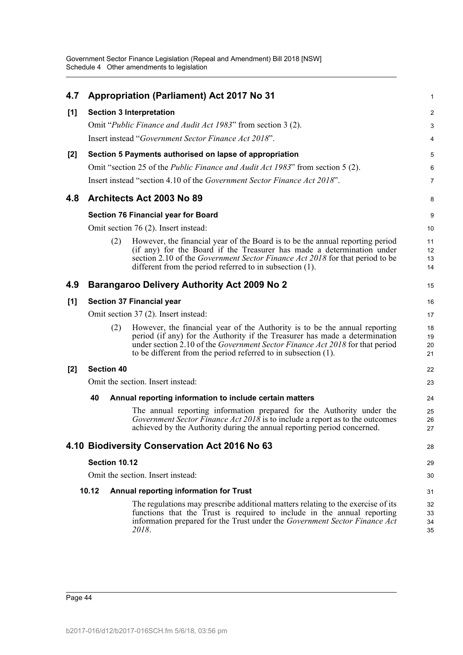| 4.7   |                   | <b>Appropriation (Parliament) Act 2017 No 31</b>                                                                                                                                                                                                                                                            | 1                    |
|-------|-------------------|-------------------------------------------------------------------------------------------------------------------------------------------------------------------------------------------------------------------------------------------------------------------------------------------------------------|----------------------|
| [1]   |                   | <b>Section 3 Interpretation</b>                                                                                                                                                                                                                                                                             | 2                    |
|       |                   | Omit "Public Finance and Audit Act 1983" from section 3 (2).                                                                                                                                                                                                                                                | 3                    |
|       |                   | Insert instead "Government Sector Finance Act 2018".                                                                                                                                                                                                                                                        | 4                    |
| $[2]$ |                   | Section 5 Payments authorised on lapse of appropriation                                                                                                                                                                                                                                                     | 5                    |
|       |                   | Omit "section 25 of the <i>Public Finance and Audit Act 1983</i> " from section 5 (2).                                                                                                                                                                                                                      | 6                    |
|       |                   | Insert instead "section 4.10 of the Government Sector Finance Act 2018".                                                                                                                                                                                                                                    | $\overline{7}$       |
| 4.8   |                   | Architects Act 2003 No 89                                                                                                                                                                                                                                                                                   | 8                    |
|       |                   | <b>Section 76 Financial year for Board</b>                                                                                                                                                                                                                                                                  | 9                    |
|       |                   | Omit section 76 (2). Insert instead:                                                                                                                                                                                                                                                                        | 10                   |
|       | (2)               | However, the financial year of the Board is to be the annual reporting period<br>(if any) for the Board if the Treasurer has made a determination under<br>section 2.10 of the Government Sector Finance Act 2018 for that period to be<br>different from the period referred to in subsection (1).         | 11<br>12<br>13<br>14 |
| 4.9   |                   | <b>Barangaroo Delivery Authority Act 2009 No 2</b>                                                                                                                                                                                                                                                          | 15                   |
| [1]   |                   | Section 37 Financial year                                                                                                                                                                                                                                                                                   | 16                   |
|       |                   | Omit section 37 (2). Insert instead:                                                                                                                                                                                                                                                                        | 17                   |
|       | (2)               | However, the financial year of the Authority is to be the annual reporting<br>period (if any) for the Authority if the Treasurer has made a determination<br>under section 2.10 of the Government Sector Finance Act 2018 for that period<br>to be different from the period referred to in subsection (1). | 18<br>19<br>20<br>21 |
| $[2]$ | <b>Section 40</b> |                                                                                                                                                                                                                                                                                                             | 22                   |
|       |                   | Omit the section. Insert instead:                                                                                                                                                                                                                                                                           | 23                   |
|       | 40                | Annual reporting information to include certain matters                                                                                                                                                                                                                                                     | 24                   |
|       |                   | The annual reporting information prepared for the Authority under the<br>Government Sector Finance Act $2018$ is to include a report as to the outcomes<br>achieved by the Authority during the annual reporting period concerned.                                                                          | 25<br>26<br>27       |
|       |                   | 4.10 Biodiversity Conservation Act 2016 No 63                                                                                                                                                                                                                                                               | 28                   |
|       | Section 10.12     |                                                                                                                                                                                                                                                                                                             | 29                   |
|       |                   | Omit the section. Insert instead:                                                                                                                                                                                                                                                                           | 30                   |
|       | 10.12             | Annual reporting information for Trust                                                                                                                                                                                                                                                                      | 31                   |
|       |                   | The regulations may prescribe additional matters relating to the exercise of its<br>functions that the Trust is required to include in the annual reporting<br>information prepared for the Trust under the Government Sector Finance Act<br>2018.                                                          | 32<br>33<br>34<br>35 |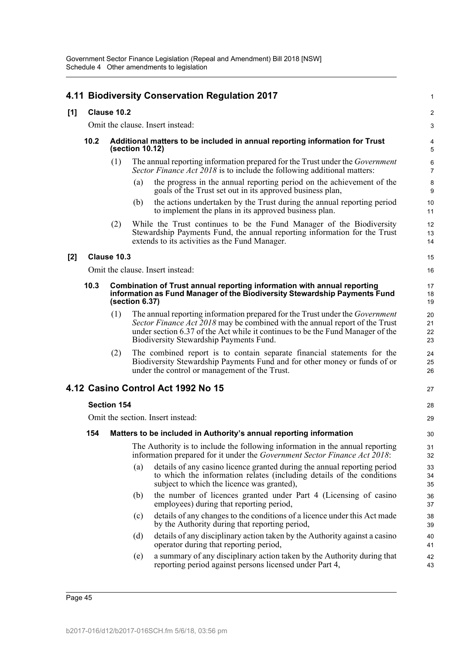|     |                                                                                                                                                                                |                                  |     | 4.11 Biodiversity Conservation Regulation 2017                                                                                                                                                                                                                                                  | 1                    |  |  |
|-----|--------------------------------------------------------------------------------------------------------------------------------------------------------------------------------|----------------------------------|-----|-------------------------------------------------------------------------------------------------------------------------------------------------------------------------------------------------------------------------------------------------------------------------------------------------|----------------------|--|--|
| [1] | Clause 10.2                                                                                                                                                                    |                                  |     |                                                                                                                                                                                                                                                                                                 |                      |  |  |
|     |                                                                                                                                                                                | Omit the clause. Insert instead: |     |                                                                                                                                                                                                                                                                                                 |                      |  |  |
|     | 10.2<br>Additional matters to be included in annual reporting information for Trust<br>(section 10.12)                                                                         |                                  |     |                                                                                                                                                                                                                                                                                                 |                      |  |  |
|     |                                                                                                                                                                                | (1)                              |     | The annual reporting information prepared for the Trust under the <i>Government</i><br><i>Sector Finance Act 2018</i> is to include the following additional matters:                                                                                                                           | 6<br>$\overline{7}$  |  |  |
|     |                                                                                                                                                                                |                                  | (a) | the progress in the annual reporting period on the achievement of the<br>goals of the Trust set out in its approved business plan,                                                                                                                                                              | 8<br>9               |  |  |
|     |                                                                                                                                                                                |                                  | (b) | the actions undertaken by the Trust during the annual reporting period<br>to implement the plans in its approved business plan.                                                                                                                                                                 | 10<br>11             |  |  |
|     |                                                                                                                                                                                | (2)                              |     | While the Trust continues to be the Fund Manager of the Biodiversity<br>Stewardship Payments Fund, the annual reporting information for the Trust<br>extends to its activities as the Fund Manager.                                                                                             | 12<br>13<br>14       |  |  |
| [2] |                                                                                                                                                                                | Clause 10.3                      |     |                                                                                                                                                                                                                                                                                                 | 15                   |  |  |
|     |                                                                                                                                                                                |                                  |     | Omit the clause. Insert instead:                                                                                                                                                                                                                                                                | 16                   |  |  |
|     | 10.3<br>Combination of Trust annual reporting information with annual reporting<br>information as Fund Manager of the Biodiversity Stewardship Payments Fund<br>(section 6.37) |                                  |     |                                                                                                                                                                                                                                                                                                 | 17<br>18<br>19       |  |  |
|     |                                                                                                                                                                                | (1)                              |     | The annual reporting information prepared for the Trust under the <i>Government</i><br>Sector Finance Act 2018 may be combined with the annual report of the Trust<br>under section 6.37 of the Act while it continues to be the Fund Manager of the<br>Biodiversity Stewardship Payments Fund. | 20<br>21<br>22<br>23 |  |  |
|     |                                                                                                                                                                                | (2)                              |     | The combined report is to contain separate financial statements for the<br>Biodiversity Stewardship Payments Fund and for other money or funds of or<br>under the control or management of the Trust.                                                                                           | 24<br>25<br>26       |  |  |
|     |                                                                                                                                                                                |                                  |     | 4.12 Casino Control Act 1992 No 15                                                                                                                                                                                                                                                              | 27                   |  |  |
|     |                                                                                                                                                                                | <b>Section 154</b>               |     |                                                                                                                                                                                                                                                                                                 | 28                   |  |  |
|     |                                                                                                                                                                                |                                  |     | Omit the section. Insert instead:                                                                                                                                                                                                                                                               | 29                   |  |  |
|     | 154                                                                                                                                                                            |                                  |     | Matters to be included in Authority's annual reporting information                                                                                                                                                                                                                              | 30                   |  |  |
|     |                                                                                                                                                                                |                                  |     | The Authority is to include the following information in the annual reporting<br>information prepared for it under the Government Sector Finance Act 2018:                                                                                                                                      | 31<br>32             |  |  |
|     |                                                                                                                                                                                |                                  | (a) | details of any casino licence granted during the annual reporting period<br>to which the information relates (including details of the conditions<br>subject to which the licence was granted),                                                                                                 | 33<br>34<br>35       |  |  |
|     |                                                                                                                                                                                |                                  | (b) | the number of licences granted under Part 4 (Licensing of casino<br>employees) during that reporting period,                                                                                                                                                                                    | 36<br>37             |  |  |
|     |                                                                                                                                                                                |                                  | (c) | details of any changes to the conditions of a licence under this Act made<br>by the Authority during that reporting period,                                                                                                                                                                     | 38<br>39             |  |  |
|     |                                                                                                                                                                                |                                  | (d) | details of any disciplinary action taken by the Authority against a casino<br>operator during that reporting period,                                                                                                                                                                            | 40<br>41             |  |  |
|     |                                                                                                                                                                                |                                  | (e) | a summary of any disciplinary action taken by the Authority during that<br>reporting period against persons licensed under Part 4,                                                                                                                                                              | 42<br>43             |  |  |
|     |                                                                                                                                                                                |                                  |     |                                                                                                                                                                                                                                                                                                 |                      |  |  |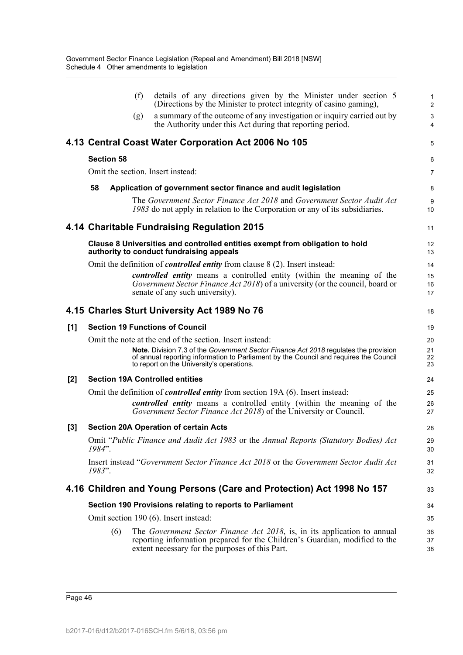|       |                   | (f) | details of any directions given by the Minister under section 5<br>(Directions by the Minister to protect integrity of casino gaming),                                                                                     | 1<br>$\overline{\mathbf{c}}$ |
|-------|-------------------|-----|----------------------------------------------------------------------------------------------------------------------------------------------------------------------------------------------------------------------------|------------------------------|
|       |                   | (g) | a summary of the outcome of any investigation or inquiry carried out by<br>the Authority under this Act during that reporting period.                                                                                      | 3<br>4                       |
|       |                   |     | 4.13 Central Coast Water Corporation Act 2006 No 105                                                                                                                                                                       | 5                            |
|       | <b>Section 58</b> |     |                                                                                                                                                                                                                            | 6                            |
|       |                   |     | Omit the section. Insert instead:                                                                                                                                                                                          | 7                            |
|       | 58                |     | Application of government sector finance and audit legislation                                                                                                                                                             | 8                            |
|       |                   |     | The Government Sector Finance Act 2018 and Government Sector Audit Act<br>1983 do not apply in relation to the Corporation or any of its subsidiaries.                                                                     | 9<br>10                      |
|       |                   |     | 4.14 Charitable Fundraising Regulation 2015                                                                                                                                                                                | 11                           |
|       |                   |     | Clause 8 Universities and controlled entities exempt from obligation to hold<br>authority to conduct fundraising appeals                                                                                                   | 12<br>13                     |
|       |                   |     | Omit the definition of <i>controlled entity</i> from clause 8 (2). Insert instead:                                                                                                                                         | 14                           |
|       |                   |     | controlled entity means a controlled entity (within the meaning of the<br>Government Sector Finance Act 2018) of a university (or the council, board or<br>senate of any such university).                                 | 15<br>16<br>17               |
|       |                   |     | 4.15 Charles Sturt University Act 1989 No 76                                                                                                                                                                               | 18                           |
| [1]   |                   |     | <b>Section 19 Functions of Council</b>                                                                                                                                                                                     | 19                           |
|       |                   |     | Omit the note at the end of the section. Insert instead:                                                                                                                                                                   | 20                           |
|       |                   |     | Note. Division 7.3 of the Government Sector Finance Act 2018 regulates the provision<br>of annual reporting information to Parliament by the Council and requires the Council<br>to report on the University's operations. | 21<br>22<br>23               |
| $[2]$ |                   |     | <b>Section 19A Controlled entities</b>                                                                                                                                                                                     | 24                           |
|       |                   |     | Omit the definition of <i>controlled entity</i> from section 19A (6). Insert instead:                                                                                                                                      | 25                           |
|       |                   |     | controlled entity means a controlled entity (within the meaning of the<br>Government Sector Finance Act 2018) of the University or Council.                                                                                | 26<br>27                     |
| [3]   |                   |     | <b>Section 20A Operation of certain Acts</b>                                                                                                                                                                               | 28                           |
|       | 1984".            |     | Omit "Public Finance and Audit Act 1983 or the Annual Reports (Statutory Bodies) Act                                                                                                                                       | 29<br>30                     |
|       | 1983".            |     | Insert instead "Government Sector Finance Act 2018 or the Government Sector Audit Act                                                                                                                                      | 31<br>32                     |
|       |                   |     | 4.16 Children and Young Persons (Care and Protection) Act 1998 No 157                                                                                                                                                      | 33                           |
|       |                   |     | Section 190 Provisions relating to reports to Parliament                                                                                                                                                                   | 34                           |
|       |                   |     | Omit section 190 (6). Insert instead:                                                                                                                                                                                      | 35                           |
|       | (6)               |     | The Government Sector Finance Act 2018, is, in its application to annual<br>reporting information prepared for the Children's Guardian, modified to the<br>extent necessary for the purposes of this Part.                 | 36<br>37<br>38               |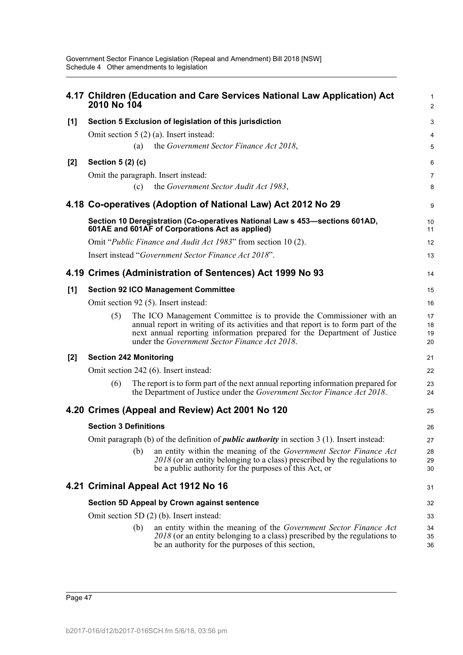|       | 2010 No 104                   |     | 4.17 Children (Education and Care Services National Law Application) Act                                                                                                                                                                                                              | 1<br>$\overline{2}$  |
|-------|-------------------------------|-----|---------------------------------------------------------------------------------------------------------------------------------------------------------------------------------------------------------------------------------------------------------------------------------------|----------------------|
| $[1]$ |                               |     | Section 5 Exclusion of legislation of this jurisdiction                                                                                                                                                                                                                               | 3                    |
|       |                               |     | Omit section $5(2)(a)$ . Insert instead:                                                                                                                                                                                                                                              | 4                    |
|       |                               | (a) | the Government Sector Finance Act 2018,                                                                                                                                                                                                                                               | 5                    |
| $[2]$ | Section 5 (2) (c)             |     |                                                                                                                                                                                                                                                                                       | 6                    |
|       |                               |     | Omit the paragraph. Insert instead:                                                                                                                                                                                                                                                   | $\overline{7}$       |
|       |                               | (c) | the Government Sector Audit Act 1983,                                                                                                                                                                                                                                                 | 8                    |
|       |                               |     | 4.18 Co-operatives (Adoption of National Law) Act 2012 No 29                                                                                                                                                                                                                          | 9                    |
|       |                               |     | Section 10 Deregistration (Co-operatives National Law s 453–sections 601AD,<br>601AE and 601AF of Corporations Act as applied)                                                                                                                                                        | 10<br>11             |
|       |                               |     | Omit "Public Finance and Audit Act 1983" from section 10 (2).                                                                                                                                                                                                                         | 12                   |
|       |                               |     | Insert instead "Government Sector Finance Act 2018".                                                                                                                                                                                                                                  | 13                   |
|       |                               |     | 4.19 Crimes (Administration of Sentences) Act 1999 No 93                                                                                                                                                                                                                              | 14                   |
| [1]   |                               |     | <b>Section 92 ICO Management Committee</b>                                                                                                                                                                                                                                            | 15                   |
|       |                               |     | Omit section 92 (5). Insert instead:                                                                                                                                                                                                                                                  | 16                   |
|       | (5)                           |     | The ICO Management Committee is to provide the Commissioner with an<br>annual report in writing of its activities and that report is to form part of the<br>next annual reporting information prepared for the Department of Justice<br>under the Government Sector Finance Act 2018. | 17<br>18<br>19<br>20 |
| $[2]$ | <b>Section 242 Monitoring</b> |     |                                                                                                                                                                                                                                                                                       | 21                   |
|       |                               |     | Omit section 242 (6). Insert instead:                                                                                                                                                                                                                                                 | 22                   |
|       | (6)                           |     | The report is to form part of the next annual reporting information prepared for<br>the Department of Justice under the Government Sector Finance Act 2018.                                                                                                                           | 23<br>24             |
|       |                               |     | 4.20 Crimes (Appeal and Review) Act 2001 No 120                                                                                                                                                                                                                                       | 25                   |
|       | <b>Section 3 Definitions</b>  |     |                                                                                                                                                                                                                                                                                       | 26                   |
|       |                               |     | Omit paragraph (b) of the definition of <i>public authority</i> in section $3(1)$ . Insert instead:                                                                                                                                                                                   | 27                   |
|       |                               | (b) | an entity within the meaning of the Government Sector Finance Act<br>2018 (or an entity belonging to a class) prescribed by the regulations to<br>be a public authority for the purposes of this Act, or                                                                              | 28<br>29<br>30       |
|       |                               |     | 4.21 Criminal Appeal Act 1912 No 16                                                                                                                                                                                                                                                   | 31                   |
|       |                               |     | <b>Section 5D Appeal by Crown against sentence</b>                                                                                                                                                                                                                                    | 32                   |
|       |                               |     | Omit section 5D $(2)$ $(b)$ . Insert instead:                                                                                                                                                                                                                                         | 33                   |
|       |                               | (b) | an entity within the meaning of the Government Sector Finance Act<br>2018 (or an entity belonging to a class) prescribed by the regulations to<br>be an authority for the purposes of this section,                                                                                   | 34<br>35<br>36       |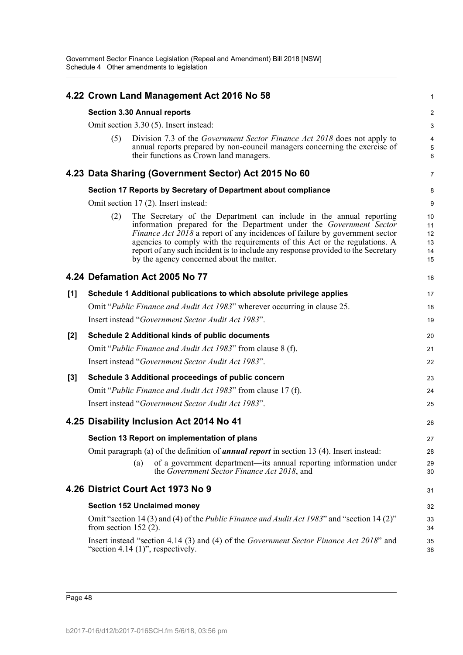|       |                                        | 4.22 Crown Land Management Act 2016 No 58                                                                                                                                                                                                                                                                                                                                                                                                       | 1                                |  |  |  |  |  |  |  |
|-------|----------------------------------------|-------------------------------------------------------------------------------------------------------------------------------------------------------------------------------------------------------------------------------------------------------------------------------------------------------------------------------------------------------------------------------------------------------------------------------------------------|----------------------------------|--|--|--|--|--|--|--|
|       |                                        | <b>Section 3.30 Annual reports</b>                                                                                                                                                                                                                                                                                                                                                                                                              | $\overline{c}$                   |  |  |  |  |  |  |  |
|       | Omit section 3.30 (5). Insert instead: |                                                                                                                                                                                                                                                                                                                                                                                                                                                 |                                  |  |  |  |  |  |  |  |
|       | (5)                                    | Division 7.3 of the Government Sector Finance Act 2018 does not apply to<br>annual reports prepared by non-council managers concerning the exercise of<br>their functions as Crown land managers.                                                                                                                                                                                                                                               | 4<br>5<br>$6\phantom{1}6$        |  |  |  |  |  |  |  |
|       |                                        | 4.23 Data Sharing (Government Sector) Act 2015 No 60                                                                                                                                                                                                                                                                                                                                                                                            | $\overline{7}$                   |  |  |  |  |  |  |  |
|       |                                        | Section 17 Reports by Secretary of Department about compliance                                                                                                                                                                                                                                                                                                                                                                                  | 8                                |  |  |  |  |  |  |  |
|       |                                        | Omit section 17 (2). Insert instead:                                                                                                                                                                                                                                                                                                                                                                                                            | 9                                |  |  |  |  |  |  |  |
|       | (2)                                    | The Secretary of the Department can include in the annual reporting<br>information prepared for the Department under the Government Sector<br><i>Finance Act 2018</i> a report of any incidences of failure by government sector<br>agencies to comply with the requirements of this Act or the regulations. A<br>report of any such incident is to include any response provided to the Secretary<br>by the agency concerned about the matter. | 10<br>11<br>12<br>13<br>14<br>15 |  |  |  |  |  |  |  |
|       |                                        | 4.24 Defamation Act 2005 No 77                                                                                                                                                                                                                                                                                                                                                                                                                  | 16                               |  |  |  |  |  |  |  |
| $[1]$ |                                        | Schedule 1 Additional publications to which absolute privilege applies                                                                                                                                                                                                                                                                                                                                                                          | 17                               |  |  |  |  |  |  |  |
|       |                                        | Omit "Public Finance and Audit Act 1983" wherever occurring in clause 25.                                                                                                                                                                                                                                                                                                                                                                       | 18                               |  |  |  |  |  |  |  |
|       |                                        | Insert instead "Government Sector Audit Act 1983".                                                                                                                                                                                                                                                                                                                                                                                              | 19                               |  |  |  |  |  |  |  |
| $[2]$ |                                        | <b>Schedule 2 Additional kinds of public documents</b>                                                                                                                                                                                                                                                                                                                                                                                          | 20                               |  |  |  |  |  |  |  |
|       |                                        | Omit "Public Finance and Audit Act 1983" from clause 8 (f).                                                                                                                                                                                                                                                                                                                                                                                     | 21                               |  |  |  |  |  |  |  |
|       |                                        | Insert instead "Government Sector Audit Act 1983".                                                                                                                                                                                                                                                                                                                                                                                              | 22                               |  |  |  |  |  |  |  |
| [3]   |                                        | Schedule 3 Additional proceedings of public concern                                                                                                                                                                                                                                                                                                                                                                                             | 23                               |  |  |  |  |  |  |  |
|       |                                        | Omit "Public Finance and Audit Act 1983" from clause 17 (f).                                                                                                                                                                                                                                                                                                                                                                                    | 24                               |  |  |  |  |  |  |  |
|       |                                        | Insert instead "Government Sector Audit Act 1983".                                                                                                                                                                                                                                                                                                                                                                                              | 25                               |  |  |  |  |  |  |  |
|       |                                        | 4.25 Disability Inclusion Act 2014 No 41                                                                                                                                                                                                                                                                                                                                                                                                        | 26                               |  |  |  |  |  |  |  |
|       |                                        | Section 13 Report on implementation of plans                                                                                                                                                                                                                                                                                                                                                                                                    | 27                               |  |  |  |  |  |  |  |
|       |                                        | Omit paragraph (a) of the definition of <b>annual report</b> in section 13 (4). Insert instead:                                                                                                                                                                                                                                                                                                                                                 | 28                               |  |  |  |  |  |  |  |
|       |                                        | of a government department-its annual reporting information under<br>(a)<br>the Government Sector Finance Act 2018, and                                                                                                                                                                                                                                                                                                                         | 29<br>30                         |  |  |  |  |  |  |  |
|       |                                        | 4.26 District Court Act 1973 No 9                                                                                                                                                                                                                                                                                                                                                                                                               | 31                               |  |  |  |  |  |  |  |
|       |                                        | <b>Section 152 Unclaimed money</b>                                                                                                                                                                                                                                                                                                                                                                                                              | 32                               |  |  |  |  |  |  |  |
|       | from section $152$ (2).                | Omit "section 14 (3) and (4) of the <i>Public Finance and Audit Act 1983</i> " and "section 14 (2)"                                                                                                                                                                                                                                                                                                                                             | 33<br>34                         |  |  |  |  |  |  |  |
|       |                                        | Insert instead "section 4.14 (3) and (4) of the Government Sector Finance Act 2018" and<br>"section 4.14 $(1)$ ", respectively.                                                                                                                                                                                                                                                                                                                 | 35<br>36                         |  |  |  |  |  |  |  |
|       |                                        |                                                                                                                                                                                                                                                                                                                                                                                                                                                 |                                  |  |  |  |  |  |  |  |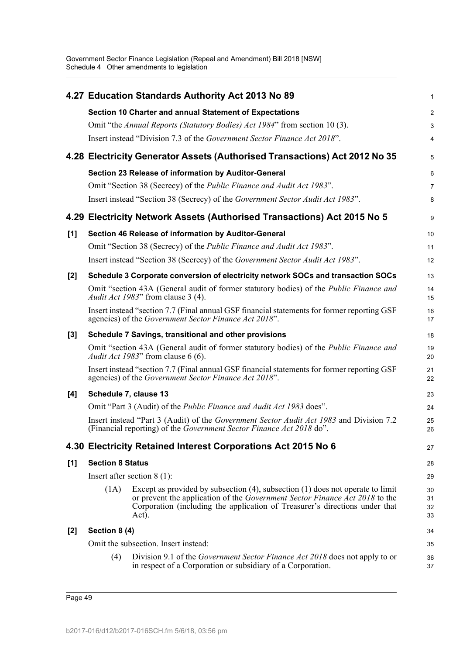|       |                         | 4.27 Education Standards Authority Act 2013 No 89                                                                                                                                                                                                          | 1                    |
|-------|-------------------------|------------------------------------------------------------------------------------------------------------------------------------------------------------------------------------------------------------------------------------------------------------|----------------------|
|       |                         | Section 10 Charter and annual Statement of Expectations                                                                                                                                                                                                    | $\overline{c}$       |
|       |                         | Omit "the Annual Reports (Statutory Bodies) Act 1984" from section 10(3).                                                                                                                                                                                  | 3                    |
|       |                         | Insert instead "Division 7.3 of the Government Sector Finance Act 2018".                                                                                                                                                                                   | 4                    |
|       |                         | 4.28 Electricity Generator Assets (Authorised Transactions) Act 2012 No 35                                                                                                                                                                                 | 5                    |
|       |                         | Section 23 Release of information by Auditor-General                                                                                                                                                                                                       | 6                    |
|       |                         | Omit "Section 38 (Secrecy) of the <i>Public Finance and Audit Act 1983</i> ".                                                                                                                                                                              | 7                    |
|       |                         | Insert instead "Section 38 (Secrecy) of the Government Sector Audit Act 1983".                                                                                                                                                                             | 8                    |
|       |                         | 4.29 Electricity Network Assets (Authorised Transactions) Act 2015 No 5                                                                                                                                                                                    | 9                    |
| [1]   |                         | Section 46 Release of information by Auditor-General                                                                                                                                                                                                       | 10                   |
|       |                         | Omit "Section 38 (Secrecy) of the <i>Public Finance and Audit Act 1983</i> ".                                                                                                                                                                              | 11                   |
|       |                         | Insert instead "Section 38 (Secrecy) of the Government Sector Audit Act 1983".                                                                                                                                                                             | 12                   |
| $[2]$ |                         | Schedule 3 Corporate conversion of electricity network SOCs and transaction SOCs                                                                                                                                                                           | 13                   |
|       |                         | Omit "section 43A (General audit of former statutory bodies) of the <i>Public Finance and</i><br><i>Audit Act 1983</i> " from clause 3 (4).                                                                                                                | 14<br>15             |
|       |                         | Insert instead "section 7.7 (Final annual GSF financial statements for former reporting GSF<br>agencies) of the Government Sector Finance Act 2018".                                                                                                       | 16<br>17             |
| $[3]$ |                         | Schedule 7 Savings, transitional and other provisions                                                                                                                                                                                                      | 18                   |
|       |                         | Omit "section 43A (General audit of former statutory bodies) of the <i>Public Finance and</i><br>Audit Act 1983" from clause 6 (6).                                                                                                                        | 19<br>20             |
|       |                         | Insert instead "section 7.7 (Final annual GSF financial statements for former reporting GSF<br>agencies) of the Government Sector Finance Act 2018".                                                                                                       | 21<br>22             |
| [4]   | Schedule 7, clause 13   |                                                                                                                                                                                                                                                            | 23                   |
|       |                         | Omit "Part 3 (Audit) of the Public Finance and Audit Act 1983 does".                                                                                                                                                                                       | 24                   |
|       |                         | Insert instead "Part 3 (Audit) of the Government Sector Audit Act 1983 and Division 7.2<br>(Financial reporting) of the Government Sector Finance Act 2018 do".                                                                                            | 25<br>26             |
|       |                         | 4.30 Electricity Retained Interest Corporations Act 2015 No 6                                                                                                                                                                                              | 27                   |
| [1]   | <b>Section 8 Status</b> |                                                                                                                                                                                                                                                            | 28                   |
|       |                         | Insert after section $8(1)$ :                                                                                                                                                                                                                              | 29                   |
|       | (1A)                    | Except as provided by subsection $(4)$ , subsection $(1)$ does not operate to limit<br>or prevent the application of the Government Sector Finance Act 2018 to the<br>Corporation (including the application of Treasurer's directions under that<br>Act). | 30<br>31<br>32<br>33 |
| $[2]$ | Section 8 (4)           |                                                                                                                                                                                                                                                            | 34                   |
|       |                         | Omit the subsection. Insert instead:                                                                                                                                                                                                                       | 35                   |
|       | (4)                     | Division 9.1 of the <i>Government Sector Finance Act 2018</i> does not apply to or<br>in respect of a Corporation or subsidiary of a Corporation.                                                                                                          | 36<br>37             |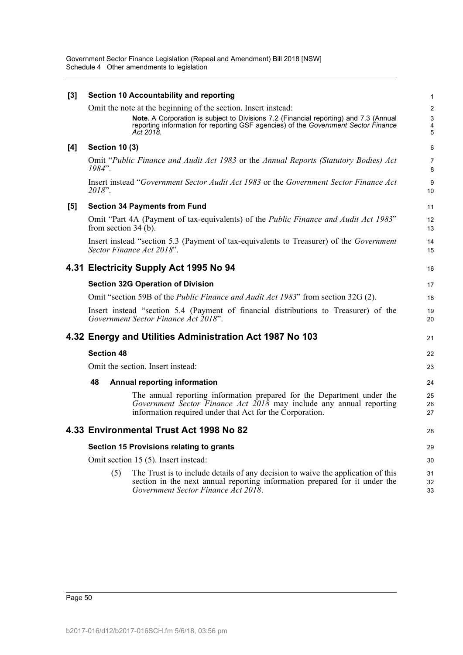| $[3]$ |                                                                                                                              | <b>Section 10 Accountability and reporting</b>                                                                                                                                                                                                             | $\mathbf{1}$                                          |  |  |  |  |
|-------|------------------------------------------------------------------------------------------------------------------------------|------------------------------------------------------------------------------------------------------------------------------------------------------------------------------------------------------------------------------------------------------------|-------------------------------------------------------|--|--|--|--|
|       |                                                                                                                              | Omit the note at the beginning of the section. Insert instead:<br>Note. A Corporation is subject to Divisions 7.2 (Financial reporting) and 7.3 (Annual<br>reporting information for reporting GSF agencies) of the Government Sector Finance<br>Act 2018. | $\boldsymbol{2}$<br>3<br>$\overline{\mathbf{4}}$<br>5 |  |  |  |  |
| [4]   | <b>Section 10 (3)</b>                                                                                                        |                                                                                                                                                                                                                                                            | 6                                                     |  |  |  |  |
|       | $1984"$ .                                                                                                                    | Omit "Public Finance and Audit Act 1983 or the Annual Reports (Statutory Bodies) Act                                                                                                                                                                       | 7<br>8                                                |  |  |  |  |
|       | 2018".                                                                                                                       | Insert instead "Government Sector Audit Act 1983 or the Government Sector Finance Act                                                                                                                                                                      | 9<br>10                                               |  |  |  |  |
| [5]   |                                                                                                                              | <b>Section 34 Payments from Fund</b>                                                                                                                                                                                                                       | 11                                                    |  |  |  |  |
|       | from section $34(b)$ .                                                                                                       | Omit "Part 4A (Payment of tax-equivalents) of the <i>Public Finance and Audit Act 1983</i> "                                                                                                                                                               | 12<br>13                                              |  |  |  |  |
|       |                                                                                                                              | Insert instead "section 5.3 (Payment of tax-equivalents to Treasurer) of the <i>Government</i><br>Sector Finance Act 2018".                                                                                                                                | 14<br>15                                              |  |  |  |  |
|       |                                                                                                                              | 4.31 Electricity Supply Act 1995 No 94                                                                                                                                                                                                                     | 16                                                    |  |  |  |  |
|       |                                                                                                                              | <b>Section 32G Operation of Division</b>                                                                                                                                                                                                                   | 17                                                    |  |  |  |  |
|       |                                                                                                                              | Omit "section 59B of the Public Finance and Audit Act 1983" from section 32G (2).                                                                                                                                                                          | 18                                                    |  |  |  |  |
|       | Insert instead "section 5.4 (Payment of financial distributions to Treasurer) of the<br>Government Sector Finance Act 2018". |                                                                                                                                                                                                                                                            |                                                       |  |  |  |  |
|       |                                                                                                                              | 4.32 Energy and Utilities Administration Act 1987 No 103                                                                                                                                                                                                   | 21                                                    |  |  |  |  |
|       | <b>Section 48</b>                                                                                                            |                                                                                                                                                                                                                                                            | 22                                                    |  |  |  |  |
|       |                                                                                                                              | Omit the section. Insert instead:                                                                                                                                                                                                                          | 23                                                    |  |  |  |  |
|       | 48                                                                                                                           | <b>Annual reporting information</b>                                                                                                                                                                                                                        | 24                                                    |  |  |  |  |
|       |                                                                                                                              | The annual reporting information prepared for the Department under the<br>Government Sector Finance Act $2018$ may include any annual reporting<br>information required under that Act for the Corporation.                                                | 25<br>26<br>27                                        |  |  |  |  |
|       |                                                                                                                              | 4.33 Environmental Trust Act 1998 No 82                                                                                                                                                                                                                    | 28                                                    |  |  |  |  |
|       |                                                                                                                              | Section 15 Provisions relating to grants                                                                                                                                                                                                                   | 29                                                    |  |  |  |  |
|       |                                                                                                                              | Omit section 15 (5). Insert instead:                                                                                                                                                                                                                       | 30                                                    |  |  |  |  |
|       | (5)                                                                                                                          | The Trust is to include details of any decision to waive the application of this<br>section in the next annual reporting information prepared for it under the<br>Government Sector Finance Act 2018.                                                      | 31<br>32<br>33                                        |  |  |  |  |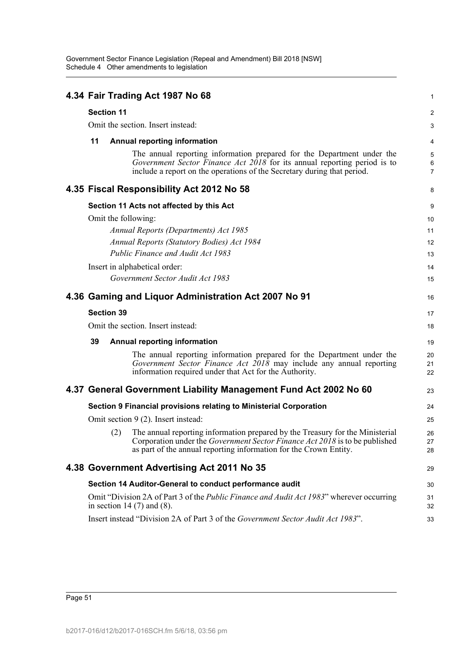|    |                   | 4.34 Fair Trading Act 1987 No 68                                                                                                                                                                                                             | 1                        |
|----|-------------------|----------------------------------------------------------------------------------------------------------------------------------------------------------------------------------------------------------------------------------------------|--------------------------|
|    | <b>Section 11</b> |                                                                                                                                                                                                                                              | $\overline{\mathbf{c}}$  |
|    |                   | Omit the section. Insert instead:                                                                                                                                                                                                            | 3                        |
| 11 |                   | <b>Annual reporting information</b>                                                                                                                                                                                                          | 4                        |
|    |                   | The annual reporting information prepared for the Department under the<br>Government Sector Finance Act 2018 for its annual reporting period is to<br>include a report on the operations of the Secretary during that period.                | 5<br>6<br>$\overline{7}$ |
|    |                   | 4.35 Fiscal Responsibility Act 2012 No 58                                                                                                                                                                                                    | 8                        |
|    |                   | Section 11 Acts not affected by this Act                                                                                                                                                                                                     | 9                        |
|    |                   | Omit the following:                                                                                                                                                                                                                          | 10                       |
|    |                   | Annual Reports (Departments) Act 1985                                                                                                                                                                                                        | 11                       |
|    |                   | <b>Annual Reports (Statutory Bodies) Act 1984</b>                                                                                                                                                                                            | 12                       |
|    |                   | Public Finance and Audit Act 1983                                                                                                                                                                                                            | 13                       |
|    |                   | Insert in alphabetical order:                                                                                                                                                                                                                | 14                       |
|    |                   | Government Sector Audit Act 1983                                                                                                                                                                                                             | 15                       |
|    |                   | 4.36 Gaming and Liquor Administration Act 2007 No 91                                                                                                                                                                                         | 16                       |
|    | <b>Section 39</b> |                                                                                                                                                                                                                                              | 17                       |
|    |                   | Omit the section. Insert instead:                                                                                                                                                                                                            | 18                       |
| 39 |                   | <b>Annual reporting information</b>                                                                                                                                                                                                          | 19                       |
|    |                   | The annual reporting information prepared for the Department under the<br>Government Sector Finance Act $2018$ may include any annual reporting<br>information required under that Act for the Authority.                                    | 20<br>21<br>22           |
|    |                   | 4.37 General Government Liability Management Fund Act 2002 No 60                                                                                                                                                                             | 23                       |
|    |                   | Section 9 Financial provisions relating to Ministerial Corporation                                                                                                                                                                           | 24                       |
|    |                   | Omit section 9 (2). Insert instead:                                                                                                                                                                                                          | 25                       |
|    |                   | (2) The annual reporting information prepared by the Treasury for the Ministerial<br>Corporation under the <i>Government Sector Finance Act 2018</i> is to be published<br>as part of the annual reporting information for the Crown Entity. | 26<br>27<br>28           |
|    |                   | 4.38 Government Advertising Act 2011 No 35                                                                                                                                                                                                   | 29                       |
|    |                   | Section 14 Auditor-General to conduct performance audit                                                                                                                                                                                      | 30                       |
|    |                   | Omit "Division 2A of Part 3 of the <i>Public Finance and Audit Act 1983</i> " wherever occurring<br>in section 14 $(7)$ and $(8)$ .                                                                                                          | 31<br>32                 |
|    |                   | Insert instead "Division 2A of Part 3 of the Government Sector Audit Act 1983".                                                                                                                                                              | 33                       |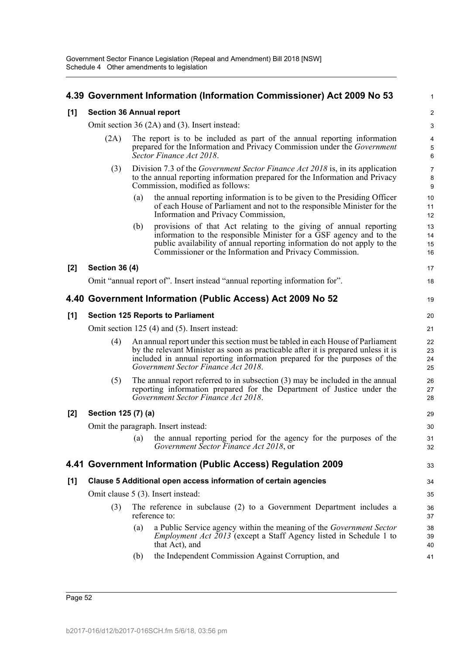|       |                                               |     | 4.39 Government Information (Information Commissioner) Act 2009 No 53                                                                                                                                                                                                                   | 1                         |  |  |
|-------|-----------------------------------------------|-----|-----------------------------------------------------------------------------------------------------------------------------------------------------------------------------------------------------------------------------------------------------------------------------------------|---------------------------|--|--|
| [1]   | <b>Section 36 Annual report</b>               |     |                                                                                                                                                                                                                                                                                         |                           |  |  |
|       | Omit section 36 (2A) and (3). Insert instead: |     |                                                                                                                                                                                                                                                                                         |                           |  |  |
|       | (2A)                                          |     | The report is to be included as part of the annual reporting information<br>prepared for the Information and Privacy Commission under the Government<br>Sector Finance Act 2018.                                                                                                        | $\pmb{4}$<br>5<br>$\,6\,$ |  |  |
|       | (3)                                           |     | Division 7.3 of the <i>Government Sector Finance Act 2018</i> is, in its application<br>to the annual reporting information prepared for the Information and Privacy<br>Commission, modified as follows:                                                                                | $\overline{7}$<br>8<br>9  |  |  |
|       |                                               | (a) | the annual reporting information is to be given to the Presiding Officer<br>of each House of Parliament and not to the responsible Minister for the<br>Information and Privacy Commission,                                                                                              | 10<br>11<br>12            |  |  |
|       |                                               | (b) | provisions of that Act relating to the giving of annual reporting<br>information to the responsible Minister for a GSF agency and to the<br>public availability of annual reporting information do not apply to the<br>Commissioner or the Information and Privacy Commission.          | 13<br>14<br>15<br>16      |  |  |
| $[2]$ | <b>Section 36 (4)</b>                         |     |                                                                                                                                                                                                                                                                                         | 17                        |  |  |
|       |                                               |     | Omit "annual report of". Insert instead "annual reporting information for".                                                                                                                                                                                                             | 18                        |  |  |
|       |                                               |     | 4.40 Government Information (Public Access) Act 2009 No 52                                                                                                                                                                                                                              | 19                        |  |  |
| [1]   |                                               |     | <b>Section 125 Reports to Parliament</b>                                                                                                                                                                                                                                                | 20                        |  |  |
|       |                                               |     | Omit section 125 (4) and (5). Insert instead:                                                                                                                                                                                                                                           | 21                        |  |  |
|       | (4)                                           |     | An annual report under this section must be tabled in each House of Parliament<br>by the relevant Minister as soon as practicable after it is prepared unless it is<br>included in annual reporting information prepared for the purposes of the<br>Government Sector Finance Act 2018. | 22<br>23<br>24<br>25      |  |  |
|       | (5)                                           |     | The annual report referred to in subsection $(3)$ may be included in the annual<br>reporting information prepared for the Department of Justice under the<br>Government Sector Finance Act 2018.                                                                                        | 26<br>27<br>28            |  |  |
| $[2]$ | Section 125 (7) (a)                           |     |                                                                                                                                                                                                                                                                                         | 29                        |  |  |
|       |                                               |     | Omit the paragraph. Insert instead:                                                                                                                                                                                                                                                     | 30                        |  |  |
|       |                                               | (a) | the annual reporting period for the agency for the purposes of the<br>Government Sector Finance Act 2018, or                                                                                                                                                                            | 31<br>32                  |  |  |
|       |                                               |     | 4.41 Government Information (Public Access) Regulation 2009                                                                                                                                                                                                                             | 33                        |  |  |
| [1]   |                                               |     | Clause 5 Additional open access information of certain agencies                                                                                                                                                                                                                         | 34                        |  |  |
|       |                                               |     | Omit clause 5 (3). Insert instead:                                                                                                                                                                                                                                                      | 35                        |  |  |
|       | (3)                                           |     | The reference in subclause (2) to a Government Department includes a<br>reference to:                                                                                                                                                                                                   | 36<br>37                  |  |  |
|       |                                               | (a) | a Public Service agency within the meaning of the <i>Government Sector</i><br><i>Employment Act 2013</i> (except a Staff Agency listed in Schedule 1 to<br>that Act), and                                                                                                               | 38<br>39<br>40            |  |  |
|       |                                               | (b) | the Independent Commission Against Corruption, and                                                                                                                                                                                                                                      | 41                        |  |  |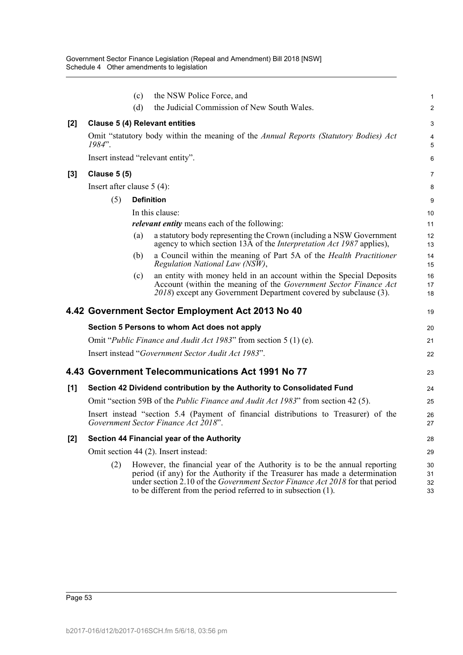|       |                                                                                          | (c) | the NSW Police Force, and                                                                                                                                                                                                                                                                                   | 1                    |  |  |  |
|-------|------------------------------------------------------------------------------------------|-----|-------------------------------------------------------------------------------------------------------------------------------------------------------------------------------------------------------------------------------------------------------------------------------------------------------------|----------------------|--|--|--|
|       |                                                                                          | (d) | the Judicial Commission of New South Wales.                                                                                                                                                                                                                                                                 | $\overline{c}$       |  |  |  |
| [2]   |                                                                                          |     | <b>Clause 5 (4) Relevant entities</b>                                                                                                                                                                                                                                                                       | 3                    |  |  |  |
|       | $1984"$ .                                                                                |     | Omit "statutory body within the meaning of the Annual Reports (Statutory Bodies) Act                                                                                                                                                                                                                        | 4<br>5               |  |  |  |
|       |                                                                                          |     | Insert instead "relevant entity".                                                                                                                                                                                                                                                                           | 6                    |  |  |  |
| [3]   | <b>Clause 5 (5)</b>                                                                      |     |                                                                                                                                                                                                                                                                                                             | 7                    |  |  |  |
|       | Insert after clause $5(4)$ :                                                             |     |                                                                                                                                                                                                                                                                                                             | 8                    |  |  |  |
|       | (5)                                                                                      |     | <b>Definition</b>                                                                                                                                                                                                                                                                                           | 9                    |  |  |  |
|       |                                                                                          |     | In this clause:                                                                                                                                                                                                                                                                                             | 10                   |  |  |  |
|       |                                                                                          |     | <i>relevant entity</i> means each of the following:                                                                                                                                                                                                                                                         | 11                   |  |  |  |
|       |                                                                                          | (a) | a statutory body representing the Crown (including a NSW Government<br>agency to which section 13A of the Interpretation Act 1987 applies),                                                                                                                                                                 | 12<br>13             |  |  |  |
|       |                                                                                          | (b) | a Council within the meaning of Part 5A of the Health Practitioner<br>Regulation National Law (NSW),                                                                                                                                                                                                        | 14<br>15             |  |  |  |
|       |                                                                                          | (c) | an entity with money held in an account within the Special Deposits<br>Account (within the meaning of the Government Sector Finance Act<br>2018) except any Government Department covered by subclause (3).                                                                                                 | 16<br>17<br>18       |  |  |  |
|       |                                                                                          |     | 4.42 Government Sector Employment Act 2013 No 40                                                                                                                                                                                                                                                            | 19                   |  |  |  |
|       |                                                                                          |     | Section 5 Persons to whom Act does not apply                                                                                                                                                                                                                                                                | 20                   |  |  |  |
|       | Omit " <i>Public Finance and Audit Act 1983</i> " from section 5 (1) (e).                |     |                                                                                                                                                                                                                                                                                                             |                      |  |  |  |
|       | Insert instead "Government Sector Audit Act 1983".                                       |     |                                                                                                                                                                                                                                                                                                             |                      |  |  |  |
|       |                                                                                          |     | 4.43 Government Telecommunications Act 1991 No 77                                                                                                                                                                                                                                                           | 23                   |  |  |  |
| [1]   |                                                                                          |     | Section 42 Dividend contribution by the Authority to Consolidated Fund                                                                                                                                                                                                                                      | 24                   |  |  |  |
|       | Omit "section 59B of the <i>Public Finance and Audit Act 1983</i> " from section 42 (5). |     |                                                                                                                                                                                                                                                                                                             |                      |  |  |  |
|       |                                                                                          |     | Insert instead "section 5.4 (Payment of financial distributions to Treasurer) of the<br>Government Sector Finance Act 2018".                                                                                                                                                                                | 26<br>27             |  |  |  |
| $[2]$ | Section 44 Financial year of the Authority                                               |     |                                                                                                                                                                                                                                                                                                             |                      |  |  |  |
|       |                                                                                          |     | Omit section 44 (2). Insert instead:                                                                                                                                                                                                                                                                        | 29                   |  |  |  |
|       | (2)                                                                                      |     | However, the financial year of the Authority is to be the annual reporting<br>period (if any) for the Authority if the Treasurer has made a determination<br>under section 2.10 of the Government Sector Finance Act 2018 for that period<br>to be different from the period referred to in subsection (1). | 30<br>31<br>32<br>33 |  |  |  |
|       |                                                                                          |     |                                                                                                                                                                                                                                                                                                             |                      |  |  |  |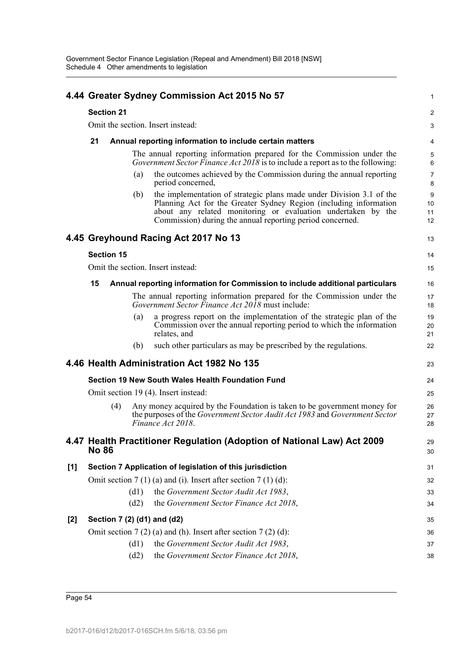|     |                                   |                   |      | 4.44 Greater Sydney Commission Act 2015 No 57                                                                                                                                                                                                                          | 1                   |  |  |
|-----|-----------------------------------|-------------------|------|------------------------------------------------------------------------------------------------------------------------------------------------------------------------------------------------------------------------------------------------------------------------|---------------------|--|--|
|     |                                   | <b>Section 21</b> |      |                                                                                                                                                                                                                                                                        | $\overline{c}$      |  |  |
|     | Omit the section. Insert instead: |                   |      |                                                                                                                                                                                                                                                                        |                     |  |  |
|     | 21                                |                   |      | Annual reporting information to include certain matters                                                                                                                                                                                                                | 4                   |  |  |
|     |                                   |                   |      | The annual reporting information prepared for the Commission under the<br>Government Sector Finance Act $20\overline{18}$ is to include a report as to the following:                                                                                                  | 5<br>6              |  |  |
|     |                                   |                   | (a)  | the outcomes achieved by the Commission during the annual reporting<br>period concerned,                                                                                                                                                                               | 7<br>8              |  |  |
|     |                                   |                   | (b)  | the implementation of strategic plans made under Division 3.1 of the<br>Planning Act for the Greater Sydney Region (including information<br>about any related monitoring or evaluation undertaken by the<br>Commission) during the annual reporting period concerned. | 9<br>10<br>11<br>12 |  |  |
|     |                                   |                   |      | 4.45 Greyhound Racing Act 2017 No 13                                                                                                                                                                                                                                   | 13                  |  |  |
|     |                                   | <b>Section 15</b> |      |                                                                                                                                                                                                                                                                        | 14                  |  |  |
|     |                                   |                   |      | Omit the section. Insert instead:                                                                                                                                                                                                                                      | 15                  |  |  |
|     | 15                                |                   |      | Annual reporting information for Commission to include additional particulars                                                                                                                                                                                          | 16                  |  |  |
|     |                                   |                   |      | The annual reporting information prepared for the Commission under the<br><i>Government Sector Finance Act 2018</i> must include:                                                                                                                                      | 17<br>18            |  |  |
|     |                                   |                   | (a)  | a progress report on the implementation of the strategic plan of the<br>Commission over the annual reporting period to which the information<br>relates, and                                                                                                           | 19<br>20<br>21      |  |  |
|     |                                   |                   | (b)  | such other particulars as may be prescribed by the regulations.                                                                                                                                                                                                        | 22                  |  |  |
|     |                                   |                   |      | 4.46 Health Administration Act 1982 No 135                                                                                                                                                                                                                             | 23                  |  |  |
|     |                                   |                   |      | Section 19 New South Wales Health Foundation Fund                                                                                                                                                                                                                      | 24                  |  |  |
|     |                                   |                   |      | Omit section 19 (4). Insert instead:                                                                                                                                                                                                                                   | 25                  |  |  |
|     |                                   | (4)               |      | Any money acquired by the Foundation is taken to be government money for<br>the purposes of the Government Sector Audit Act 1983 and Government Sector<br>Finance Act 2018.                                                                                            | 26<br>27<br>28      |  |  |
|     | <b>No 86</b>                      |                   |      | 4.47 Health Practitioner Regulation (Adoption of National Law) Act 2009                                                                                                                                                                                                | 29<br>30            |  |  |
| [1] |                                   |                   |      | Section 7 Application of legislation of this jurisdiction                                                                                                                                                                                                              | 31                  |  |  |
|     |                                   |                   |      | Omit section $7(1)(a)$ and (i). Insert after section $7(1)(d)$ :                                                                                                                                                                                                       | 32                  |  |  |
|     |                                   |                   | (d1) | the Government Sector Audit Act 1983,                                                                                                                                                                                                                                  | 33                  |  |  |
|     |                                   |                   | (d2) | the Government Sector Finance Act 2018,                                                                                                                                                                                                                                | 34                  |  |  |
| [2] |                                   |                   |      | Section 7 (2) (d1) and (d2)                                                                                                                                                                                                                                            | 35                  |  |  |
|     |                                   |                   |      | Omit section $7(2)$ (a) and (h). Insert after section $7(2)$ (d):                                                                                                                                                                                                      | 36                  |  |  |
|     |                                   |                   | (d1) | the Government Sector Audit Act 1983,                                                                                                                                                                                                                                  | 37                  |  |  |
|     |                                   |                   | (d2) | the Government Sector Finance Act 2018,                                                                                                                                                                                                                                | 38                  |  |  |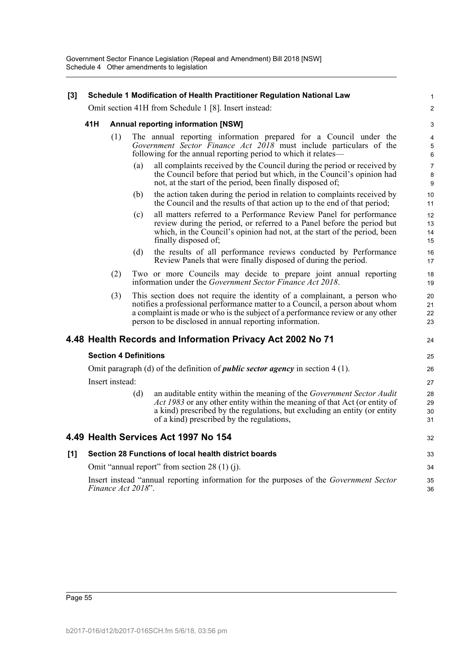| $[3]$ |     |                              |     | Schedule 1 Modification of Health Practitioner Regulation National Law                                                                                                                                                                                                                                 | 1                    |
|-------|-----|------------------------------|-----|--------------------------------------------------------------------------------------------------------------------------------------------------------------------------------------------------------------------------------------------------------------------------------------------------------|----------------------|
|       |     |                              |     | Omit section 41H from Schedule 1 [8]. Insert instead:                                                                                                                                                                                                                                                  | $\overline{a}$       |
|       | 41H |                              |     | <b>Annual reporting information [NSW]</b>                                                                                                                                                                                                                                                              | 3                    |
|       |     | (1)                          |     | The annual reporting information prepared for a Council under the<br>Government Sector Finance Act 2018 must include particulars of the<br>following for the annual reporting period to which it relates—                                                                                              | 4<br>5<br>6          |
|       |     |                              | (a) | all complaints received by the Council during the period or received by<br>the Council before that period but which, in the Council's opinion had<br>not, at the start of the period, been finally disposed of;                                                                                        | 7<br>8<br>9          |
|       |     |                              | (b) | the action taken during the period in relation to complaints received by<br>the Council and the results of that action up to the end of that period;                                                                                                                                                   | 10<br>11             |
|       |     |                              | (c) | all matters referred to a Performance Review Panel for performance<br>review during the period, or referred to a Panel before the period but<br>which, in the Council's opinion had not, at the start of the period, been<br>finally disposed of;                                                      | 12<br>13<br>14<br>15 |
|       |     |                              | (d) | the results of all performance reviews conducted by Performance<br>Review Panels that were finally disposed of during the period.                                                                                                                                                                      | 16<br>17             |
|       |     | (2)                          |     | Two or more Councils may decide to prepare joint annual reporting<br>information under the <i>Government Sector Finance Act 2018</i> .                                                                                                                                                                 | 18<br>19             |
|       |     | (3)                          |     | This section does not require the identity of a complainant, a person who<br>notifies a professional performance matter to a Council, a person about whom<br>a complaint is made or who is the subject of a performance review or any other<br>person to be disclosed in annual reporting information. | 20<br>21<br>22<br>23 |
|       |     |                              |     | 4.48 Health Records and Information Privacy Act 2002 No 71                                                                                                                                                                                                                                             | 24                   |
|       |     | <b>Section 4 Definitions</b> |     |                                                                                                                                                                                                                                                                                                        | 25                   |
|       |     |                              |     | Omit paragraph (d) of the definition of <i>public sector agency</i> in section $4(1)$ .                                                                                                                                                                                                                | 26                   |
|       |     | Insert instead:              |     |                                                                                                                                                                                                                                                                                                        | 27                   |
|       |     |                              | (d) | an auditable entity within the meaning of the Government Sector Audit<br>Act 1983 or any other entity within the meaning of that Act (or entity of<br>a kind) prescribed by the regulations, but excluding an entity (or entity<br>of a kind) prescribed by the regulations,                           | 28<br>29<br>30<br>31 |
|       |     |                              |     | 4.49 Health Services Act 1997 No 154                                                                                                                                                                                                                                                                   | 32                   |
| [1]   |     |                              |     | Section 28 Functions of local health district boards                                                                                                                                                                                                                                                   | 33                   |
|       |     |                              |     | Omit "annual report" from section $28(1)(i)$ .                                                                                                                                                                                                                                                         | 34                   |
|       |     | Finance Act 2018".           |     | Insert instead "annual reporting information for the purposes of the Government Sector                                                                                                                                                                                                                 | 35<br>36             |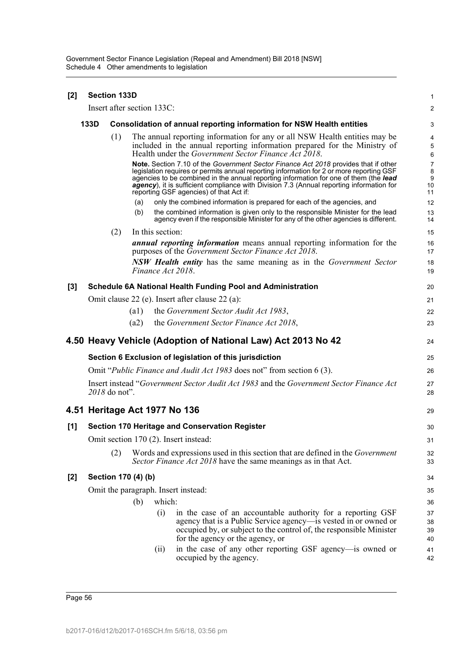| [2]   | <b>Section 133D</b> |               |                     |                            |                                                                                                                                                                                                                                                                                                                                                                                                                 |                                      |
|-------|---------------------|---------------|---------------------|----------------------------|-----------------------------------------------------------------------------------------------------------------------------------------------------------------------------------------------------------------------------------------------------------------------------------------------------------------------------------------------------------------------------------------------------------------|--------------------------------------|
|       |                     |               |                     | Insert after section 133C: |                                                                                                                                                                                                                                                                                                                                                                                                                 | $\overline{2}$                       |
|       | 133D                |               |                     |                            | Consolidation of annual reporting information for NSW Health entities                                                                                                                                                                                                                                                                                                                                           | 3                                    |
|       |                     | (1)           |                     |                            | The annual reporting information for any or all NSW Health entities may be<br>included in the annual reporting information prepared for the Ministry of<br>Health under the Government Sector Finance Act 2018.                                                                                                                                                                                                 | 4<br>5<br>6                          |
|       |                     |               |                     |                            | Note. Section 7.10 of the Government Sector Finance Act 2018 provides that if other<br>legislation requires or permits annual reporting information for 2 or more reporting GSF<br>agencies to be combined in the annual reporting information for one of them (the lead<br>agency), it is sufficient compliance with Division 7.3 (Annual reporting information for<br>reporting GSF agencies) of that Act if: | $\overline{7}$<br>8<br>9<br>10<br>11 |
|       |                     |               | (a)                 |                            | only the combined information is prepared for each of the agencies, and                                                                                                                                                                                                                                                                                                                                         | 12                                   |
|       |                     |               | (b)                 |                            | the combined information is given only to the responsible Minister for the lead<br>agency even if the responsible Minister for any of the other agencies is different.                                                                                                                                                                                                                                          | 13<br>14                             |
|       |                     | (2)           |                     | In this section:           |                                                                                                                                                                                                                                                                                                                                                                                                                 | 15                                   |
|       |                     |               |                     |                            | <i>annual reporting information</i> means annual reporting information for the<br>purposes of the Government Sector Finance Act 2018.                                                                                                                                                                                                                                                                           | 16<br>17                             |
|       |                     |               |                     | Finance Act 2018.          | <b>NSW Health entity</b> has the same meaning as in the Government Sector                                                                                                                                                                                                                                                                                                                                       | 18<br>19                             |
| [3]   |                     |               |                     |                            | <b>Schedule 6A National Health Funding Pool and Administration</b>                                                                                                                                                                                                                                                                                                                                              | 20                                   |
|       |                     |               |                     |                            | Omit clause 22 (e). Insert after clause 22 (a):                                                                                                                                                                                                                                                                                                                                                                 | 21                                   |
|       |                     |               | (a1)                |                            | the Government Sector Audit Act 1983,                                                                                                                                                                                                                                                                                                                                                                           | 22                                   |
|       |                     |               | (a2)                |                            | the Government Sector Finance Act 2018,                                                                                                                                                                                                                                                                                                                                                                         | 23                                   |
|       |                     |               |                     |                            | 4.50 Heavy Vehicle (Adoption of National Law) Act 2013 No 42                                                                                                                                                                                                                                                                                                                                                    | 24                                   |
|       |                     |               |                     |                            | Section 6 Exclusion of legislation of this jurisdiction                                                                                                                                                                                                                                                                                                                                                         | 25                                   |
|       |                     |               |                     |                            | Omit " <i>Public Finance and Audit Act 1983</i> does not" from section 6 (3).                                                                                                                                                                                                                                                                                                                                   | 26                                   |
|       |                     | 2018 do not". |                     |                            | Insert instead "Government Sector Audit Act 1983 and the Government Sector Finance Act                                                                                                                                                                                                                                                                                                                          | 27<br>28                             |
|       |                     |               |                     |                            | 4.51 Heritage Act 1977 No 136                                                                                                                                                                                                                                                                                                                                                                                   | 29                                   |
| [1]   |                     |               |                     |                            | <b>Section 170 Heritage and Conservation Register</b>                                                                                                                                                                                                                                                                                                                                                           | 30                                   |
|       |                     |               |                     |                            | Omit section 170 (2). Insert instead:                                                                                                                                                                                                                                                                                                                                                                           | 31                                   |
|       |                     | (2)           |                     |                            | Words and expressions used in this section that are defined in the <i>Government</i><br>Sector Finance Act 2018 have the same meanings as in that Act.                                                                                                                                                                                                                                                          | 32<br>33                             |
| $[2]$ |                     |               | Section 170 (4) (b) |                            |                                                                                                                                                                                                                                                                                                                                                                                                                 | 34                                   |
|       |                     |               |                     |                            | Omit the paragraph. Insert instead:                                                                                                                                                                                                                                                                                                                                                                             | 35                                   |
|       |                     |               | (b)                 | which:                     |                                                                                                                                                                                                                                                                                                                                                                                                                 | 36                                   |
|       |                     |               |                     | (i)                        | in the case of an accountable authority for a reporting GSF                                                                                                                                                                                                                                                                                                                                                     | 37                                   |
|       |                     |               |                     |                            | agency that is a Public Service agency—is vested in or owned or                                                                                                                                                                                                                                                                                                                                                 | 38                                   |
|       |                     |               |                     |                            | occupied by, or subject to the control of, the responsible Minister<br>for the agency or the agency, or                                                                                                                                                                                                                                                                                                         | 39<br>40                             |
|       |                     |               |                     | (ii)                       | in the case of any other reporting GSF agency-is owned or                                                                                                                                                                                                                                                                                                                                                       | 41                                   |
|       |                     |               |                     |                            | occupied by the agency.                                                                                                                                                                                                                                                                                                                                                                                         | 42                                   |
|       |                     |               |                     |                            |                                                                                                                                                                                                                                                                                                                                                                                                                 |                                      |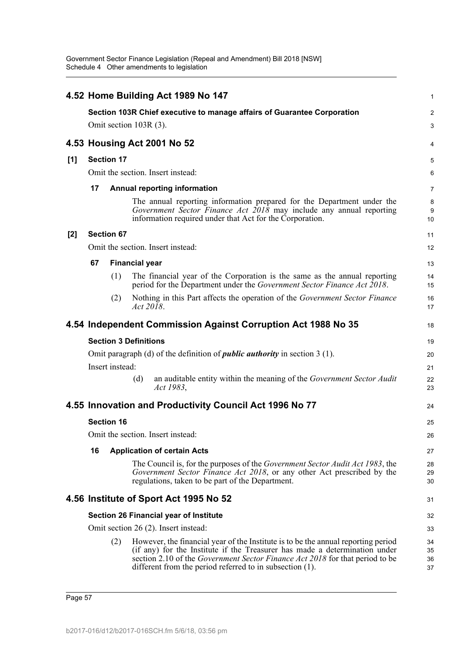|       |                   |                   | 4.52 Home Building Act 1989 No 147                                                                                                                                                                                                                                                                                 | 1                    |  |  |  |  |
|-------|-------------------|-------------------|--------------------------------------------------------------------------------------------------------------------------------------------------------------------------------------------------------------------------------------------------------------------------------------------------------------------|----------------------|--|--|--|--|
|       |                   |                   | Section 103R Chief executive to manage affairs of Guarantee Corporation                                                                                                                                                                                                                                            | 2                    |  |  |  |  |
|       |                   |                   | Omit section 103R (3).                                                                                                                                                                                                                                                                                             | 3                    |  |  |  |  |
|       |                   |                   | 4.53 Housing Act 2001 No 52                                                                                                                                                                                                                                                                                        | 4                    |  |  |  |  |
| [1]   | <b>Section 17</b> |                   |                                                                                                                                                                                                                                                                                                                    |                      |  |  |  |  |
|       |                   |                   | Omit the section. Insert instead:                                                                                                                                                                                                                                                                                  | 6                    |  |  |  |  |
|       | 17                |                   | <b>Annual reporting information</b>                                                                                                                                                                                                                                                                                | $\overline{7}$       |  |  |  |  |
|       |                   |                   | The annual reporting information prepared for the Department under the<br>Government Sector Finance Act $2018$ may include any annual reporting<br>information required under that Act for the Corporation.                                                                                                        | 8<br>9<br>10         |  |  |  |  |
| $[2]$ |                   | <b>Section 67</b> |                                                                                                                                                                                                                                                                                                                    | 11                   |  |  |  |  |
|       |                   |                   | Omit the section. Insert instead:                                                                                                                                                                                                                                                                                  | 12                   |  |  |  |  |
|       | 67                |                   | <b>Financial year</b>                                                                                                                                                                                                                                                                                              | 13                   |  |  |  |  |
|       |                   | (1)               | The financial year of the Corporation is the same as the annual reporting<br>period for the Department under the Government Sector Finance Act 2018.                                                                                                                                                               | 14<br>15             |  |  |  |  |
|       |                   | (2)               | Nothing in this Part affects the operation of the Government Sector Finance<br>Act 2018.                                                                                                                                                                                                                           | 16<br>17             |  |  |  |  |
|       |                   |                   | 4.54 Independent Commission Against Corruption Act 1988 No 35                                                                                                                                                                                                                                                      | 18                   |  |  |  |  |
|       |                   |                   | <b>Section 3 Definitions</b>                                                                                                                                                                                                                                                                                       | 19                   |  |  |  |  |
|       |                   |                   | Omit paragraph (d) of the definition of <i>public authority</i> in section $3(1)$ .                                                                                                                                                                                                                                | 20                   |  |  |  |  |
|       |                   | Insert instead:   |                                                                                                                                                                                                                                                                                                                    | 21                   |  |  |  |  |
|       |                   |                   | an auditable entity within the meaning of the Government Sector Audit<br>(d)<br>Act 1983,                                                                                                                                                                                                                          | 22<br>23             |  |  |  |  |
|       |                   |                   | 4.55 Innovation and Productivity Council Act 1996 No 77                                                                                                                                                                                                                                                            | 24                   |  |  |  |  |
|       |                   | <b>Section 16</b> |                                                                                                                                                                                                                                                                                                                    | 25                   |  |  |  |  |
|       |                   |                   | Omit the section. Insert instead:                                                                                                                                                                                                                                                                                  | 26                   |  |  |  |  |
|       | 16                |                   | <b>Application of certain Acts</b>                                                                                                                                                                                                                                                                                 | 27                   |  |  |  |  |
|       |                   |                   | The Council is, for the purposes of the <i>Government Sector Audit Act 1983</i> , the<br>Government Sector Finance Act 2018, or any other Act prescribed by the<br>regulations, taken to be part of the Department.                                                                                                | 28<br>29<br>30       |  |  |  |  |
|       |                   |                   | 4.56 Institute of Sport Act 1995 No 52                                                                                                                                                                                                                                                                             | 31                   |  |  |  |  |
|       |                   |                   | Section 26 Financial year of Institute                                                                                                                                                                                                                                                                             | 32                   |  |  |  |  |
|       |                   |                   | Omit section 26 (2). Insert instead:                                                                                                                                                                                                                                                                               | 33                   |  |  |  |  |
|       |                   | (2)               | However, the financial year of the Institute is to be the annual reporting period<br>(if any) for the Institute if the Treasurer has made a determination under<br>section 2.10 of the <i>Government Sector Finance Act 2018</i> for that period to be<br>different from the period referred to in subsection (1). | 34<br>35<br>36<br>37 |  |  |  |  |

Page 57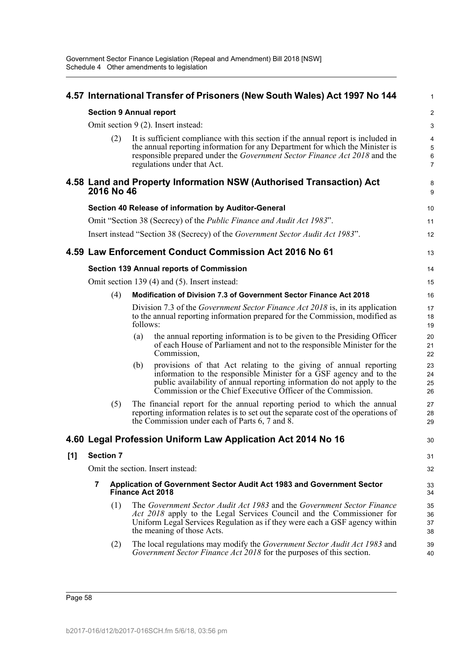|     | 4.57 International Transfer of Prisoners (New South Wales) Act 1997 No 144 |          |                                                                                                                                                                                                                                                                                     |                                        |  |  |  |  |
|-----|----------------------------------------------------------------------------|----------|-------------------------------------------------------------------------------------------------------------------------------------------------------------------------------------------------------------------------------------------------------------------------------------|----------------------------------------|--|--|--|--|
|     | <b>Section 9 Annual report</b>                                             |          |                                                                                                                                                                                                                                                                                     | $\boldsymbol{2}$                       |  |  |  |  |
|     |                                                                            |          | Omit section 9 (2). Insert instead:                                                                                                                                                                                                                                                 | 3                                      |  |  |  |  |
|     | (2)                                                                        |          | It is sufficient compliance with this section if the annual report is included in<br>the annual reporting information for any Department for which the Minister is<br>responsible prepared under the Government Sector Finance Act 2018 and the<br>regulations under that Act.      | 4<br>$\sqrt{5}$<br>6<br>$\overline{7}$ |  |  |  |  |
|     | 2016 No 46                                                                 |          | 4.58 Land and Property Information NSW (Authorised Transaction) Act                                                                                                                                                                                                                 | 8<br>9                                 |  |  |  |  |
|     |                                                                            |          | Section 40 Release of information by Auditor-General                                                                                                                                                                                                                                | 10                                     |  |  |  |  |
|     |                                                                            |          | Omit "Section 38 (Secrecy) of the <i>Public Finance and Audit Act 1983</i> ".                                                                                                                                                                                                       | 11                                     |  |  |  |  |
|     |                                                                            |          | Insert instead "Section 38 (Secrecy) of the Government Sector Audit Act 1983".                                                                                                                                                                                                      | 12                                     |  |  |  |  |
|     |                                                                            |          | 4.59 Law Enforcement Conduct Commission Act 2016 No 61                                                                                                                                                                                                                              | 13                                     |  |  |  |  |
|     |                                                                            |          | <b>Section 139 Annual reports of Commission</b>                                                                                                                                                                                                                                     | 14                                     |  |  |  |  |
|     |                                                                            |          | Omit section 139 (4) and (5). Insert instead:                                                                                                                                                                                                                                       | 15                                     |  |  |  |  |
|     | (4)                                                                        |          | <b>Modification of Division 7.3 of Government Sector Finance Act 2018</b>                                                                                                                                                                                                           | 16                                     |  |  |  |  |
|     |                                                                            | follows: | Division 7.3 of the <i>Government Sector Finance Act 2018</i> is, in its application<br>to the annual reporting information prepared for the Commission, modified as                                                                                                                | 17<br>18<br>19                         |  |  |  |  |
|     |                                                                            | (a)      | the annual reporting information is to be given to the Presiding Officer<br>of each House of Parliament and not to the responsible Minister for the<br>Commission,                                                                                                                  | 20<br>21<br>22                         |  |  |  |  |
|     |                                                                            | (b)      | provisions of that Act relating to the giving of annual reporting<br>information to the responsible Minister for a GSF agency and to the<br>public availability of annual reporting information do not apply to the<br>Commission or the Chief Executive Officer of the Commission. | 23<br>24<br>25<br>26                   |  |  |  |  |
|     | (5)                                                                        |          | The financial report for the annual reporting period to which the annual<br>reporting information relates is to set out the separate cost of the operations of<br>the Commission under each of Parts 6, 7 and 8.                                                                    | 27<br>28<br>29                         |  |  |  |  |
|     |                                                                            |          | 4.60 Legal Profession Uniform Law Application Act 2014 No 16                                                                                                                                                                                                                        | 30                                     |  |  |  |  |
| [1] | <b>Section 7</b>                                                           |          |                                                                                                                                                                                                                                                                                     | 31                                     |  |  |  |  |
|     |                                                                            |          | Omit the section. Insert instead:                                                                                                                                                                                                                                                   | 32                                     |  |  |  |  |
|     | 7                                                                          |          | Application of Government Sector Audit Act 1983 and Government Sector<br><b>Finance Act 2018</b>                                                                                                                                                                                    | 33<br>34                               |  |  |  |  |
|     | (1)                                                                        |          | The Government Sector Audit Act 1983 and the Government Sector Finance<br>Act 2018 apply to the Legal Services Council and the Commissioner for<br>Uniform Legal Services Regulation as if they were each a GSF agency within<br>the meaning of those Acts.                         | 35<br>36<br>37<br>38                   |  |  |  |  |
|     | (2)                                                                        |          | The local regulations may modify the Government Sector Audit Act 1983 and<br>Government Sector Finance Act 2018 for the purposes of this section.                                                                                                                                   | 39<br>40                               |  |  |  |  |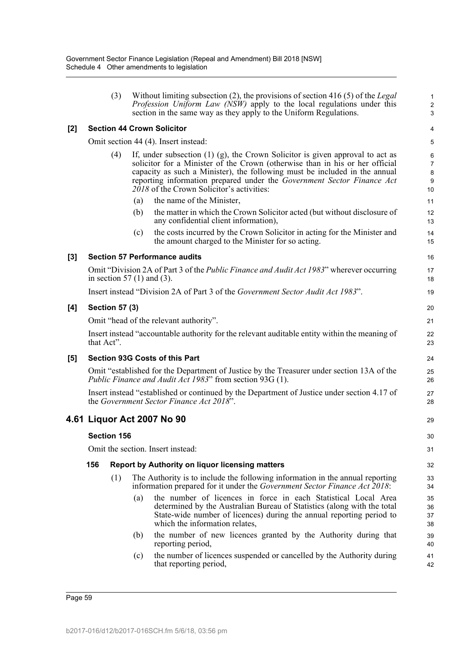|     |                                        | (3)                |     | Without limiting subsection $(2)$ , the provisions of section 416 $(5)$ of the Legal<br>Profession Uniform Law (NSW) apply to the local regulations under this<br>section in the same way as they apply to the Uniform Regulations.                                                                                                                                       | $\mathbf{1}$<br>$\overline{c}$<br>3 |  |  |
|-----|----------------------------------------|--------------------|-----|---------------------------------------------------------------------------------------------------------------------------------------------------------------------------------------------------------------------------------------------------------------------------------------------------------------------------------------------------------------------------|-------------------------------------|--|--|
| [2] |                                        |                    |     | <b>Section 44 Crown Solicitor</b>                                                                                                                                                                                                                                                                                                                                         | $\overline{4}$                      |  |  |
|     |                                        |                    |     | Omit section 44 (4). Insert instead:                                                                                                                                                                                                                                                                                                                                      | 5                                   |  |  |
|     |                                        | (4)                |     | If, under subsection $(1)$ $(g)$ , the Crown Solicitor is given approval to act as<br>solicitor for a Minister of the Crown (otherwise than in his or her official<br>capacity as such a Minister), the following must be included in the annual<br>reporting information prepared under the Government Sector Finance Act<br>$2018$ of the Crown Solicitor's activities: | 6<br>$\overline{7}$<br>8<br>9<br>10 |  |  |
|     |                                        |                    | (a) | the name of the Minister,                                                                                                                                                                                                                                                                                                                                                 | 11                                  |  |  |
|     |                                        |                    | (b) | the matter in which the Crown Solicitor acted (but without disclosure of<br>any confidential client information),                                                                                                                                                                                                                                                         | 12<br>13                            |  |  |
|     |                                        |                    | (c) | the costs incurred by the Crown Solicitor in acting for the Minister and<br>the amount charged to the Minister for so acting.                                                                                                                                                                                                                                             | 14<br>15                            |  |  |
| [3] |                                        |                    |     | <b>Section 57 Performance audits</b>                                                                                                                                                                                                                                                                                                                                      | 16                                  |  |  |
|     |                                        |                    |     | Omit "Division 2A of Part 3 of the <i>Public Finance and Audit Act 1983</i> " wherever occurring<br>in section 57 $(1)$ and $(3)$ .                                                                                                                                                                                                                                       | 17<br>18                            |  |  |
|     |                                        |                    |     | Insert instead "Division 2A of Part 3 of the Government Sector Audit Act 1983".                                                                                                                                                                                                                                                                                           | 19                                  |  |  |
| [4] | <b>Section 57 (3)</b>                  |                    |     |                                                                                                                                                                                                                                                                                                                                                                           |                                     |  |  |
|     | Omit "head of the relevant authority". |                    |     |                                                                                                                                                                                                                                                                                                                                                                           |                                     |  |  |
|     | that Act".                             |                    |     | Insert instead "accountable authority for the relevant auditable entity within the meaning of                                                                                                                                                                                                                                                                             | 22<br>23                            |  |  |
| [5] | <b>Section 93G Costs of this Part</b>  |                    |     |                                                                                                                                                                                                                                                                                                                                                                           |                                     |  |  |
|     |                                        |                    |     | Omit "established for the Department of Justice by the Treasurer under section 13A of the<br>Public Finance and Audit Act 1983" from section 93G (1).                                                                                                                                                                                                                     | 25<br>26                            |  |  |
|     |                                        |                    |     | Insert instead "established or continued by the Department of Justice under section 4.17 of<br>the Government Sector Finance Act 2018".                                                                                                                                                                                                                                   | 27<br>28                            |  |  |
|     |                                        |                    |     | 4.61 Liquor Act 2007 No 90                                                                                                                                                                                                                                                                                                                                                | 29                                  |  |  |
|     |                                        | <b>Section 156</b> |     |                                                                                                                                                                                                                                                                                                                                                                           | 30                                  |  |  |
|     | Omit the section. Insert instead:      |                    |     |                                                                                                                                                                                                                                                                                                                                                                           |                                     |  |  |
|     | 156                                    |                    |     | Report by Authority on liquor licensing matters                                                                                                                                                                                                                                                                                                                           | 32                                  |  |  |
|     |                                        | (1)                |     | The Authority is to include the following information in the annual reporting<br>information prepared for it under the Government Sector Finance Act 2018:                                                                                                                                                                                                                | 33<br>34                            |  |  |
|     |                                        |                    | (a) | the number of licences in force in each Statistical Local Area<br>determined by the Australian Bureau of Statistics (along with the total<br>State-wide number of licences) during the annual reporting period to<br>which the information relates,                                                                                                                       | 35<br>36<br>37<br>38                |  |  |
|     |                                        |                    | (b) | the number of new licences granted by the Authority during that<br>reporting period,                                                                                                                                                                                                                                                                                      | 39<br>40                            |  |  |
|     |                                        |                    | (c) | the number of licences suspended or cancelled by the Authority during<br>that reporting period,                                                                                                                                                                                                                                                                           | 41<br>42                            |  |  |
|     |                                        |                    |     |                                                                                                                                                                                                                                                                                                                                                                           |                                     |  |  |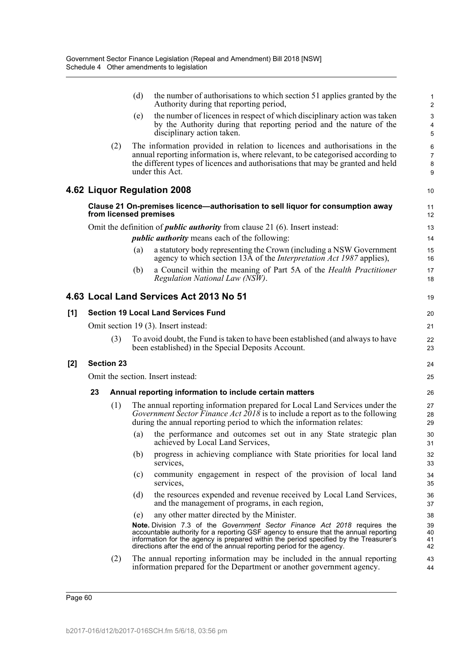|       |    |                   | (d)<br>the number of authorisations to which section 51 applies granted by the<br>Authority during that reporting period,                                                                                                                                                                                                             | 1<br>$\overline{\mathbf{c}}$ |
|-------|----|-------------------|---------------------------------------------------------------------------------------------------------------------------------------------------------------------------------------------------------------------------------------------------------------------------------------------------------------------------------------|------------------------------|
|       |    |                   | the number of licences in respect of which disciplinary action was taken<br>(e)<br>by the Authority during that reporting period and the nature of the<br>disciplinary action taken.                                                                                                                                                  | 3<br>4<br>5                  |
|       |    | (2)               | The information provided in relation to licences and authorisations in the<br>annual reporting information is, where relevant, to be categorised according to<br>the different types of licences and authorisations that may be granted and held<br>under this Act.                                                                   | 6<br>7<br>8<br>9             |
|       |    |                   | 4.62 Liquor Regulation 2008                                                                                                                                                                                                                                                                                                           | 10                           |
|       |    |                   | Clause 21 On-premises licence—authorisation to sell liquor for consumption away<br>from licensed premises                                                                                                                                                                                                                             | 11<br>12                     |
|       |    |                   | Omit the definition of <i>public authority</i> from clause 21 (6). Insert instead:                                                                                                                                                                                                                                                    | 13                           |
|       |    |                   | <i>public authority</i> means each of the following:                                                                                                                                                                                                                                                                                  | 14                           |
|       |    |                   | a statutory body representing the Crown (including a NSW Government<br>(a)<br>agency to which section 13A of the <i>Interpretation Act 1987</i> applies),                                                                                                                                                                             | 15<br>16                     |
|       |    |                   | a Council within the meaning of Part 5A of the Health Practitioner<br>(b)<br>Regulation National Law (NSW).                                                                                                                                                                                                                           | 17<br>18                     |
|       |    |                   | 4.63 Local Land Services Act 2013 No 51                                                                                                                                                                                                                                                                                               | 19                           |
| [1]   |    |                   | <b>Section 19 Local Land Services Fund</b>                                                                                                                                                                                                                                                                                            | 20                           |
|       |    |                   | Omit section 19 (3). Insert instead:                                                                                                                                                                                                                                                                                                  | 21                           |
|       |    | (3)               | To avoid doubt, the Fund is taken to have been established (and always to have<br>been established) in the Special Deposits Account.                                                                                                                                                                                                  | 22<br>23                     |
| $[2]$ |    | <b>Section 23</b> |                                                                                                                                                                                                                                                                                                                                       | 24                           |
|       |    |                   | Omit the section. Insert instead:                                                                                                                                                                                                                                                                                                     | 25                           |
|       | 23 |                   | Annual reporting information to include certain matters                                                                                                                                                                                                                                                                               | 26                           |
|       |    | (1)               | The annual reporting information prepared for Local Land Services under the<br>Government Sector Finance Act $2018$ is to include a report as to the following<br>during the annual reporting period to which the information relates:                                                                                                | 27<br>28<br>29               |
|       |    |                   | the performance and outcomes set out in any State strategic plan<br>(a)<br>achieved by Local Land Services,                                                                                                                                                                                                                           | 30<br>31                     |
|       |    |                   | progress in achieving compliance with State priorities for local land<br>(b)<br>services,                                                                                                                                                                                                                                             | 32<br>33                     |
|       |    |                   | community engagement in respect of the provision of local land<br>(c)<br>services,                                                                                                                                                                                                                                                    | 34<br>35                     |
|       |    |                   | the resources expended and revenue received by Local Land Services,<br>(d)<br>and the management of programs, in each region,                                                                                                                                                                                                         | 36<br>37                     |
|       |    |                   | any other matter directed by the Minister.<br>(e)                                                                                                                                                                                                                                                                                     | 38                           |
|       |    |                   | Note. Division 7.3 of the Government Sector Finance Act 2018 requires the<br>accountable authority for a reporting GSF agency to ensure that the annual reporting<br>information for the agency is prepared within the period specified by the Treasurer's<br>directions after the end of the annual reporting period for the agency. | 39<br>40<br>41<br>42         |
|       |    | (2)               | The annual reporting information may be included in the annual reporting<br>information prepared for the Department or another government agency.                                                                                                                                                                                     | 43<br>44                     |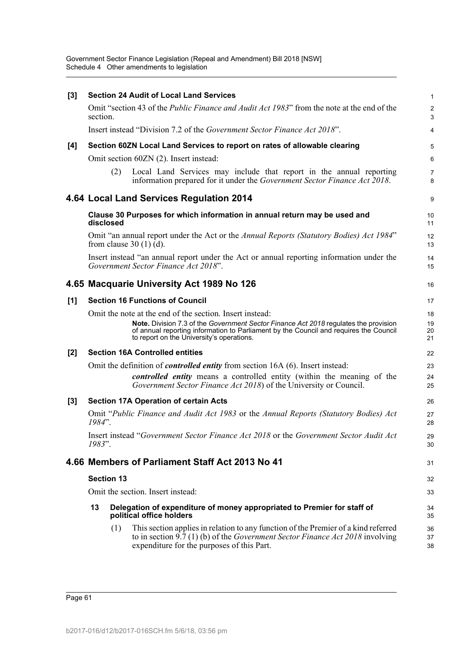| [3]   | <b>Section 24 Audit of Local Land Services</b> |                   |                                                                                                                                                                                                                            |                     |  |  |  |
|-------|------------------------------------------------|-------------------|----------------------------------------------------------------------------------------------------------------------------------------------------------------------------------------------------------------------------|---------------------|--|--|--|
|       | section.                                       |                   | Omit "section 43 of the <i>Public Finance and Audit Act 1983</i> " from the note at the end of the                                                                                                                         | $\sqrt{2}$<br>3     |  |  |  |
|       |                                                |                   | Insert instead "Division 7.2 of the Government Sector Finance Act 2018".                                                                                                                                                   | 4                   |  |  |  |
| [4]   |                                                |                   | Section 60ZN Local Land Services to report on rates of allowable clearing                                                                                                                                                  | 5                   |  |  |  |
|       |                                                |                   | Omit section 60ZN (2). Insert instead:                                                                                                                                                                                     | 6                   |  |  |  |
|       |                                                | (2)               | Local Land Services may include that report in the annual reporting<br>information prepared for it under the Government Sector Finance Act 2018.                                                                           | $\overline{7}$<br>8 |  |  |  |
|       |                                                |                   | 4.64 Local Land Services Regulation 2014                                                                                                                                                                                   | 9                   |  |  |  |
|       | disclosed                                      |                   | Clause 30 Purposes for which information in annual return may be used and                                                                                                                                                  | 10<br>11            |  |  |  |
|       |                                                |                   | Omit "an annual report under the Act or the Annual Reports (Statutory Bodies) Act 1984"<br>from clause $30(1)(d)$ .                                                                                                        | 12<br>13            |  |  |  |
|       |                                                |                   | Insert instead "an annual report under the Act or annual reporting information under the<br>Government Sector Finance Act 2018".                                                                                           | 14<br>15            |  |  |  |
|       |                                                |                   | 4.65 Macquarie University Act 1989 No 126                                                                                                                                                                                  | 16                  |  |  |  |
| [1]   |                                                |                   | <b>Section 16 Functions of Council</b>                                                                                                                                                                                     | 17                  |  |  |  |
|       |                                                |                   | Omit the note at the end of the section. Insert instead:                                                                                                                                                                   | 18                  |  |  |  |
|       |                                                |                   | Note. Division 7.3 of the Government Sector Finance Act 2018 regulates the provision<br>of annual reporting information to Parliament by the Council and requires the Council<br>to report on the University's operations. | 19<br>20<br>21      |  |  |  |
| $[2]$ |                                                |                   | <b>Section 16A Controlled entities</b>                                                                                                                                                                                     | 22                  |  |  |  |
|       |                                                |                   | Omit the definition of <i>controlled entity</i> from section 16A (6). Insert instead:                                                                                                                                      | 23                  |  |  |  |
|       |                                                |                   | controlled entity means a controlled entity (within the meaning of the<br>Government Sector Finance Act 2018) of the University or Council.                                                                                | 24<br>25            |  |  |  |
| [3]   |                                                |                   | <b>Section 17A Operation of certain Acts</b>                                                                                                                                                                               | 26                  |  |  |  |
|       | 1984".                                         |                   | Omit "Public Finance and Audit Act 1983 or the Annual Reports (Statutory Bodies) Act                                                                                                                                       | 27<br>28            |  |  |  |
|       | 1983".                                         |                   | Insert instead "Government Sector Finance Act 2018 or the Government Sector Audit Act                                                                                                                                      | 29<br>30            |  |  |  |
|       |                                                |                   | 4.66 Members of Parliament Staff Act 2013 No 41                                                                                                                                                                            | 31                  |  |  |  |
|       |                                                | <b>Section 13</b> |                                                                                                                                                                                                                            | 32                  |  |  |  |
|       |                                                |                   | Omit the section. Insert instead:                                                                                                                                                                                          | 33                  |  |  |  |
|       | 13                                             |                   | Delegation of expenditure of money appropriated to Premier for staff of<br>political office holders                                                                                                                        | 34<br>35            |  |  |  |
|       |                                                | (1)               | This section applies in relation to any function of the Premier of a kind referred<br>to in section 9.7 (1) (b) of the Government Sector Finance Act 2018 involving<br>expenditure for the purposes of this Part.          | 36<br>37<br>38      |  |  |  |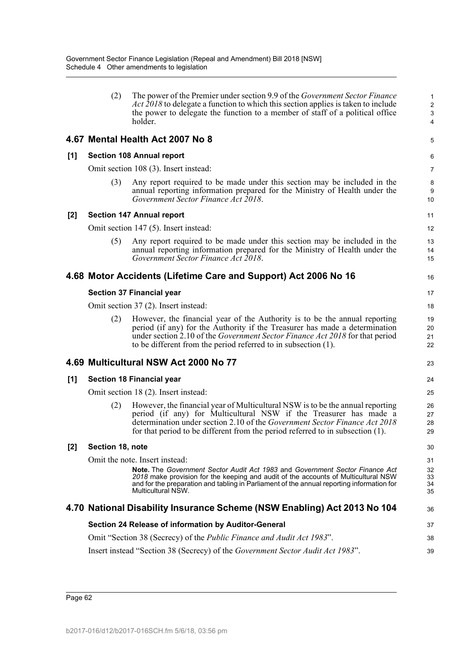|     | (2)              | The power of the Premier under section 9.9 of the <i>Government Sector Finance</i>                                                                                                                                                                                                                                  | $\mathbf{1}$                      |
|-----|------------------|---------------------------------------------------------------------------------------------------------------------------------------------------------------------------------------------------------------------------------------------------------------------------------------------------------------------|-----------------------------------|
|     |                  | <i>Act 2018</i> to delegate a function to which this section applies is taken to include<br>the power to delegate the function to a member of staff of a political office<br>holder.                                                                                                                                | $\overline{2}$<br>$\sqrt{3}$<br>4 |
|     |                  | 4.67 Mental Health Act 2007 No 8                                                                                                                                                                                                                                                                                    | 5                                 |
| [1] |                  | <b>Section 108 Annual report</b>                                                                                                                                                                                                                                                                                    | 6                                 |
|     |                  | Omit section 108 (3). Insert instead:                                                                                                                                                                                                                                                                               | 7                                 |
|     | (3)              | Any report required to be made under this section may be included in the<br>annual reporting information prepared for the Ministry of Health under the<br>Government Sector Finance Act 2018.                                                                                                                       | 8<br>9<br>10                      |
| [2] |                  | <b>Section 147 Annual report</b>                                                                                                                                                                                                                                                                                    | 11                                |
|     |                  | Omit section 147 (5). Insert instead:                                                                                                                                                                                                                                                                               | 12                                |
|     | (5)              | Any report required to be made under this section may be included in the<br>annual reporting information prepared for the Ministry of Health under the<br>Government Sector Finance Act 2018.                                                                                                                       | 13<br>14<br>15                    |
|     |                  | 4.68 Motor Accidents (Lifetime Care and Support) Act 2006 No 16                                                                                                                                                                                                                                                     | 16                                |
|     |                  | <b>Section 37 Financial year</b>                                                                                                                                                                                                                                                                                    | 17                                |
|     |                  | Omit section 37 (2). Insert instead:                                                                                                                                                                                                                                                                                | 18                                |
|     | (2)              | However, the financial year of the Authority is to be the annual reporting<br>period (if any) for the Authority if the Treasurer has made a determination<br>under section 2.10 of the Government Sector Finance Act 2018 for that period<br>to be different from the period referred to in subsection (1).         | 19<br>20<br>21<br>22              |
|     |                  | 4.69 Multicultural NSW Act 2000 No 77                                                                                                                                                                                                                                                                               | 23                                |
| [1] |                  | <b>Section 18 Financial year</b>                                                                                                                                                                                                                                                                                    | 24                                |
|     |                  | Omit section 18 (2). Insert instead:                                                                                                                                                                                                                                                                                | 25                                |
|     | (2)              | However, the financial year of Multicultural NSW is to be the annual reporting<br>period (if any) for Multicultural NSW if the Treasurer has made a<br>determination under section 2.10 of the Government Sector Finance Act 2018<br>for that period to be different from the period referred to in subsection (1). | 26<br>27<br>28<br>29              |
| [2] | Section 18, note |                                                                                                                                                                                                                                                                                                                     | 30                                |
|     |                  | Omit the note. Insert instead:                                                                                                                                                                                                                                                                                      | 31                                |
|     |                  | Note. The Government Sector Audit Act 1983 and Government Sector Finance Act<br>2018 make provision for the keeping and audit of the accounts of Multicultural NSW<br>and for the preparation and tabling in Parliament of the annual reporting information for<br>Multicultural NSW.                               | 32<br>33<br>34<br>35              |
|     |                  | 4.70 National Disability Insurance Scheme (NSW Enabling) Act 2013 No 104                                                                                                                                                                                                                                            | 36                                |
|     |                  | Section 24 Release of information by Auditor-General                                                                                                                                                                                                                                                                | 37                                |
|     |                  | Omit "Section 38 (Secrecy) of the <i>Public Finance and Audit Act 1983</i> ".                                                                                                                                                                                                                                       | 38                                |
|     |                  | Insert instead "Section 38 (Secrecy) of the Government Sector Audit Act 1983".                                                                                                                                                                                                                                      | 39                                |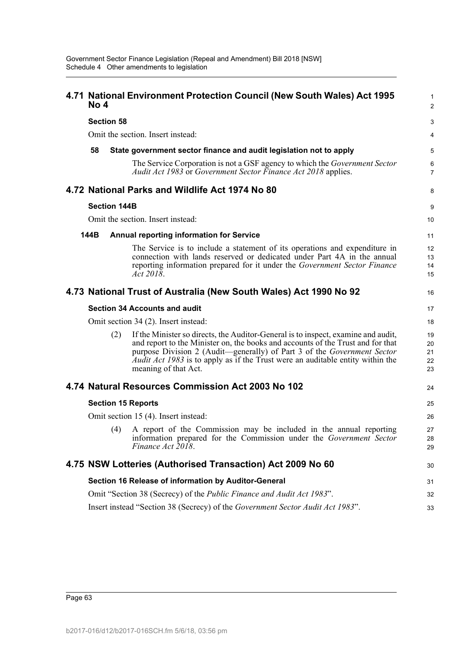| No 4 |                     | 4.71 National Environment Protection Council (New South Wales) Act 1995                                                                                                                                                                                                                                                                                          | 1<br>$\overline{2}$        |
|------|---------------------|------------------------------------------------------------------------------------------------------------------------------------------------------------------------------------------------------------------------------------------------------------------------------------------------------------------------------------------------------------------|----------------------------|
|      | <b>Section 58</b>   |                                                                                                                                                                                                                                                                                                                                                                  | 3                          |
|      |                     | Omit the section. Insert instead:                                                                                                                                                                                                                                                                                                                                | 4                          |
| 58   |                     | State government sector finance and audit legislation not to apply                                                                                                                                                                                                                                                                                               | 5                          |
|      |                     | The Service Corporation is not a GSF agency to which the <i>Government Sector</i><br>Audit Act 1983 or Government Sector Finance Act 2018 applies.                                                                                                                                                                                                               | 6<br>$\overline{7}$        |
|      |                     | 4.72 National Parks and Wildlife Act 1974 No 80                                                                                                                                                                                                                                                                                                                  | 8                          |
|      | <b>Section 144B</b> |                                                                                                                                                                                                                                                                                                                                                                  | 9                          |
|      |                     | Omit the section. Insert instead:                                                                                                                                                                                                                                                                                                                                | 10                         |
| 144B |                     | <b>Annual reporting information for Service</b>                                                                                                                                                                                                                                                                                                                  | 11                         |
|      |                     | The Service is to include a statement of its operations and expenditure in<br>connection with lands reserved or dedicated under Part 4A in the annual<br>reporting information prepared for it under the Government Sector Finance<br>Act 2018.                                                                                                                  | 12<br>13<br>14<br>15       |
|      |                     | 4.73 National Trust of Australia (New South Wales) Act 1990 No 92                                                                                                                                                                                                                                                                                                | 16                         |
|      |                     | <b>Section 34 Accounts and audit</b>                                                                                                                                                                                                                                                                                                                             | 17                         |
|      |                     | Omit section 34 (2). Insert instead:                                                                                                                                                                                                                                                                                                                             | 18                         |
|      | (2)                 | If the Minister so directs, the Auditor-General is to inspect, examine and audit,<br>and report to the Minister on, the books and accounts of the Trust and for that<br>purpose Division 2 (Audit—generally) of Part 3 of the Government Sector<br><i>Audit Act 1983</i> is to apply as if the Trust were an auditable entity within the<br>meaning of that Act. | 19<br>20<br>21<br>22<br>23 |
|      |                     | 4.74 Natural Resources Commission Act 2003 No 102                                                                                                                                                                                                                                                                                                                | 24                         |
|      |                     | <b>Section 15 Reports</b>                                                                                                                                                                                                                                                                                                                                        | 25                         |
|      |                     | Omit section 15 (4). Insert instead:                                                                                                                                                                                                                                                                                                                             | 26                         |
|      | (4)                 | A report of the Commission may be included in the annual reporting<br>information prepared for the Commission under the <i>Government Sector</i><br>Finance Act 2018.                                                                                                                                                                                            | 27<br>28<br>29             |
|      |                     | 4.75 NSW Lotteries (Authorised Transaction) Act 2009 No 60                                                                                                                                                                                                                                                                                                       | 30                         |
|      |                     | Section 16 Release of information by Auditor-General                                                                                                                                                                                                                                                                                                             | 31                         |
|      |                     | Omit "Section 38 (Secrecy) of the <i>Public Finance and Audit Act 1983</i> ".                                                                                                                                                                                                                                                                                    | 32                         |
|      |                     |                                                                                                                                                                                                                                                                                                                                                                  |                            |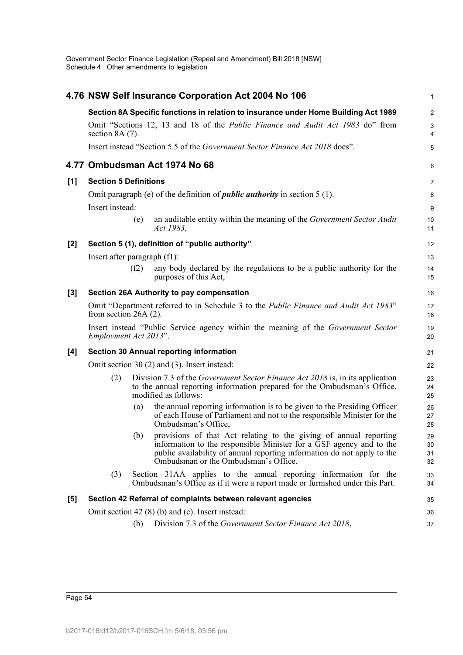|       |                                                                                     |      | 4.76 NSW Self Insurance Corporation Act 2004 No 106                                                                                                                                                                                                             | $\mathbf{1}$         |  |  |  |  |
|-------|-------------------------------------------------------------------------------------|------|-----------------------------------------------------------------------------------------------------------------------------------------------------------------------------------------------------------------------------------------------------------------|----------------------|--|--|--|--|
|       | Section 8A Specific functions in relation to insurance under Home Building Act 1989 |      |                                                                                                                                                                                                                                                                 |                      |  |  |  |  |
|       | section $8A(7)$ .                                                                   |      | Omit "Sections 12, 13 and 18 of the <i>Public Finance and Audit Act 1983</i> do" from                                                                                                                                                                           | 3<br>4               |  |  |  |  |
|       |                                                                                     |      | Insert instead "Section 5.5 of the Government Sector Finance Act 2018 does".                                                                                                                                                                                    | 5                    |  |  |  |  |
|       |                                                                                     |      | 4.77 Ombudsman Act 1974 No 68                                                                                                                                                                                                                                   | 6                    |  |  |  |  |
| [1]   | <b>Section 5 Definitions</b>                                                        |      |                                                                                                                                                                                                                                                                 | 7                    |  |  |  |  |
|       | Insert instead:                                                                     |      | Omit paragraph (e) of the definition of <i>public authority</i> in section $5(1)$ .                                                                                                                                                                             | 8<br>9               |  |  |  |  |
|       |                                                                                     | (e)  | an auditable entity within the meaning of the Government Sector Audit<br>Act 1983,                                                                                                                                                                              | 10<br>11             |  |  |  |  |
| $[2]$ |                                                                                     |      | Section 5 (1), definition of "public authority"                                                                                                                                                                                                                 | 12                   |  |  |  |  |
|       | Insert after paragraph (f1):                                                        |      |                                                                                                                                                                                                                                                                 | 13                   |  |  |  |  |
|       |                                                                                     | (f2) | any body declared by the regulations to be a public authority for the<br>purposes of this Act,                                                                                                                                                                  | 14<br>15             |  |  |  |  |
| $[3]$ |                                                                                     |      | Section 26A Authority to pay compensation                                                                                                                                                                                                                       | 16                   |  |  |  |  |
|       | from section $26A(2)$ .                                                             |      | Omit "Department referred to in Schedule 3 to the Public Finance and Audit Act 1983"                                                                                                                                                                            | 17<br>18             |  |  |  |  |
|       | Employment Act 2013".                                                               |      | Insert instead "Public Service agency within the meaning of the Government Sector                                                                                                                                                                               | 19<br>20             |  |  |  |  |
| [4]   |                                                                                     |      | <b>Section 30 Annual reporting information</b>                                                                                                                                                                                                                  | 21                   |  |  |  |  |
|       |                                                                                     |      | Omit section 30 (2) and (3). Insert instead:                                                                                                                                                                                                                    | 22                   |  |  |  |  |
|       | (2)                                                                                 |      | Division 7.3 of the <i>Government Sector Finance Act 2018</i> is, in its application<br>to the annual reporting information prepared for the Ombudsman's Office,<br>modified as follows:                                                                        | 23<br>24<br>25       |  |  |  |  |
|       |                                                                                     | (a)  | the annual reporting information is to be given to the Presiding Officer<br>of each House of Parliament and not to the responsible Minister for the<br>Ombudsman's Office,                                                                                      | 26<br>27<br>28       |  |  |  |  |
|       |                                                                                     |      | (b) provisions of that Act relating to the giving of annual reporting<br>information to the responsible Minister for a GSF agency and to the<br>public availability of annual reporting information do not apply to the<br>Ombudsman or the Ombudsman's Office. | 29<br>30<br>31<br>32 |  |  |  |  |
|       | (3)                                                                                 |      | Section 31AA applies to the annual reporting information for the<br>Ombudsman's Office as if it were a report made or furnished under this Part.                                                                                                                | 33<br>34             |  |  |  |  |
| $[5]$ |                                                                                     |      | Section 42 Referral of complaints between relevant agencies                                                                                                                                                                                                     | 35                   |  |  |  |  |
|       |                                                                                     |      | Omit section 42 $(8)$ (b) and (c). Insert instead:                                                                                                                                                                                                              | 36                   |  |  |  |  |
|       |                                                                                     | (b)  | Division 7.3 of the Government Sector Finance Act 2018,                                                                                                                                                                                                         | 37                   |  |  |  |  |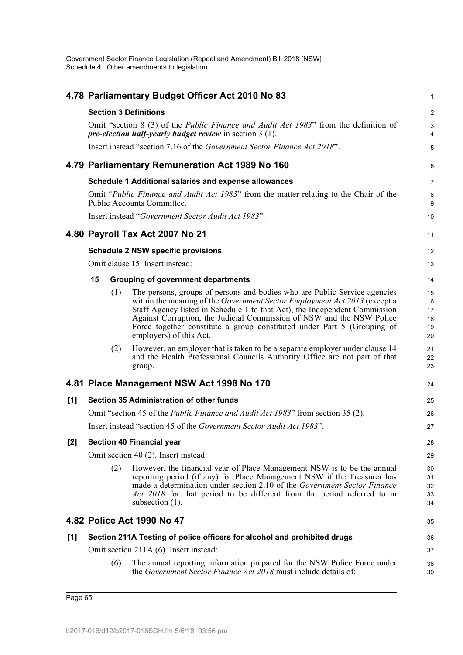|     |    |     | 4.78 Parliamentary Budget Officer Act 2010 No 83                                                                                                                                                                                                                                                                                                                                                                    | 1                                |
|-----|----|-----|---------------------------------------------------------------------------------------------------------------------------------------------------------------------------------------------------------------------------------------------------------------------------------------------------------------------------------------------------------------------------------------------------------------------|----------------------------------|
|     |    |     | <b>Section 3 Definitions</b>                                                                                                                                                                                                                                                                                                                                                                                        | $\overline{c}$                   |
|     |    |     | Omit "section 8 (3) of the <i>Public Finance and Audit Act 1983</i> " from the definition of<br><i>pre-election half-yearly budget review</i> in section $3(1)$ .                                                                                                                                                                                                                                                   | 3<br>$\overline{4}$              |
|     |    |     | Insert instead "section 7.16 of the <i>Government Sector Finance Act 2018</i> ".                                                                                                                                                                                                                                                                                                                                    | 5                                |
|     |    |     | 4.79 Parliamentary Remuneration Act 1989 No 160                                                                                                                                                                                                                                                                                                                                                                     | 6                                |
|     |    |     | Schedule 1 Additional salaries and expense allowances                                                                                                                                                                                                                                                                                                                                                               | $\overline{7}$                   |
|     |    |     | Omit "Public Finance and Audit Act 1983" from the matter relating to the Chair of the<br>Public Accounts Committee.                                                                                                                                                                                                                                                                                                 | 8<br>9                           |
|     |    |     | Insert instead "Government Sector Audit Act 1983".                                                                                                                                                                                                                                                                                                                                                                  | 10                               |
|     |    |     | 4.80 Payroll Tax Act 2007 No 21                                                                                                                                                                                                                                                                                                                                                                                     | 11                               |
|     |    |     | <b>Schedule 2 NSW specific provisions</b>                                                                                                                                                                                                                                                                                                                                                                           | 12                               |
|     |    |     | Omit clause 15. Insert instead:                                                                                                                                                                                                                                                                                                                                                                                     | 13                               |
|     | 15 |     | <b>Grouping of government departments</b>                                                                                                                                                                                                                                                                                                                                                                           | 14                               |
|     |    | (1) | The persons, groups of persons and bodies who are Public Service agencies<br>within the meaning of the Government Sector Employment Act 2013 (except a<br>Staff Agency listed in Schedule 1 to that Act), the Independent Commission<br>Against Corruption, the Judicial Commission of NSW and the NSW Police<br>Force together constitute a group constituted under Part 5 (Grouping of<br>employers) of this Act. | 15<br>16<br>17<br>18<br>19<br>20 |
|     |    | (2) | However, an employer that is taken to be a separate employer under clause 14<br>and the Health Professional Councils Authority Office are not part of that<br>group.                                                                                                                                                                                                                                                | 21<br>22<br>23                   |
|     |    |     | 4.81 Place Management NSW Act 1998 No 170                                                                                                                                                                                                                                                                                                                                                                           | 24                               |
| [1] |    |     | Section 35 Administration of other funds                                                                                                                                                                                                                                                                                                                                                                            | 25                               |
|     |    |     | Omit "section 45 of the <i>Public Finance and Audit Act 1983</i> " from section 35 (2).                                                                                                                                                                                                                                                                                                                             | 26                               |
|     |    |     | Insert instead "section 45 of the Government Sector Audit Act 1983".                                                                                                                                                                                                                                                                                                                                                | 27                               |
| [2] |    |     | <b>Section 40 Financial year</b>                                                                                                                                                                                                                                                                                                                                                                                    | 28                               |
|     |    |     | Omit section 40 (2). Insert instead:                                                                                                                                                                                                                                                                                                                                                                                | 29                               |
|     |    | (2) | However, the financial year of Place Management NSW is to be the annual<br>reporting period (if any) for Place Management NSW if the Treasurer has<br>made a determination under section 2.10 of the <i>Government Sector Finance</i><br>Act 2018 for that period to be different from the period referred to in<br>subsection $(1)$ .                                                                              | 30<br>31<br>32<br>33<br>34       |
|     |    |     | 4.82 Police Act 1990 No 47                                                                                                                                                                                                                                                                                                                                                                                          | 35                               |
| [1] |    |     | Section 211A Testing of police officers for alcohol and prohibited drugs                                                                                                                                                                                                                                                                                                                                            | 36                               |
|     |    |     | Omit section 211A (6). Insert instead:                                                                                                                                                                                                                                                                                                                                                                              | 37                               |
|     |    | (6) | The annual reporting information prepared for the NSW Police Force under<br>the <i>Government Sector Finance Act 2018</i> must include details of:                                                                                                                                                                                                                                                                  | 38<br>39                         |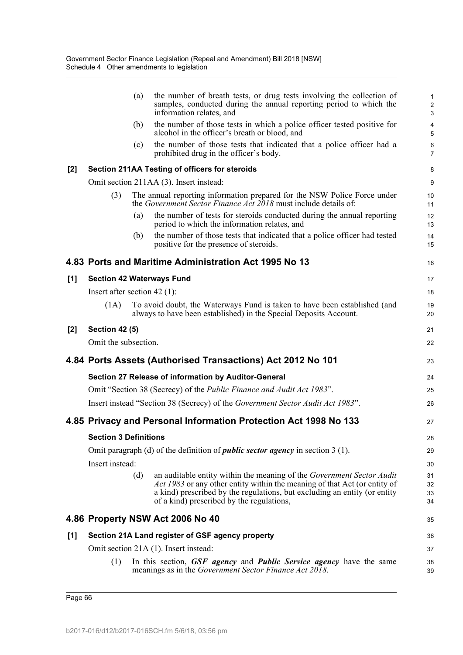|       |                                | (a) | the number of breath tests, or drug tests involving the collection of<br>samples, conducted during the annual reporting period to which the<br>information relates, and                                                                                                      | 1<br>$\overline{\mathbf{c}}$<br>3 |
|-------|--------------------------------|-----|------------------------------------------------------------------------------------------------------------------------------------------------------------------------------------------------------------------------------------------------------------------------------|-----------------------------------|
|       |                                | (b) | the number of those tests in which a police officer tested positive for<br>alcohol in the officer's breath or blood, and                                                                                                                                                     | 4<br>5                            |
|       |                                | (c) | the number of those tests that indicated that a police officer had a<br>prohibited drug in the officer's body.                                                                                                                                                               | 6<br>$\overline{7}$               |
| $[2]$ |                                |     | Section 211AA Testing of officers for steroids                                                                                                                                                                                                                               | 8                                 |
|       |                                |     | Omit section 211AA (3). Insert instead:                                                                                                                                                                                                                                      | 9                                 |
|       | (3)                            |     | The annual reporting information prepared for the NSW Police Force under<br>the Government Sector Finance Act 2018 must include details of:                                                                                                                                  | 10<br>11                          |
|       |                                | (a) | the number of tests for steroids conducted during the annual reporting<br>period to which the information relates, and                                                                                                                                                       | 12<br>13                          |
|       |                                | (b) | the number of those tests that indicated that a police officer had tested<br>positive for the presence of steroids.                                                                                                                                                          | 14<br>15                          |
|       |                                |     | 4.83 Ports and Maritime Administration Act 1995 No 13                                                                                                                                                                                                                        | 16                                |
| [1]   |                                |     | <b>Section 42 Waterways Fund</b>                                                                                                                                                                                                                                             | 17                                |
|       | Insert after section $42$ (1): |     |                                                                                                                                                                                                                                                                              | 18                                |
|       | (1A)                           |     | To avoid doubt, the Waterways Fund is taken to have been established (and<br>always to have been established) in the Special Deposits Account.                                                                                                                               | 19<br>20                          |
| $[2]$ | <b>Section 42 (5)</b>          |     |                                                                                                                                                                                                                                                                              | 21                                |
|       | Omit the subsection.           |     |                                                                                                                                                                                                                                                                              | 22                                |
|       |                                |     | 4.84 Ports Assets (Authorised Transactions) Act 2012 No 101                                                                                                                                                                                                                  | 23                                |
|       |                                |     | Section 27 Release of information by Auditor-General                                                                                                                                                                                                                         | 24                                |
|       |                                |     | Omit "Section 38 (Secrecy) of the <i>Public Finance and Audit Act 1983</i> ".                                                                                                                                                                                                | 25                                |
|       |                                |     | Insert instead "Section 38 (Secrecy) of the Government Sector Audit Act 1983".                                                                                                                                                                                               | 26                                |
|       |                                |     | 4.85 Privacy and Personal Information Protection Act 1998 No 133                                                                                                                                                                                                             | 27                                |
|       | <b>Section 3 Definitions</b>   |     |                                                                                                                                                                                                                                                                              | 28                                |
|       |                                |     | Omit paragraph (d) of the definition of <i>public sector agency</i> in section 3 (1).                                                                                                                                                                                        | 29                                |
|       | Insert instead:                |     |                                                                                                                                                                                                                                                                              | 30                                |
|       |                                | (d) | an auditable entity within the meaning of the Government Sector Audit<br>Act 1983 or any other entity within the meaning of that Act (or entity of<br>a kind) prescribed by the regulations, but excluding an entity (or entity<br>of a kind) prescribed by the regulations, | 31<br>32<br>33<br>34              |
|       |                                |     |                                                                                                                                                                                                                                                                              |                                   |
|       |                                |     | 4.86 Property NSW Act 2006 No 40                                                                                                                                                                                                                                             | 35                                |
| $[1]$ |                                |     | Section 21A Land register of GSF agency property                                                                                                                                                                                                                             | 36                                |
|       |                                |     | Omit section 21A (1). Insert instead:                                                                                                                                                                                                                                        | 37                                |
|       | (1)                            |     | In this section, GSF agency and Public Service agency have the same<br>meanings as in the <i>Government Sector Finance Act 2018</i> .                                                                                                                                        | 38<br>39                          |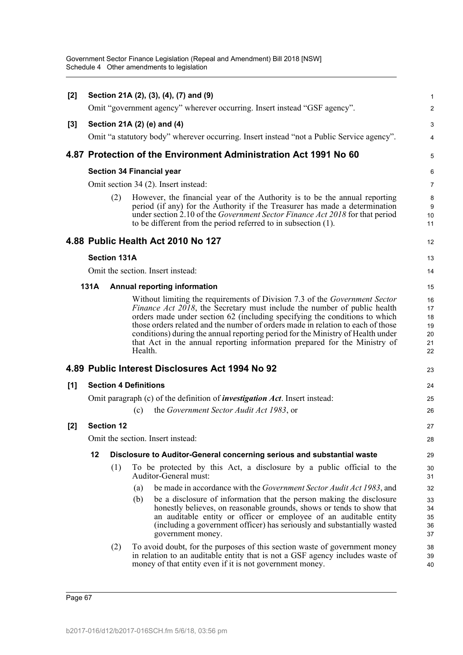| [2]   |      |                     | Section 21A (2), (3), (4), (7) and (9)                                                                                                                                                                                                                                                                                                                                                                                                                                                                    | 1                                      |
|-------|------|---------------------|-----------------------------------------------------------------------------------------------------------------------------------------------------------------------------------------------------------------------------------------------------------------------------------------------------------------------------------------------------------------------------------------------------------------------------------------------------------------------------------------------------------|----------------------------------------|
|       |      |                     | Omit "government agency" wherever occurring. Insert instead "GSF agency".                                                                                                                                                                                                                                                                                                                                                                                                                                 | 2                                      |
| $[3]$ |      |                     | Section 21A (2) (e) and (4)                                                                                                                                                                                                                                                                                                                                                                                                                                                                               | 3                                      |
|       |      |                     | Omit "a statutory body" wherever occurring. Insert instead "not a Public Service agency".                                                                                                                                                                                                                                                                                                                                                                                                                 | 4                                      |
|       |      |                     | 4.87 Protection of the Environment Administration Act 1991 No 60                                                                                                                                                                                                                                                                                                                                                                                                                                          | 5                                      |
|       |      |                     | <b>Section 34 Financial year</b>                                                                                                                                                                                                                                                                                                                                                                                                                                                                          | 6                                      |
|       |      |                     | Omit section 34 (2). Insert instead:                                                                                                                                                                                                                                                                                                                                                                                                                                                                      | $\overline{7}$                         |
|       |      | (2)                 | However, the financial year of the Authority is to be the annual reporting<br>period (if any) for the Authority if the Treasurer has made a determination<br>under section 2.10 of the Government Sector Finance Act 2018 for that period<br>to be different from the period referred to in subsection (1).                                                                                                                                                                                               | 8<br>9<br>10<br>11                     |
|       |      |                     | 4.88 Public Health Act 2010 No 127                                                                                                                                                                                                                                                                                                                                                                                                                                                                        | 12                                     |
|       |      | <b>Section 131A</b> |                                                                                                                                                                                                                                                                                                                                                                                                                                                                                                           | 13                                     |
|       |      |                     | Omit the section. Insert instead:                                                                                                                                                                                                                                                                                                                                                                                                                                                                         | 14                                     |
|       | 131A |                     | <b>Annual reporting information</b>                                                                                                                                                                                                                                                                                                                                                                                                                                                                       | 15                                     |
|       |      |                     | Without limiting the requirements of Division 7.3 of the <i>Government Sector</i><br>Finance Act 2018, the Secretary must include the number of public health<br>orders made under section 62 (including specifying the conditions to which<br>those orders related and the number of orders made in relation to each of those<br>conditions) during the annual reporting period for the Ministry of Health under<br>that Act in the annual reporting information prepared for the Ministry of<br>Health. | 16<br>17<br>18<br>19<br>20<br>21<br>22 |
|       |      |                     | 4.89 Public Interest Disclosures Act 1994 No 92                                                                                                                                                                                                                                                                                                                                                                                                                                                           | 23                                     |
| [1]   |      |                     | <b>Section 4 Definitions</b>                                                                                                                                                                                                                                                                                                                                                                                                                                                                              | 24                                     |
|       |      |                     | Omit paragraph (c) of the definition of <i>investigation Act</i> . Insert instead:                                                                                                                                                                                                                                                                                                                                                                                                                        | 25                                     |
|       |      |                     | the Government Sector Audit Act 1983, or<br>(c)                                                                                                                                                                                                                                                                                                                                                                                                                                                           | 26                                     |
| [2]   |      | <b>Section 12</b>   |                                                                                                                                                                                                                                                                                                                                                                                                                                                                                                           | 27                                     |
|       |      |                     | Omit the section. Insert instead:                                                                                                                                                                                                                                                                                                                                                                                                                                                                         | 28                                     |
|       | 12   |                     | Disclosure to Auditor-General concerning serious and substantial waste                                                                                                                                                                                                                                                                                                                                                                                                                                    | 29                                     |
|       |      | (1)                 | To be protected by this Act, a disclosure by a public official to the<br>Auditor-General must:                                                                                                                                                                                                                                                                                                                                                                                                            | 30<br>31                               |
|       |      |                     | be made in accordance with the <i>Government Sector Audit Act 1983</i> , and<br>(a)                                                                                                                                                                                                                                                                                                                                                                                                                       | 32                                     |
|       |      |                     | be a disclosure of information that the person making the disclosure<br>(b)<br>honestly believes, on reasonable grounds, shows or tends to show that<br>an auditable entity or officer or employee of an auditable entity<br>(including a government officer) has seriously and substantially wasted<br>government money.                                                                                                                                                                                 | 33<br>34<br>35<br>36<br>37             |
|       |      | (2)                 | To avoid doubt, for the purposes of this section waste of government money<br>in relation to an auditable entity that is not a GSF agency includes waste of<br>money of that entity even if it is not government money.                                                                                                                                                                                                                                                                                   | 38<br>39<br>40                         |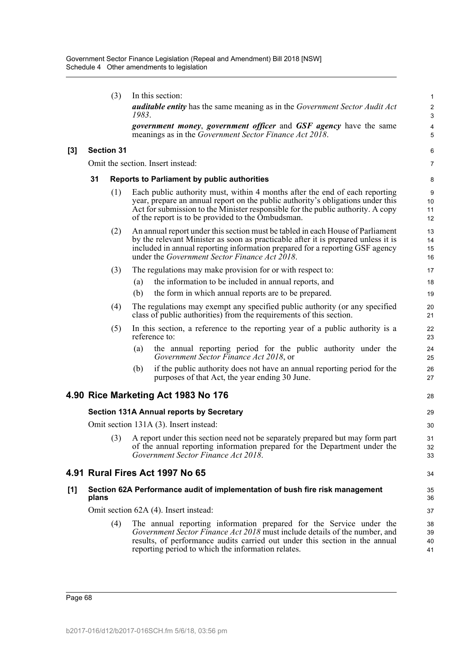|       |                   | (3) | In this section:                                                                                                                                                                                                                                                                                             | 1                            |
|-------|-------------------|-----|--------------------------------------------------------------------------------------------------------------------------------------------------------------------------------------------------------------------------------------------------------------------------------------------------------------|------------------------------|
|       |                   |     | <b>auditable entity</b> has the same meaning as in the Government Sector Audit Act<br>1983.                                                                                                                                                                                                                  | $\overline{\mathbf{c}}$<br>3 |
|       |                   |     | government money, government officer and GSF agency have the same<br>meanings as in the Government Sector Finance Act 2018.                                                                                                                                                                                  | 4<br>5                       |
| $[3]$ | <b>Section 31</b> |     |                                                                                                                                                                                                                                                                                                              | 6                            |
|       |                   |     | Omit the section. Insert instead:                                                                                                                                                                                                                                                                            | 7                            |
|       | 31                |     | Reports to Parliament by public authorities                                                                                                                                                                                                                                                                  | 8                            |
|       |                   | (1) | Each public authority must, within 4 months after the end of each reporting<br>year, prepare an annual report on the public authority's obligations under this<br>Act for submission to the Minister responsible for the public authority. A copy<br>of the report is to be provided to the Ombudsman.       | 9<br>10<br>11<br>12          |
|       |                   | (2) | An annual report under this section must be tabled in each House of Parliament<br>by the relevant Minister as soon as practicable after it is prepared unless it is<br>included in annual reporting information prepared for a reporting GSF agency<br>under the <i>Government Sector Finance Act 2018</i> . | 13<br>14<br>15<br>16         |
|       |                   | (3) | The regulations may make provision for or with respect to:                                                                                                                                                                                                                                                   | 17                           |
|       |                   |     | the information to be included in annual reports, and<br>(a)                                                                                                                                                                                                                                                 | 18                           |
|       |                   |     | (b)<br>the form in which annual reports are to be prepared.                                                                                                                                                                                                                                                  | 19                           |
|       |                   | (4) | The regulations may exempt any specified public authority (or any specified<br>class of public authorities) from the requirements of this section.                                                                                                                                                           | 20<br>21                     |
|       |                   | (5) | In this section, a reference to the reporting year of a public authority is a<br>reference to:                                                                                                                                                                                                               | 22<br>23                     |
|       |                   |     | the annual reporting period for the public authority under the<br>(a)<br>Government Sector Finance Act 2018, or                                                                                                                                                                                              | 24<br>25                     |
|       |                   |     | if the public authority does not have an annual reporting period for the<br>(b)<br>purposes of that Act, the year ending 30 June.                                                                                                                                                                            | 26<br>27                     |
|       |                   |     | 4.90 Rice Marketing Act 1983 No 176                                                                                                                                                                                                                                                                          | 28                           |
|       |                   |     | <b>Section 131A Annual reports by Secretary</b>                                                                                                                                                                                                                                                              | 29                           |
|       |                   |     | Omit section 131A (3). Insert instead:                                                                                                                                                                                                                                                                       | 30                           |
|       |                   |     | (3) A report under this section need not be separately prepared but may form part<br>of the annual reporting information prepared for the Department under the<br>Government Sector Finance Act 2018.                                                                                                        | 31<br>32<br>33               |
|       |                   |     | 4.91 Rural Fires Act 1997 No 65                                                                                                                                                                                                                                                                              | 34                           |
| [1]   | plans             |     | Section 62A Performance audit of implementation of bush fire risk management                                                                                                                                                                                                                                 | 35<br>36                     |
|       |                   |     | Omit section 62A (4). Insert instead:                                                                                                                                                                                                                                                                        | 37                           |
|       |                   | (4) | The annual reporting information prepared for the Service under the<br>Government Sector Finance Act 2018 must include details of the number, and<br>results, of performance audits carried out under this section in the annual<br>reporting period to which the information relates.                       | 38<br>39<br>40<br>41         |
|       |                   |     |                                                                                                                                                                                                                                                                                                              |                              |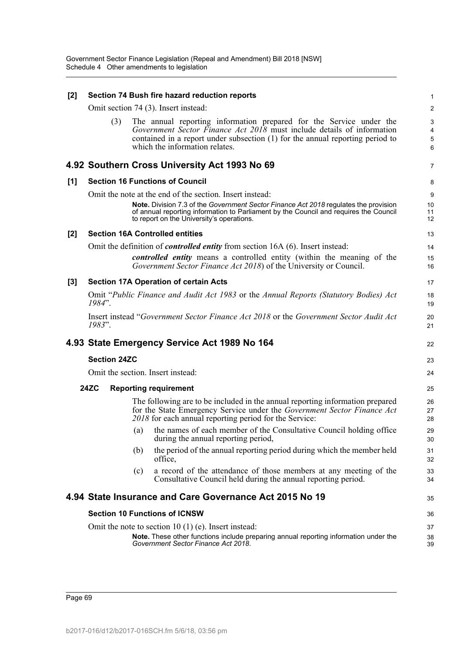| [2]   |                     | Section 74 Bush fire hazard reduction reports                                                                                                                                                                                                                                          | 1                   |
|-------|---------------------|----------------------------------------------------------------------------------------------------------------------------------------------------------------------------------------------------------------------------------------------------------------------------------------|---------------------|
|       |                     | Omit section 74 (3). Insert instead:                                                                                                                                                                                                                                                   | $\overline{c}$      |
|       | (3)                 | The annual reporting information prepared for the Service under the<br>Government Sector Finance Act 2018 must include details of information<br>contained in a report under subsection (1) for the annual reporting period to<br>which the information relates.                       | 3<br>4<br>5<br>6    |
|       |                     | 4.92 Southern Cross University Act 1993 No 69                                                                                                                                                                                                                                          | 7                   |
| [1]   |                     | <b>Section 16 Functions of Council</b>                                                                                                                                                                                                                                                 | 8                   |
|       |                     | Omit the note at the end of the section. Insert instead:<br>Note. Division 7.3 of the Government Sector Finance Act 2018 regulates the provision<br>of annual reporting information to Parliament by the Council and requires the Council<br>to report on the University's operations. | 9<br>10<br>11<br>12 |
| $[2]$ |                     | <b>Section 16A Controlled entities</b>                                                                                                                                                                                                                                                 | 13                  |
|       |                     | Omit the definition of <i>controlled entity</i> from section 16A (6). Insert instead:<br>controlled entity means a controlled entity (within the meaning of the<br>Government Sector Finance Act 2018) of the University or Council.                                                   | 14<br>15<br>16      |
| [3]   |                     | <b>Section 17A Operation of certain Acts</b>                                                                                                                                                                                                                                           | 17                  |
|       | 1984".              | Omit "Public Finance and Audit Act 1983 or the Annual Reports (Statutory Bodies) Act                                                                                                                                                                                                   | 18<br>19            |
|       | 1983".              | Insert instead "Government Sector Finance Act 2018 or the Government Sector Audit Act                                                                                                                                                                                                  | 20<br>21            |
|       |                     | 4.93 State Emergency Service Act 1989 No 164                                                                                                                                                                                                                                           | 22                  |
|       | <b>Section 24ZC</b> |                                                                                                                                                                                                                                                                                        | 23                  |
|       |                     | Omit the section. Insert instead:                                                                                                                                                                                                                                                      | 24                  |
|       | <b>24ZC</b>         | <b>Reporting requirement</b>                                                                                                                                                                                                                                                           | 25                  |
|       |                     | The following are to be included in the annual reporting information prepared<br>for the State Emergency Service under the Government Sector Finance Act<br>2018 for each annual reporting period for the Service:                                                                     | 26<br>27<br>28      |
|       |                     | the names of each member of the Consultative Council holding office<br>(a)<br>during the annual reporting period,                                                                                                                                                                      | 29<br>30            |
|       |                     | the period of the annual reporting period during which the member held<br>(b)<br>office,                                                                                                                                                                                               | 31<br>32            |
|       |                     | a record of the attendance of those members at any meeting of the<br>(c)<br>Consultative Council held during the annual reporting period.                                                                                                                                              | 33<br>34            |
|       |                     | 4.94 State Insurance and Care Governance Act 2015 No 19                                                                                                                                                                                                                                | 35                  |
|       |                     | <b>Section 10 Functions of ICNSW</b>                                                                                                                                                                                                                                                   | 36                  |
|       |                     | Omit the note to section 10 (1) (e). Insert instead:<br>Note. These other functions include preparing annual reporting information under the<br>Government Sector Finance Act 2018.                                                                                                    | 37<br>38<br>39      |
|       |                     |                                                                                                                                                                                                                                                                                        |                     |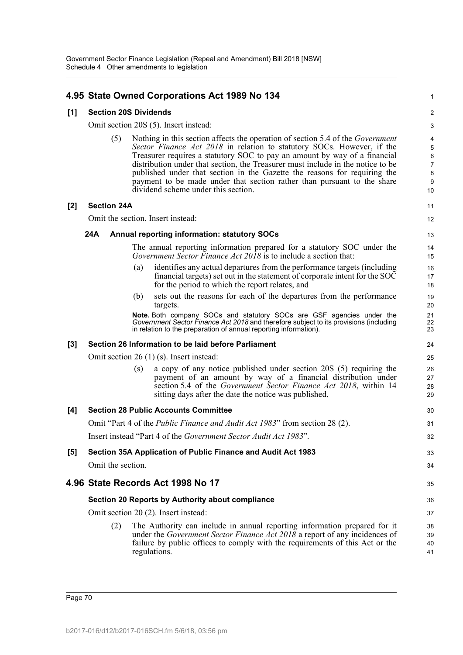# **4.95 State Owned Corporations Act 1989 No 134**

#### **[1] Section 20S Dividends**

Omit section 20S (5). Insert instead:

(5) Nothing in this section affects the operation of section 5.4 of the *Government Sector Finance Act 2018* in relation to statutory SOCs. However, if the Treasurer requires a statutory SOC to pay an amount by way of a financial distribution under that section, the Treasurer must include in the notice to be published under that section in the Gazette the reasons for requiring the payment to be made under that section rather than pursuant to the share dividend scheme under this section.

1

11 12

33 34

35

#### **[2] Section 24A**

Omit the section. Insert instead:

#### **24A Annual reporting information: statutory SOCs**

The annual reporting information prepared for a statutory SOC under the *Government Sector Finance Act 2018* is to include a section that:

- (a) identifies any actual departures from the performance targets (including financial targets) set out in the statement of corporate intent for the SOC for the period to which the report relates, and
- (b) sets out the reasons for each of the departures from the performance targets.

**Note.** Both company SOCs and statutory SOCs are GSF agencies under the *Government Sector Finance Act 2018* and therefore subject to its provisions (including in relation to the preparation of annual reporting information).

#### **[3] Section 26 Information to be laid before Parliament**

Omit section 26 (1) (s). Insert instead:

(s) a copy of any notice published under section 20S (5) requiring the payment of an amount by way of a financial distribution under section 5.4 of the *Government Sector Finance Act 2018*, within 14 sitting days after the date the notice was published,

# **[4] Section 28 Public Accounts Committee** Omit "Part 4 of the *Public Finance and Audit Act 1983*" from section 28 (2). Insert instead "Part 4 of the *Government Sector Audit Act 1983*". **[5] Section 35A Application of Public Finance and Audit Act 1983**

Omit the section.

# **4.96 State Records Act 1998 No 17**

## **Section 20 Reports by Authority about compliance**

Omit section 20 (2). Insert instead:

(2) The Authority can include in annual reporting information prepared for it under the *Government Sector Finance Act 2018* a report of any incidences of failure by public offices to comply with the requirements of this Act or the regulations.

Page 70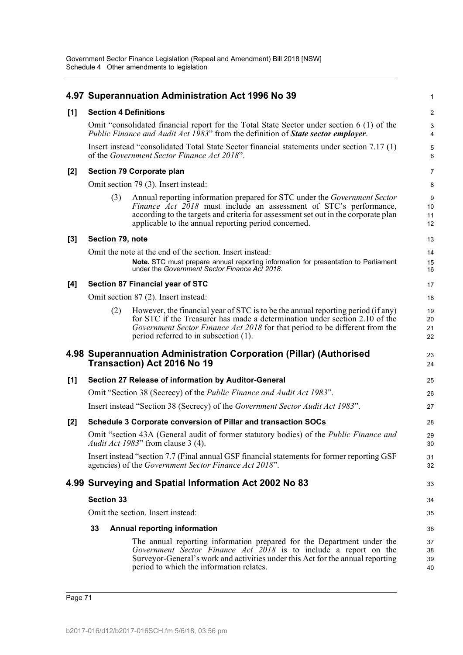|       |                              |     | 4.97 Superannuation Administration Act 1996 No 39                                                                                                                                                                                                                                                          | 1                    |  |  |  |
|-------|------------------------------|-----|------------------------------------------------------------------------------------------------------------------------------------------------------------------------------------------------------------------------------------------------------------------------------------------------------------|----------------------|--|--|--|
| [1]   | <b>Section 4 Definitions</b> |     |                                                                                                                                                                                                                                                                                                            |                      |  |  |  |
|       |                              |     | Omit "consolidated financial report for the Total State Sector under section $6(1)$ of the<br><i>Public Finance and Audit Act 1983</i> " from the definition of <b>State sector employer</b> .                                                                                                             | 3<br>4               |  |  |  |
|       |                              |     | Insert instead "consolidated Total State Sector financial statements under section 7.17 (1)<br>of the Government Sector Finance Act 2018".                                                                                                                                                                 | 5<br>6               |  |  |  |
| [2]   |                              |     | Section 79 Corporate plan                                                                                                                                                                                                                                                                                  | 7                    |  |  |  |
|       |                              |     | Omit section 79 (3). Insert instead:                                                                                                                                                                                                                                                                       | 8                    |  |  |  |
|       |                              | (3) | Annual reporting information prepared for STC under the <i>Government Sector</i><br><i>Finance Act 2018</i> must include an assessment of STC's performance,<br>according to the targets and criteria for assessment set out in the corporate plan<br>applicable to the annual reporting period concerned. | 9<br>10<br>11<br>12  |  |  |  |
| $[3]$ | Section 79, note             |     |                                                                                                                                                                                                                                                                                                            | 13                   |  |  |  |
|       |                              |     | Omit the note at the end of the section. Insert instead:                                                                                                                                                                                                                                                   | 14                   |  |  |  |
|       |                              |     | Note. STC must prepare annual reporting information for presentation to Parliament<br>under the Government Sector Finance Act 2018.                                                                                                                                                                        | 15<br>16             |  |  |  |
| [4]   |                              |     | Section 87 Financial year of STC                                                                                                                                                                                                                                                                           | 17                   |  |  |  |
|       |                              |     | Omit section 87 (2). Insert instead:                                                                                                                                                                                                                                                                       | 18                   |  |  |  |
|       |                              | (2) | However, the financial year of STC is to be the annual reporting period (if any)<br>for STC if the Treasurer has made a determination under section 2.10 of the<br>Government Sector Finance Act 2018 for that period to be different from the<br>period referred to in subsection (1).                    | 19<br>20<br>21<br>22 |  |  |  |
|       |                              |     | 4.98 Superannuation Administration Corporation (Pillar) (Authorised<br><b>Transaction) Act 2016 No 19</b>                                                                                                                                                                                                  | 23<br>24             |  |  |  |
| $[1]$ |                              |     | Section 27 Release of information by Auditor-General                                                                                                                                                                                                                                                       | 25                   |  |  |  |
|       |                              |     | Omit "Section 38 (Secrecy) of the <i>Public Finance and Audit Act 1983</i> ".                                                                                                                                                                                                                              | 26                   |  |  |  |
|       |                              |     | Insert instead "Section 38 (Secrecy) of the Government Sector Audit Act 1983".                                                                                                                                                                                                                             | 27                   |  |  |  |
| $[2]$ |                              |     | Schedule 3 Corporate conversion of Pillar and transaction SOCs                                                                                                                                                                                                                                             | 28                   |  |  |  |
|       |                              |     | Omit "section 43A (General audit of former statutory bodies) of the <i>Public Finance and</i><br>Audit Act 1983" from clause 3 (4).                                                                                                                                                                        | 29<br>30             |  |  |  |
|       |                              |     | Insert instead "section 7.7 (Final annual GSF financial statements for former reporting GSF<br>agencies) of the Government Sector Finance Act 2018".                                                                                                                                                       | 31<br>32             |  |  |  |
|       |                              |     | 4.99 Surveying and Spatial Information Act 2002 No 83                                                                                                                                                                                                                                                      | 33                   |  |  |  |
|       | <b>Section 33</b>            |     |                                                                                                                                                                                                                                                                                                            | 34                   |  |  |  |
|       |                              |     | Omit the section. Insert instead:                                                                                                                                                                                                                                                                          | 35                   |  |  |  |
|       | 33                           |     | <b>Annual reporting information</b>                                                                                                                                                                                                                                                                        | 36                   |  |  |  |
|       |                              |     | The annual reporting information prepared for the Department under the<br>Government Sector Finance Act 2018 is to include a report on the<br>Surveyor-General's work and activities under this Act for the annual reporting<br>period to which the information relates.                                   | 37<br>38<br>39<br>40 |  |  |  |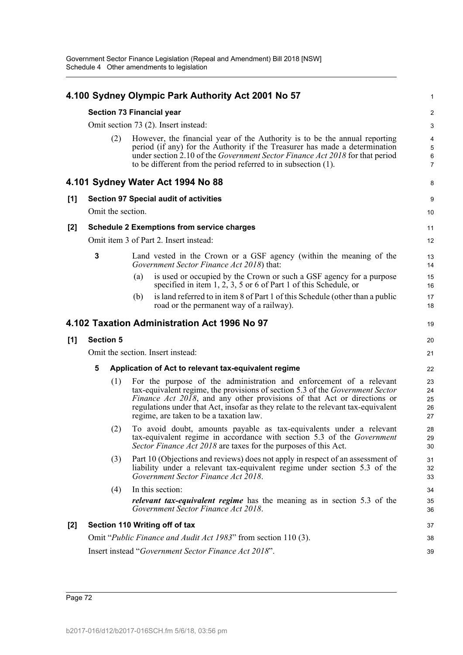|       |                                   |     | 4.100 Sydney Olympic Park Authority Act 2001 No 57                                                                                                                                                                                                                                                                                                              | 1                             |
|-------|-----------------------------------|-----|-----------------------------------------------------------------------------------------------------------------------------------------------------------------------------------------------------------------------------------------------------------------------------------------------------------------------------------------------------------------|-------------------------------|
|       |                                   |     | Section 73 Financial year                                                                                                                                                                                                                                                                                                                                       | $\overline{2}$                |
|       |                                   |     | Omit section 73 (2). Insert instead:                                                                                                                                                                                                                                                                                                                            | 3                             |
|       | (2)                               |     | However, the financial year of the Authority is to be the annual reporting<br>period (if any) for the Authority if the Treasurer has made a determination<br>under section 2.10 of the Government Sector Finance Act 2018 for that period<br>to be different from the period referred to in subsection (1).                                                     | 4<br>5<br>6<br>$\overline{7}$ |
|       |                                   |     | 4.101 Sydney Water Act 1994 No 88                                                                                                                                                                                                                                                                                                                               | 8                             |
| [1]   |                                   |     | <b>Section 97 Special audit of activities</b>                                                                                                                                                                                                                                                                                                                   | 9                             |
|       | Omit the section.                 |     |                                                                                                                                                                                                                                                                                                                                                                 | 10                            |
| $[2]$ |                                   |     | <b>Schedule 2 Exemptions from service charges</b>                                                                                                                                                                                                                                                                                                               | 11                            |
|       |                                   |     | Omit item 3 of Part 2. Insert instead:                                                                                                                                                                                                                                                                                                                          | 12                            |
|       | 3                                 |     | Land vested in the Crown or a GSF agency (within the meaning of the<br>Government Sector Finance Act 2018) that:                                                                                                                                                                                                                                                | 13<br>14                      |
|       |                                   | (a) | is used or occupied by the Crown or such a GSF agency for a purpose<br>specified in item $1, 2, 3, 5$ or 6 of Part 1 of this Schedule, or                                                                                                                                                                                                                       | 15<br>16                      |
|       |                                   | (b) | is land referred to in item 8 of Part 1 of this Schedule (other than a public<br>road or the permanent way of a railway).                                                                                                                                                                                                                                       | 17<br>18                      |
|       |                                   |     | 4.102 Taxation Administration Act 1996 No 97                                                                                                                                                                                                                                                                                                                    | 19                            |
| [1]   | <b>Section 5</b>                  |     |                                                                                                                                                                                                                                                                                                                                                                 | 20                            |
|       | Omit the section. Insert instead: |     |                                                                                                                                                                                                                                                                                                                                                                 | 21                            |
|       | 5                                 |     | Application of Act to relevant tax-equivalent regime                                                                                                                                                                                                                                                                                                            | 22                            |
|       | (1)                               |     | For the purpose of the administration and enforcement of a relevant<br>tax-equivalent regime, the provisions of section 5.3 of the Government Sector<br>Finance Act 2018, and any other provisions of that Act or directions or<br>regulations under that Act, insofar as they relate to the relevant tax-equivalent<br>regime, are taken to be a taxation law. | 23<br>24<br>25<br>26<br>27    |
|       | (2)                               |     | To avoid doubt, amounts payable as tax-equivalents under a relevant<br>tax-equivalent regime in accordance with section 5.3 of the Government<br>Sector Finance Act 2018 are taxes for the purposes of this Act.                                                                                                                                                | 28<br>29<br>30                |
|       | (3)                               |     | Part 10 (Objections and reviews) does not apply in respect of an assessment of<br>liability under a relevant tax-equivalent regime under section 5.3 of the<br>Government Sector Finance Act 2018.                                                                                                                                                              | 31<br>32<br>33                |
|       | (4)                               |     | In this section:<br><i>relevant tax-equivalent regime</i> has the meaning as in section 5.3 of the<br>Government Sector Finance Act 2018.                                                                                                                                                                                                                       | 34<br>35<br>36                |
| $[2]$ |                                   |     | Section 110 Writing off of tax                                                                                                                                                                                                                                                                                                                                  | 37                            |
|       |                                   |     | Omit "Public Finance and Audit Act 1983" from section 110 (3).                                                                                                                                                                                                                                                                                                  | 38                            |
|       |                                   |     | Insert instead "Government Sector Finance Act 2018".                                                                                                                                                                                                                                                                                                            | 39                            |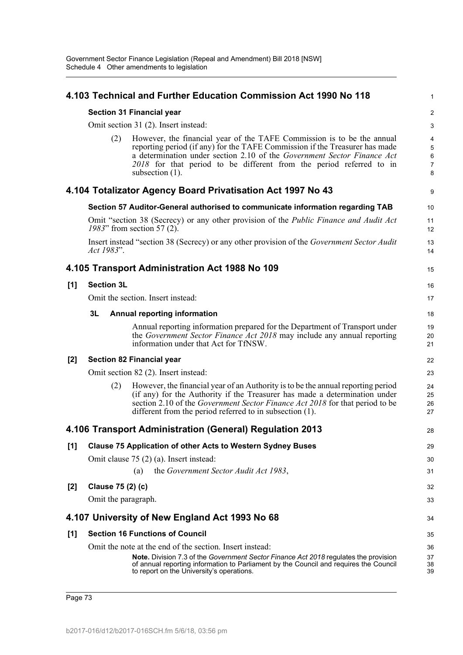|       |                     | 4.103 Technical and Further Education Commission Act 1990 No 118                                                                                                                                                                                                                                                              | 1                                               |
|-------|---------------------|-------------------------------------------------------------------------------------------------------------------------------------------------------------------------------------------------------------------------------------------------------------------------------------------------------------------------------|-------------------------------------------------|
|       |                     | <b>Section 31 Financial year</b>                                                                                                                                                                                                                                                                                              | $\overline{c}$                                  |
|       |                     | Omit section 31 (2). Insert instead:                                                                                                                                                                                                                                                                                          | 3                                               |
|       | (2)                 | However, the financial year of the TAFE Commission is to be the annual<br>reporting period (if any) for the TAFE Commission if the Treasurer has made<br>a determination under section 2.10 of the Government Sector Finance Act<br>2018 for that period to be different from the period referred to in<br>subsection $(1)$ . | 4<br>5<br>$\overline{6}$<br>$\overline{7}$<br>8 |
|       |                     | 4.104 Totalizator Agency Board Privatisation Act 1997 No 43                                                                                                                                                                                                                                                                   | 9                                               |
|       |                     | Section 57 Auditor-General authorised to communicate information regarding TAB                                                                                                                                                                                                                                                | 10                                              |
|       |                     | Omit "section 38 (Secrecy) or any other provision of the <i>Public Finance and Audit Act</i><br>1983" from section 57 (2).                                                                                                                                                                                                    | 11<br>12                                        |
|       | Act 1983".          | Insert instead "section 38 (Secrecy) or any other provision of the Government Sector Audit                                                                                                                                                                                                                                    | 13<br>14                                        |
|       |                     | 4.105 Transport Administration Act 1988 No 109                                                                                                                                                                                                                                                                                | 15                                              |
| [1]   | <b>Section 3L</b>   |                                                                                                                                                                                                                                                                                                                               | 16                                              |
|       |                     | Omit the section. Insert instead:                                                                                                                                                                                                                                                                                             | 17                                              |
|       | 3L                  | <b>Annual reporting information</b>                                                                                                                                                                                                                                                                                           | 18                                              |
|       |                     | Annual reporting information prepared for the Department of Transport under<br>the Government Sector Finance Act 2018 may include any annual reporting<br>information under that Act for TfNSW.                                                                                                                               | 19<br>20<br>21                                  |
| $[2]$ |                     | <b>Section 82 Financial year</b>                                                                                                                                                                                                                                                                                              | 22                                              |
|       |                     | Omit section 82 (2). Insert instead:                                                                                                                                                                                                                                                                                          | 23                                              |
|       | (2)                 | However, the financial year of an Authority is to be the annual reporting period<br>(if any) for the Authority if the Treasurer has made a determination under<br>section 2.10 of the Government Sector Finance Act 2018 for that period to be<br>different from the period referred to in subsection (1).                    | 24<br>25<br>26<br>27                            |
|       |                     | 4.106 Transport Administration (General) Regulation 2013                                                                                                                                                                                                                                                                      | 28                                              |
| [1]   |                     | <b>Clause 75 Application of other Acts to Western Sydney Buses</b>                                                                                                                                                                                                                                                            | 29                                              |
|       |                     | Omit clause $75(2)(a)$ . Insert instead:                                                                                                                                                                                                                                                                                      | 30                                              |
|       |                     | the Government Sector Audit Act 1983,<br>(a)                                                                                                                                                                                                                                                                                  | 31                                              |
| [2]   | Clause 75 (2) (c)   |                                                                                                                                                                                                                                                                                                                               | 32                                              |
|       | Omit the paragraph. |                                                                                                                                                                                                                                                                                                                               | 33                                              |
|       |                     | 4.107 University of New England Act 1993 No 68                                                                                                                                                                                                                                                                                | 34                                              |
| [1]   |                     | <b>Section 16 Functions of Council</b>                                                                                                                                                                                                                                                                                        | 35                                              |
|       |                     | Omit the note at the end of the section. Insert instead:<br><b>Note.</b> Division 7.3 of the Government Sector Finance Act 2018 regulates the provision<br>of annual reporting information to Parliament by the Council and requires the Council<br>to report on the University's operations.                                 | 36<br>37<br>38<br>39                            |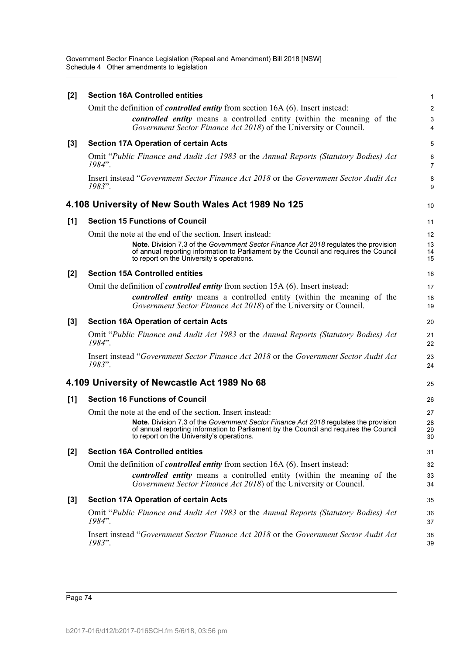Government Sector Finance Legislation (Repeal and Amendment) Bill 2018 [NSW] Schedule 4 Other amendments to legislation

| [2] | <b>Section 16A Controlled entities</b>                                                                                                                                                                                     | 1                   |
|-----|----------------------------------------------------------------------------------------------------------------------------------------------------------------------------------------------------------------------------|---------------------|
|     | Omit the definition of <i>controlled entity</i> from section 16A (6). Insert instead:                                                                                                                                      | $\overline{c}$      |
|     | controlled entity means a controlled entity (within the meaning of the<br>Government Sector Finance Act 2018) of the University or Council.                                                                                | $\mathbf{3}$<br>4   |
| [3] | <b>Section 17A Operation of certain Acts</b>                                                                                                                                                                               | 5                   |
|     | Omit "Public Finance and Audit Act 1983 or the Annual Reports (Statutory Bodies) Act<br>1984".                                                                                                                             | 6<br>$\overline{7}$ |
|     | Insert instead "Government Sector Finance Act 2018 or the Government Sector Audit Act<br>1983".                                                                                                                            | 8<br>9              |
|     | 4.108 University of New South Wales Act 1989 No 125                                                                                                                                                                        | 10                  |
| [1] | <b>Section 15 Functions of Council</b>                                                                                                                                                                                     | 11                  |
|     | Omit the note at the end of the section. Insert instead:                                                                                                                                                                   | 12                  |
|     | Note. Division 7.3 of the Government Sector Finance Act 2018 regulates the provision<br>of annual reporting information to Parliament by the Council and requires the Council<br>to report on the University's operations. | 13<br>14<br>15      |
| [2] | <b>Section 15A Controlled entities</b>                                                                                                                                                                                     | 16                  |
|     | Omit the definition of <i>controlled entity</i> from section 15A (6). Insert instead:                                                                                                                                      | 17                  |
|     | <i>controlled entity</i> means a controlled entity (within the meaning of the<br>Government Sector Finance Act 2018) of the University or Council.                                                                         | 18<br>19            |
| [3] | <b>Section 16A Operation of certain Acts</b>                                                                                                                                                                               | 20                  |
|     | Omit "Public Finance and Audit Act 1983 or the Annual Reports (Statutory Bodies) Act<br>1984".                                                                                                                             | 21<br>22            |
|     | Insert instead "Government Sector Finance Act 2018 or the Government Sector Audit Act<br>1983".                                                                                                                            | 23<br>24            |
|     | 4.109 University of Newcastle Act 1989 No 68                                                                                                                                                                               | 25                  |
| [1] | <b>Section 16 Functions of Council</b>                                                                                                                                                                                     | 26                  |
|     | Omit the note at the end of the section. Insert instead:                                                                                                                                                                   | 27                  |
|     | Note. Division 7.3 of the Government Sector Finance Act 2018 regulates the provision<br>of annual reporting information to Parliament by the Council and requires the Council<br>to report on the University's operations. | 28<br>29<br>30      |
| [2] | <b>Section 16A Controlled entities</b>                                                                                                                                                                                     | 31                  |
|     | Omit the definition of <i>controlled entity</i> from section 16A (6). Insert instead:                                                                                                                                      | 32                  |
|     | controlled entity means a controlled entity (within the meaning of the<br>Government Sector Finance Act 2018) of the University or Council.                                                                                | 33<br>34            |
| [3] | <b>Section 17A Operation of certain Acts</b>                                                                                                                                                                               | 35                  |
|     | Omit "Public Finance and Audit Act 1983 or the Annual Reports (Statutory Bodies) Act<br>1984".                                                                                                                             | 36<br>37            |
|     | Insert instead "Government Sector Finance Act 2018 or the Government Sector Audit Act<br>1983".                                                                                                                            | 38<br>39            |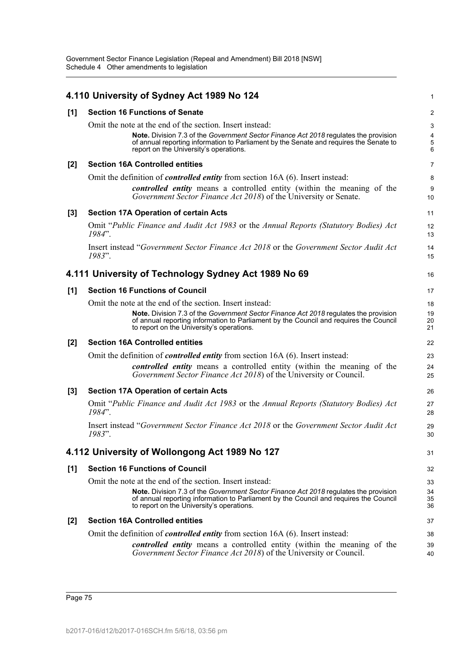|       | 4.110 University of Sydney Act 1989 No 124                                                                                                                                                                                                                                             | 1                          |
|-------|----------------------------------------------------------------------------------------------------------------------------------------------------------------------------------------------------------------------------------------------------------------------------------------|----------------------------|
| [1]   | <b>Section 16 Functions of Senate</b>                                                                                                                                                                                                                                                  | 2                          |
|       | Omit the note at the end of the section. Insert instead:<br>Note. Division 7.3 of the Government Sector Finance Act 2018 regulates the provision<br>of annual reporting information to Parliament by the Senate and requires the Senate to<br>report on the University's operations.   | 3<br>4<br>$\mathbf 5$<br>6 |
| $[2]$ | <b>Section 16A Controlled entities</b>                                                                                                                                                                                                                                                 | $\overline{7}$             |
|       | Omit the definition of <i>controlled entity</i> from section 16A (6). Insert instead:                                                                                                                                                                                                  | 8                          |
|       | <i>controlled entity</i> means a controlled entity (within the meaning of the<br>Government Sector Finance Act 2018) of the University or Senate.                                                                                                                                      | 9<br>10                    |
| $[3]$ | <b>Section 17A Operation of certain Acts</b>                                                                                                                                                                                                                                           | 11                         |
|       | Omit "Public Finance and Audit Act 1983 or the Annual Reports (Statutory Bodies) Act<br>1984".                                                                                                                                                                                         | 12<br>13                   |
|       | Insert instead "Government Sector Finance Act 2018 or the Government Sector Audit Act<br>1983".                                                                                                                                                                                        | 14<br>15                   |
|       | 4.111 University of Technology Sydney Act 1989 No 69                                                                                                                                                                                                                                   | 16                         |
| [1]   | <b>Section 16 Functions of Council</b>                                                                                                                                                                                                                                                 | 17                         |
|       | Omit the note at the end of the section. Insert instead:<br>Note. Division 7.3 of the Government Sector Finance Act 2018 regulates the provision<br>of annual reporting information to Parliament by the Council and requires the Council<br>to report on the University's operations. | 18<br>19<br>20<br>21       |
| $[2]$ | <b>Section 16A Controlled entities</b>                                                                                                                                                                                                                                                 | 22                         |
|       | Omit the definition of <i>controlled entity</i> from section 16A (6). Insert instead:                                                                                                                                                                                                  | 23                         |
|       | <i>controlled entity</i> means a controlled entity (within the meaning of the<br>Government Sector Finance Act 2018) of the University or Council.                                                                                                                                     | 24<br>25                   |
| $[3]$ | <b>Section 17A Operation of certain Acts</b>                                                                                                                                                                                                                                           | 26                         |
|       | Omit "Public Finance and Audit Act 1983 or the Annual Reports (Statutory Bodies) Act<br>1984".                                                                                                                                                                                         | 27<br>28                   |
|       | Insert instead "Government Sector Finance Act 2018 or the Government Sector Audit Act<br>1983".                                                                                                                                                                                        | 29<br>30                   |
|       | 4.112 University of Wollongong Act 1989 No 127                                                                                                                                                                                                                                         | 31                         |
| [1]   | <b>Section 16 Functions of Council</b>                                                                                                                                                                                                                                                 | 32                         |
|       | Omit the note at the end of the section. Insert instead:                                                                                                                                                                                                                               | 33                         |
|       | Note. Division 7.3 of the Government Sector Finance Act 2018 regulates the provision<br>of annual reporting information to Parliament by the Council and requires the Council<br>to report on the University's operations.                                                             | 34<br>35<br>36             |
| $[2]$ | <b>Section 16A Controlled entities</b>                                                                                                                                                                                                                                                 | 37                         |
|       | Omit the definition of <i>controlled entity</i> from section 16A (6). Insert instead:                                                                                                                                                                                                  | 38                         |
|       | <i>controlled entity</i> means a controlled entity (within the meaning of the<br>Government Sector Finance Act 2018) of the University or Council.                                                                                                                                     | 39<br>40                   |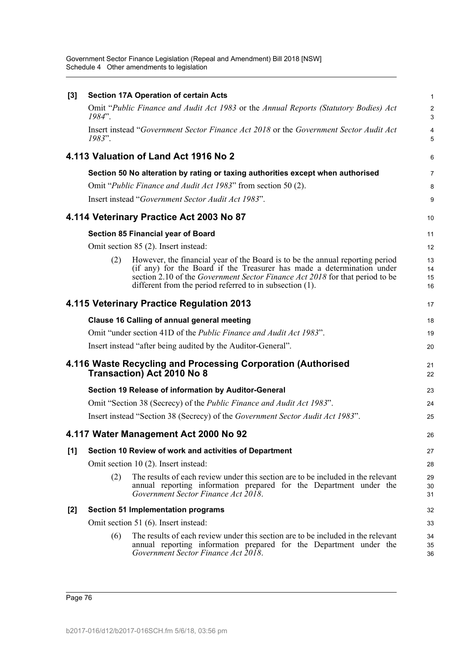Government Sector Finance Legislation (Repeal and Amendment) Bill 2018 [NSW] Schedule 4 Other amendments to legislation

| $[3]$ |                                                        | <b>Section 17A Operation of certain Acts</b>                                                                                                                                                                                                                                                        | $\mathbf{1}$         |  |  |
|-------|--------------------------------------------------------|-----------------------------------------------------------------------------------------------------------------------------------------------------------------------------------------------------------------------------------------------------------------------------------------------------|----------------------|--|--|
|       | $1984$ ".                                              | Omit "Public Finance and Audit Act 1983 or the Annual Reports (Statutory Bodies) Act                                                                                                                                                                                                                | $\overline{2}$<br>3  |  |  |
|       | $1983$ ".                                              | Insert instead "Government Sector Finance Act 2018 or the Government Sector Audit Act                                                                                                                                                                                                               | 4<br>5               |  |  |
|       |                                                        | 4.113 Valuation of Land Act 1916 No 2                                                                                                                                                                                                                                                               | 6                    |  |  |
|       |                                                        | Section 50 No alteration by rating or taxing authorities except when authorised                                                                                                                                                                                                                     | $\overline{7}$       |  |  |
|       |                                                        | Omit "Public Finance and Audit Act 1983" from section 50 (2).                                                                                                                                                                                                                                       | 8                    |  |  |
|       |                                                        | Insert instead "Government Sector Audit Act 1983".                                                                                                                                                                                                                                                  | 9                    |  |  |
|       |                                                        | 4.114 Veterinary Practice Act 2003 No 87                                                                                                                                                                                                                                                            | 10                   |  |  |
|       |                                                        | Section 85 Financial year of Board                                                                                                                                                                                                                                                                  | 11                   |  |  |
|       |                                                        | Omit section 85 (2). Insert instead:                                                                                                                                                                                                                                                                | 12                   |  |  |
|       | (2)                                                    | However, the financial year of the Board is to be the annual reporting period<br>(if any) for the Board if the Treasurer has made a determination under<br>section 2.10 of the Government Sector Finance Act 2018 for that period to be<br>different from the period referred to in subsection (1). | 13<br>14<br>15<br>16 |  |  |
|       |                                                        | 4.115 Veterinary Practice Regulation 2013                                                                                                                                                                                                                                                           | 17                   |  |  |
|       |                                                        | <b>Clause 16 Calling of annual general meeting</b>                                                                                                                                                                                                                                                  | 18                   |  |  |
|       |                                                        | Omit "under section 41D of the <i>Public Finance and Audit Act 1983"</i> .                                                                                                                                                                                                                          | 19                   |  |  |
|       |                                                        | Insert instead "after being audited by the Auditor-General".                                                                                                                                                                                                                                        | 20                   |  |  |
|       |                                                        | 4.116 Waste Recycling and Processing Corporation (Authorised<br>Transaction) Act 2010 No 8                                                                                                                                                                                                          | 21<br>22             |  |  |
|       |                                                        | Section 19 Release of information by Auditor-General                                                                                                                                                                                                                                                | 23                   |  |  |
|       |                                                        | Omit "Section 38 (Secrecy) of the <i>Public Finance and Audit Act 1983</i> ".                                                                                                                                                                                                                       | 24                   |  |  |
|       |                                                        | Insert instead "Section 38 (Secrecy) of the Government Sector Audit Act 1983".                                                                                                                                                                                                                      | 25                   |  |  |
|       |                                                        | 4.117 Water Management Act 2000 No 92                                                                                                                                                                                                                                                               | 26                   |  |  |
| [1]   | Section 10 Review of work and activities of Department |                                                                                                                                                                                                                                                                                                     |                      |  |  |
|       |                                                        | Omit section 10 (2). Insert instead:                                                                                                                                                                                                                                                                | 28                   |  |  |
|       | (2)                                                    | The results of each review under this section are to be included in the relevant<br>annual reporting information prepared for the Department under the<br>Government Sector Finance Act 2018.                                                                                                       | 29<br>30<br>31       |  |  |
| $[2]$ |                                                        | <b>Section 51 Implementation programs</b>                                                                                                                                                                                                                                                           | 32                   |  |  |
|       | Omit section 51 (6). Insert instead:                   |                                                                                                                                                                                                                                                                                                     |                      |  |  |
|       | (6)                                                    | The results of each review under this section are to be included in the relevant<br>annual reporting information prepared for the Department under the<br>Government Sector Finance Act 2018.                                                                                                       | 34<br>35<br>36       |  |  |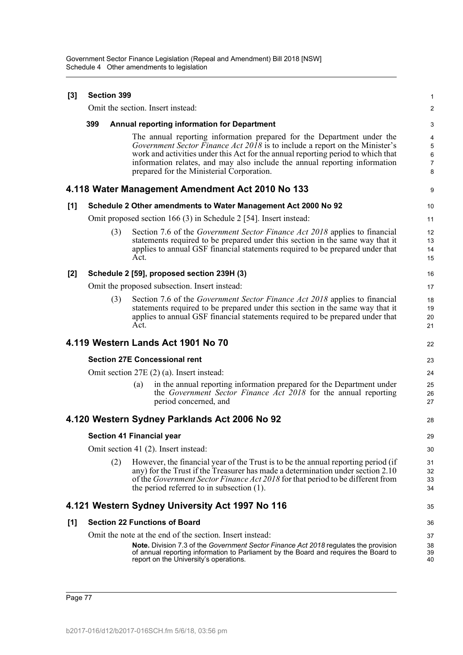| $[3]$ | <b>Section 399</b>                   |     |      |                                                                                                                                                                                                                                                                                                                                                                      |                                    |
|-------|--------------------------------------|-----|------|----------------------------------------------------------------------------------------------------------------------------------------------------------------------------------------------------------------------------------------------------------------------------------------------------------------------------------------------------------------------|------------------------------------|
|       |                                      |     |      | Omit the section. Insert instead:                                                                                                                                                                                                                                                                                                                                    | 2                                  |
|       | 399                                  |     |      | <b>Annual reporting information for Department</b>                                                                                                                                                                                                                                                                                                                   | 3                                  |
|       |                                      |     |      | The annual reporting information prepared for the Department under the<br>Government Sector Finance Act 2018 is to include a report on the Minister's<br>work and activities under this Act for the annual reporting period to which that<br>information relates, and may also include the annual reporting information<br>prepared for the Ministerial Corporation. | 4<br>5<br>6<br>$\overline{7}$<br>8 |
|       |                                      |     |      | 4.118 Water Management Amendment Act 2010 No 133                                                                                                                                                                                                                                                                                                                     | 9                                  |
| [1]   |                                      |     |      | Schedule 2 Other amendments to Water Management Act 2000 No 92                                                                                                                                                                                                                                                                                                       | 10                                 |
|       |                                      |     |      | Omit proposed section 166 (3) in Schedule 2 [54]. Insert instead:                                                                                                                                                                                                                                                                                                    | 11                                 |
|       |                                      | (3) | Act. | Section 7.6 of the <i>Government Sector Finance Act 2018</i> applies to financial<br>statements required to be prepared under this section in the same way that it<br>applies to annual GSF financial statements required to be prepared under that                                                                                                                  | 12<br>13<br>14<br>15               |
| [2]   |                                      |     |      | Schedule 2 [59], proposed section 239H (3)                                                                                                                                                                                                                                                                                                                           | 16                                 |
|       |                                      |     |      | Omit the proposed subsection. Insert instead:                                                                                                                                                                                                                                                                                                                        | 17                                 |
|       |                                      | (3) | Act. | Section 7.6 of the Government Sector Finance Act 2018 applies to financial<br>statements required to be prepared under this section in the same way that it<br>applies to annual GSF financial statements required to be prepared under that                                                                                                                         | 18<br>19<br>20<br>21               |
|       |                                      |     |      | 4.119 Western Lands Act 1901 No 70                                                                                                                                                                                                                                                                                                                                   | 22                                 |
|       |                                      |     |      | <b>Section 27E Concessional rent</b>                                                                                                                                                                                                                                                                                                                                 | 23                                 |
|       |                                      |     |      | Omit section $27E(2)$ (a). Insert instead:                                                                                                                                                                                                                                                                                                                           | 24                                 |
|       |                                      |     | (a)  | in the annual reporting information prepared for the Department under<br>the Government Sector Finance Act 2018 for the annual reporting<br>period concerned, and                                                                                                                                                                                                    | 25<br>26<br>27                     |
|       |                                      |     |      | 4.120 Western Sydney Parklands Act 2006 No 92                                                                                                                                                                                                                                                                                                                        | 28                                 |
|       |                                      |     |      | <b>Section 41 Financial year</b>                                                                                                                                                                                                                                                                                                                                     | 29                                 |
|       | Omit section 41 (2). Insert instead: |     |      |                                                                                                                                                                                                                                                                                                                                                                      | 30                                 |
|       |                                      | (2) |      | However, the financial year of the Trust is to be the annual reporting period (if<br>any) for the Trust if the Treasurer has made a determination under section 2.10<br>of the Government Sector Finance Act 2018 for that period to be different from<br>the period referred to in subsection $(1)$ .                                                               | 31<br>32<br>33<br>34               |
|       |                                      |     |      | 4.121 Western Sydney University Act 1997 No 116                                                                                                                                                                                                                                                                                                                      | 35                                 |
| [1]   |                                      |     |      | <b>Section 22 Functions of Board</b>                                                                                                                                                                                                                                                                                                                                 | 36                                 |
|       |                                      |     |      | Omit the note at the end of the section. Insert instead:                                                                                                                                                                                                                                                                                                             | 37                                 |
|       |                                      |     |      | <b>Note.</b> Division 7.3 of the Government Sector Finance Act 2018 regulates the provision<br>of annual reporting information to Parliament by the Board and requires the Board to<br>report on the University's operations.                                                                                                                                        | 38<br>39<br>40                     |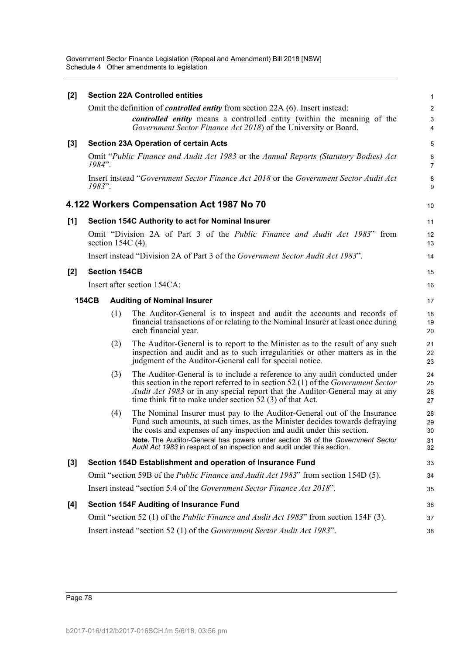Government Sector Finance Legislation (Repeal and Amendment) Bill 2018 [NSW] Schedule 4 Other amendments to legislation

| [2]              |                                                                                                            |                      | <b>Section 22A Controlled entities</b>                                                                                                                                                                                                                                                                                                                                                          | $\mathbf{1}$               |  |
|------------------|------------------------------------------------------------------------------------------------------------|----------------------|-------------------------------------------------------------------------------------------------------------------------------------------------------------------------------------------------------------------------------------------------------------------------------------------------------------------------------------------------------------------------------------------------|----------------------------|--|
|                  |                                                                                                            |                      | Omit the definition of <i>controlled entity</i> from section 22A (6). Insert instead:                                                                                                                                                                                                                                                                                                           | $\overline{c}$             |  |
|                  |                                                                                                            |                      | controlled entity means a controlled entity (within the meaning of the<br>Government Sector Finance Act 2018) of the University or Board.                                                                                                                                                                                                                                                       | $\mathbf{3}$<br>4          |  |
| [3]              |                                                                                                            |                      | <b>Section 23A Operation of certain Acts</b>                                                                                                                                                                                                                                                                                                                                                    | 5                          |  |
|                  | $1984"$ .                                                                                                  |                      | Omit "Public Finance and Audit Act 1983 or the Annual Reports (Statutory Bodies) Act                                                                                                                                                                                                                                                                                                            | 6<br>$\overline{7}$        |  |
|                  | 1983".                                                                                                     |                      | Insert instead "Government Sector Finance Act 2018 or the Government Sector Audit Act                                                                                                                                                                                                                                                                                                           | 8<br>9                     |  |
|                  |                                                                                                            |                      | 4.122 Workers Compensation Act 1987 No 70                                                                                                                                                                                                                                                                                                                                                       | 10                         |  |
| [1]              |                                                                                                            |                      | Section 154C Authority to act for Nominal Insurer                                                                                                                                                                                                                                                                                                                                               | 11                         |  |
|                  | Omit "Division 2A of Part 3 of the <i>Public Finance and Audit Act 1983</i> " from<br>section 154C $(4)$ . |                      |                                                                                                                                                                                                                                                                                                                                                                                                 |                            |  |
|                  |                                                                                                            |                      | Insert instead "Division 2A of Part 3 of the Government Sector Audit Act 1983".                                                                                                                                                                                                                                                                                                                 | 14                         |  |
| [2]              |                                                                                                            | <b>Section 154CB</b> |                                                                                                                                                                                                                                                                                                                                                                                                 | 15                         |  |
|                  | Insert after section 154CA:                                                                                |                      |                                                                                                                                                                                                                                                                                                                                                                                                 |                            |  |
|                  | <b>154CB</b>                                                                                               |                      | <b>Auditing of Nominal Insurer</b>                                                                                                                                                                                                                                                                                                                                                              | 17                         |  |
|                  |                                                                                                            | (1)                  | The Auditor-General is to inspect and audit the accounts and records of<br>financial transactions of or relating to the Nominal Insurer at least once during<br>each financial year.                                                                                                                                                                                                            | 18<br>19<br>20             |  |
|                  |                                                                                                            | (2)                  | The Auditor-General is to report to the Minister as to the result of any such<br>inspection and audit and as to such irregularities or other matters as in the<br>judgment of the Auditor-General call for special notice.                                                                                                                                                                      | 21<br>22<br>23             |  |
|                  |                                                                                                            | (3)                  | The Auditor-General is to include a reference to any audit conducted under<br>this section in the report referred to in section 52 $(1)$ of the <i>Government Sector</i><br>Audit Act 1983 or in any special report that the Auditor-General may at any<br>time think fit to make under section $52(3)$ of that Act.                                                                            | 24<br>25<br>26<br>27       |  |
|                  |                                                                                                            | (4)                  | The Nominal Insurer must pay to the Auditor-General out of the Insurance<br>Fund such amounts, at such times, as the Minister decides towards defraying<br>the costs and expenses of any inspection and audit under this section.<br>Note. The Auditor-General has powers under section 36 of the Government Sector<br>Audit Act 1983 in respect of an inspection and audit under this section. | 28<br>29<br>30<br>31<br>32 |  |
| $\left[3\right]$ |                                                                                                            |                      | Section 154D Establishment and operation of Insurance Fund                                                                                                                                                                                                                                                                                                                                      | 33                         |  |
|                  | Omit "section 59B of the <i>Public Finance and Audit Act 1983</i> " from section 154D (5).                 |                      |                                                                                                                                                                                                                                                                                                                                                                                                 |                            |  |
|                  |                                                                                                            |                      | Insert instead "section 5.4 of the Government Sector Finance Act 2018".                                                                                                                                                                                                                                                                                                                         | 35                         |  |
| [4]              |                                                                                                            |                      | <b>Section 154F Auditing of Insurance Fund</b>                                                                                                                                                                                                                                                                                                                                                  | 36                         |  |
|                  |                                                                                                            |                      | Omit "section 52 (1) of the <i>Public Finance and Audit Act 1983</i> " from section 154F (3).                                                                                                                                                                                                                                                                                                   | 37                         |  |
|                  |                                                                                                            |                      | Insert instead "section 52 (1) of the Government Sector Audit Act 1983".                                                                                                                                                                                                                                                                                                                        | 38                         |  |